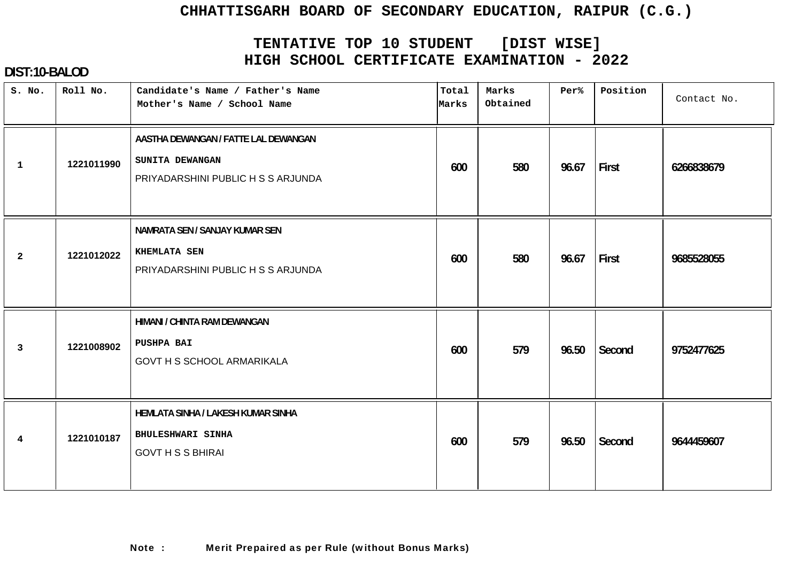# **TENTATIVE TOP 10 STUDENT [DIST WISE] HIGH SCHOOL CERTIFICATE EXAMINATION - 2022**

| S. No.         | Roll No.   | Candidate's Name / Father's Name<br>Mother's Name / School Name                               | Total<br>Marks | Marks<br>Obtained | Per%  | Position | Contact No. |
|----------------|------------|-----------------------------------------------------------------------------------------------|----------------|-------------------|-------|----------|-------------|
| $\mathbf{1}$   | 1221011990 | AASTHA DEWANGAN / FATTE LAL DEWANGAN<br>SUNITA DEWANGAN<br>PRIYADARSHINI PUBLIC H S S ARJUNDA | 600            | 580               | 96.67 | First    | 6266838679  |
| $\overline{2}$ | 1221012022 | NAMRATA SEN / SANJAY KUMAR SEN<br><b>KHEMLATA SEN</b><br>PRIYADARSHINI PUBLIC H S S ARJUNDA   | 600            | 580               | 96.67 | First    | 9685528055  |
| 3              | 1221008902 | HIMANI / CHINTA RAM DEWANGAN<br>PUSHPA BAI<br><b>GOVT H S SCHOOL ARMARIKALA</b>               | 600            | 579               | 96.50 | Second   | 9752477625  |
| $\overline{4}$ | 1221010187 | HEMLATA SINHA / LAKESH KUMAR SINHA<br>BHULESHWARI SINHA<br><b>GOVT H S S BHIRAI</b>           | 600            | 579               | 96.50 | Second   | 9644459607  |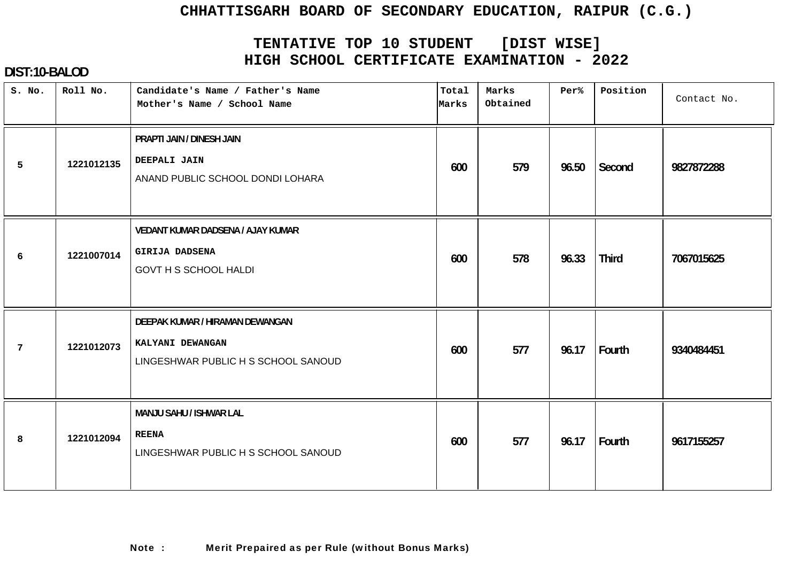# **TENTATIVE TOP 10 STUDENT [DIST WISE] HIGH SCHOOL CERTIFICATE EXAMINATION - 2022**

| S. No.          | Roll No.   | Candidate's Name / Father's Name<br>Mother's Name / School Name                            | Total<br>Marks | Marks<br>Obtained | Per%  | Position     | Contact No. |
|-----------------|------------|--------------------------------------------------------------------------------------------|----------------|-------------------|-------|--------------|-------------|
| 5               | 1221012135 | PRAPTI JAIN / DINESH JAIN<br>DEEPALI JAIN<br>ANAND PUBLIC SCHOOL DONDI LOHARA              | 600            | 579               | 96.50 | Second       | 9827872288  |
| 6               | 1221007014 | VEDANT KUMAR DADSENA / AJAY KUMAR<br><b>GIRIJA DADSENA</b><br><b>GOVT H S SCHOOL HALDI</b> | 600            | 578               | 96.33 | <b>Third</b> | 7067015625  |
| $7\phantom{.0}$ | 1221012073 | DEEPAK KUMAR / HIRAMAN DEWANGAN<br>KALYANI DEWANGAN<br>LINGESHWAR PUBLIC H S SCHOOL SANOUD | 600            | 577               | 96.17 | Fourth       | 9340484451  |
| 8               | 1221012094 | MANJU SAHU / ISHWAR LAL<br><b>REENA</b><br>LINGESHWAR PUBLIC H S SCHOOL SANOUD             | 600            | 577               | 96.17 | Fourth       | 9617155257  |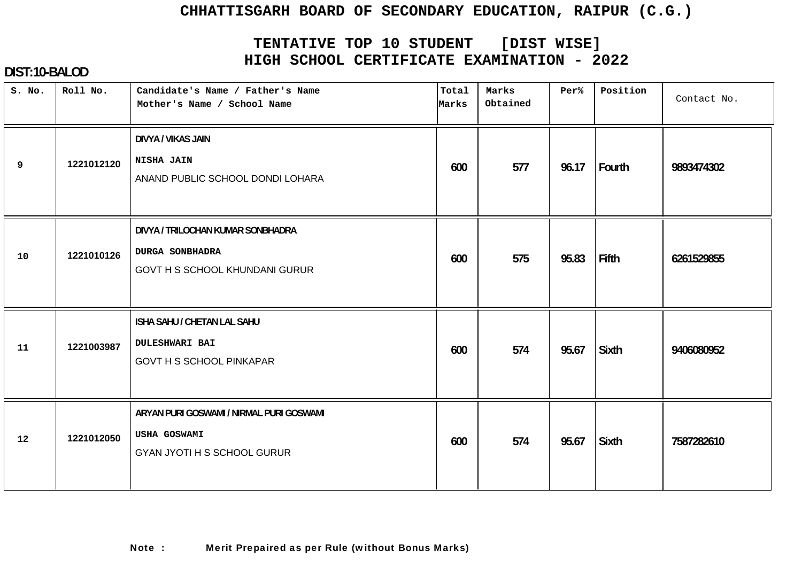# **TENTATIVE TOP 10 STUDENT [DIST WISE] HIGH SCHOOL CERTIFICATE EXAMINATION - 2022**

| S. No. | Roll No.   | Candidate's Name / Father's Name<br>Mother's Name / School Name                                      | Total<br>Marks | Marks<br>Obtained | Per%  | Position     | Contact No. |
|--------|------------|------------------------------------------------------------------------------------------------------|----------------|-------------------|-------|--------------|-------------|
| 9      | 1221012120 | <b>DIVYA / VIKAS JAIN</b><br>NISHA JAIN<br>ANAND PUBLIC SCHOOL DONDI LOHARA                          | 600            | 577               | 96.17 | Fourth       | 9893474302  |
| 10     | 1221010126 | DIVYA / TRILOCHAN KUMAR SONBHADRA<br><b>DURGA SONBHADRA</b><br><b>GOVT H S SCHOOL KHUNDANI GURUR</b> | 600            | 575               | 95.83 | Fifth        | 6261529855  |
| 11     | 1221003987 | ISHA SAHU / CHETAN LAL SAHU<br><b>DULESHWARI BAI</b><br><b>GOVT H S SCHOOL PINKAPAR</b>              | 600            | 574               | 95.67 | Sixth        | 9406080952  |
| 12     | 1221012050 | ARYAN PURI GOSWAMI / NIRMAL PURI GOSWAMI<br>USHA GOSWAMI<br><b>GYAN JYOTI H S SCHOOL GURUR</b>       | 600            | 574               | 95.67 | <b>Sixth</b> | 7587282610  |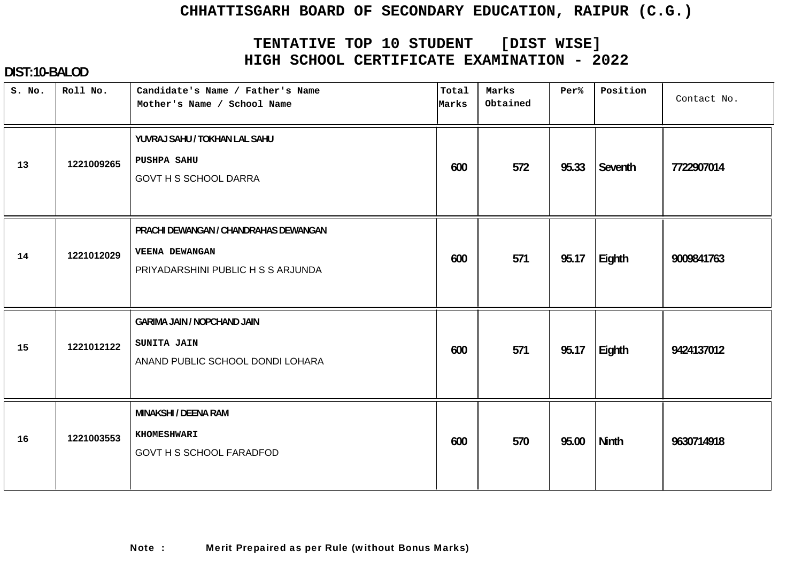# **TENTATIVE TOP 10 STUDENT [DIST WISE] HIGH SCHOOL CERTIFICATE EXAMINATION - 2022**

| S. No. | Roll No.   | Candidate's Name / Father's Name<br>Mother's Name / School Name                               | Total<br>Marks | Marks<br>Obtained | Per%  | Position     | Contact No. |
|--------|------------|-----------------------------------------------------------------------------------------------|----------------|-------------------|-------|--------------|-------------|
| 13     | 1221009265 | YUVRAJ SAHU / TOKHAN LAL SAHU<br>PUSHPA SAHU<br><b>GOVT H S SCHOOL DARRA</b>                  | 600            | 572               | 95.33 | Seventh      | 7722907014  |
| 14     | 1221012029 | PRACHI DEWANGAN / CHANDRAHAS DEWANGAN<br>VEENA DEWANGAN<br>PRIYADARSHINI PUBLIC H S S ARJUNDA | 600            | 571               | 95.17 | Eighth       | 9009841763  |
| 15     | 1221012122 | <b>GARIMA JAIN / NOPCHAND JAIN</b><br>SUNITA JAIN<br>ANAND PUBLIC SCHOOL DONDI LOHARA         | 600            | 571               | 95.17 | Eighth       | 9424137012  |
| 16     | 1221003553 | MINAKSHI / DEENA RAM<br><b>KHOMESHWARI</b><br>GOVT H S SCHOOL FARADFOD                        | 600            | 570               | 95.00 | <b>Ninth</b> | 9630714918  |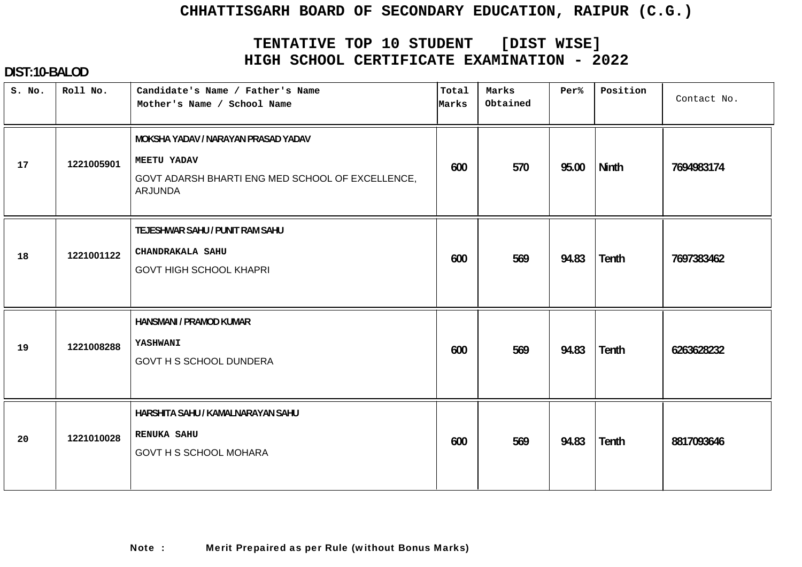# **TENTATIVE TOP 10 STUDENT [DIST WISE] HIGH SCHOOL CERTIFICATE EXAMINATION - 2022**

| S. No. | Roll No.   | Candidate's Name / Father's Name<br>Mother's Name / School Name                                                                 | Total<br>Marks | Marks<br>Obtained | Per%  | Position     | Contact No. |
|--------|------------|---------------------------------------------------------------------------------------------------------------------------------|----------------|-------------------|-------|--------------|-------------|
| 17     | 1221005901 | MOKSHA YADAV / NARAYAN PRASAD YADAV<br><b>MEETU YADAV</b><br>GOVT ADARSH BHARTI ENG MED SCHOOL OF EXCELLENCE,<br><b>ARJUNDA</b> | 600            | 570               | 95.00 | Ninth        | 7694983174  |
| 18     | 1221001122 | TEJESHWAR SAHU / PUNIT RAM SAHU<br>CHANDRAKALA SAHU<br><b>GOVT HIGH SCHOOL KHAPRI</b>                                           | 600            | 569               | 94.83 | <b>Tenth</b> | 7697383462  |
| 19     | 1221008288 | HANSMANI / PRAMOD KUMAR<br>YASHWANI<br><b>GOVT H S SCHOOL DUNDERA</b>                                                           | 600            | 569               | 94.83 | Tenth        | 6263628232  |
| 20     | 1221010028 | HARSHITA SAHU / KAMALNARAYAN SAHU<br><b>RENUKA SAHU</b><br><b>GOVT H S SCHOOL MOHARA</b>                                        | 600            | 569               | 94.83 | Tenth        | 8817093646  |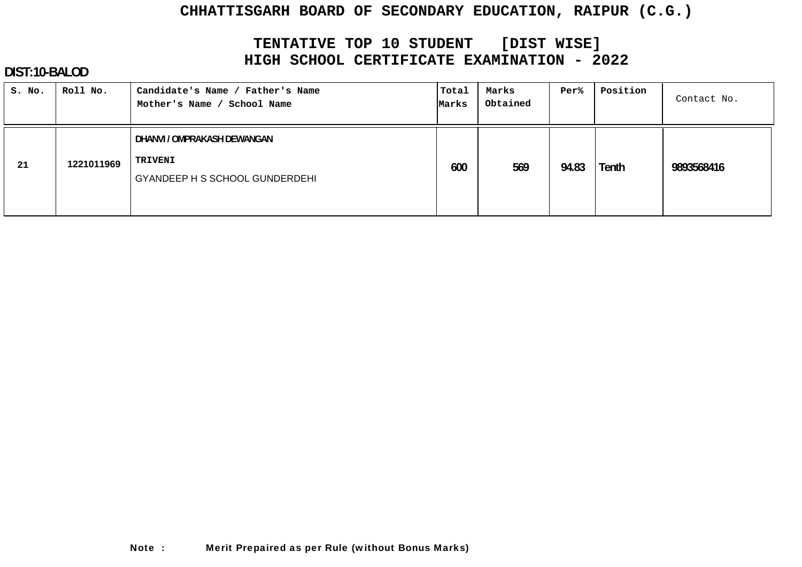# **TENTATIVE TOP 10 STUDENT [DIST WISE] HIGH SCHOOL CERTIFICATE EXAMINATION - 2022**

| S. No. | Roll No.   | Candidate's Name / Father's Name<br>School Name<br>Mother's Name /              | Total<br>Marks | Marks<br>Obtained | Per%  | Position | Contact No. |
|--------|------------|---------------------------------------------------------------------------------|----------------|-------------------|-------|----------|-------------|
| 21     | 1221011969 | DHANVI / OMPRAKASH DEWANGAN<br>TRIVENI<br><b>GYANDEEP H S SCHOOL GUNDERDEHI</b> | 600            | 569               | 94.83 | Tenth    | 9893568416  |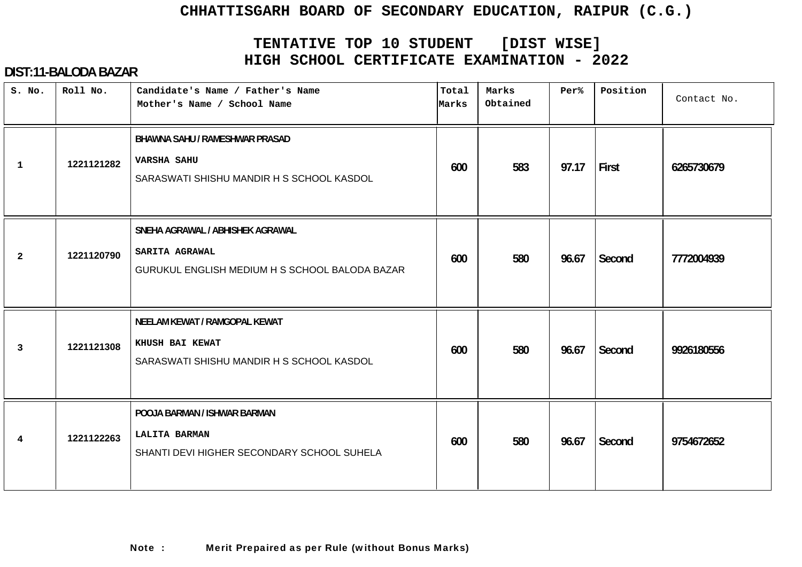# **TENTATIVE TOP 10 STUDENT [DIST WISE] HIGH SCHOOL CERTIFICATE EXAMINATION - 2022**

| S. No.       | Roll No.   | Candidate's Name / Father's Name<br>Mother's Name / School Name                                      | Total<br>Marks | Marks<br>Obtained | Per%  | Position | Contact No. |
|--------------|------------|------------------------------------------------------------------------------------------------------|----------------|-------------------|-------|----------|-------------|
| 1            | 1221121282 | BHAWNA SAHU / RAMESHWAR PRASAD<br><b>VARSHA SAHU</b><br>SARASWATI SHISHU MANDIR H S SCHOOL KASDOL    | 600            | 583               | 97.17 | First    | 6265730679  |
| $\mathbf{2}$ | 1221120790 | SNEHA AGRAWAL / ABHISHEK AGRAWAL<br>SARITA AGRAWAL<br>GURUKUL ENGLISH MEDIUM H S SCHOOL BALODA BAZAR | 600            | 580               | 96.67 | Second   | 7772004939  |
| $\mathbf{3}$ | 1221121308 | NEELAM KEWAT / RAMGOPAL KEWAT<br>KHUSH BAI KEWAT<br>SARASWATI SHISHU MANDIR H S SCHOOL KASDOL        | 600            | 580               | 96.67 | Second   | 9926180556  |
| 4            | 1221122263 | POOJA BARMAN / ISHWAR BARMAN<br><b>LALITA BARMAN</b><br>SHANTI DEVI HIGHER SECONDARY SCHOOL SUHELA   | 600            | 580               | 96.67 | Second   | 9754672652  |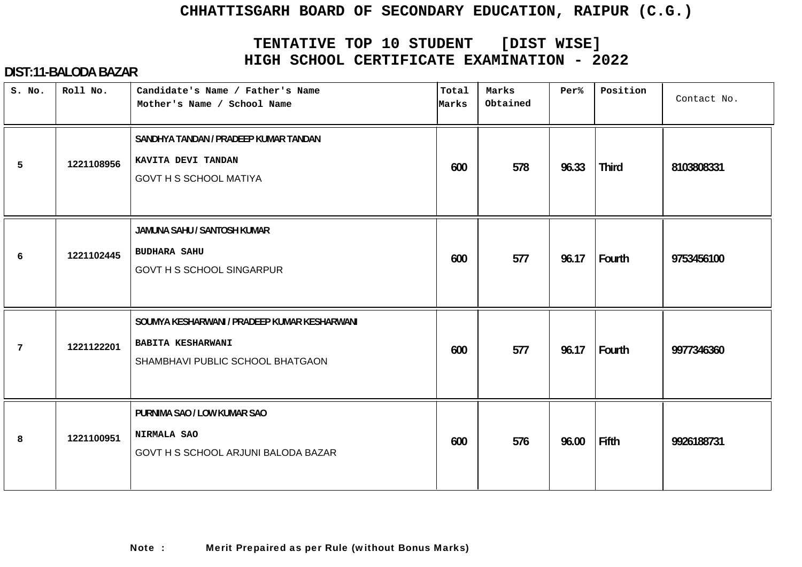# **TENTATIVE TOP 10 STUDENT [DIST WISE] HIGH SCHOOL CERTIFICATE EXAMINATION - 2022**

| S. No.          | Roll No.   | Candidate's Name / Father's Name<br>Mother's Name / School Name                                              | Total<br>Marks | Marks<br>Obtained | Per%  | Position     | Contact No. |
|-----------------|------------|--------------------------------------------------------------------------------------------------------------|----------------|-------------------|-------|--------------|-------------|
| 5               | 1221108956 | SANDHYA TANDAN / PRADEEP KUMAR TANDAN<br>KAVITA DEVI TANDAN<br><b>GOVT H S SCHOOL MATIYA</b>                 | 600            | 578               | 96.33 | <b>Third</b> | 8103808331  |
| 6               | 1221102445 | JAMUNA SAHU / SANTOSH KUMAR<br><b>BUDHARA SAHU</b><br><b>GOVT H S SCHOOL SINGARPUR</b>                       | 600            | 577               | 96.17 | Fourth       | 9753456100  |
| $7\phantom{.0}$ | 1221122201 | SOUMYA KESHARWANI / PRADEEP KUMAR KESHARWANI<br><b>BABITA KESHARWANI</b><br>SHAMBHAVI PUBLIC SCHOOL BHATGAON | 600            | 577               | 96.17 | Fourth       | 9977346360  |
| 8               | 1221100951 | PURNIMA SAO / LOW KUMAR SAO<br>NIRMALA SAO<br>GOVT H S SCHOOL ARJUNI BALODA BAZAR                            | 600            | 576               | 96.00 | Fifth        | 9926188731  |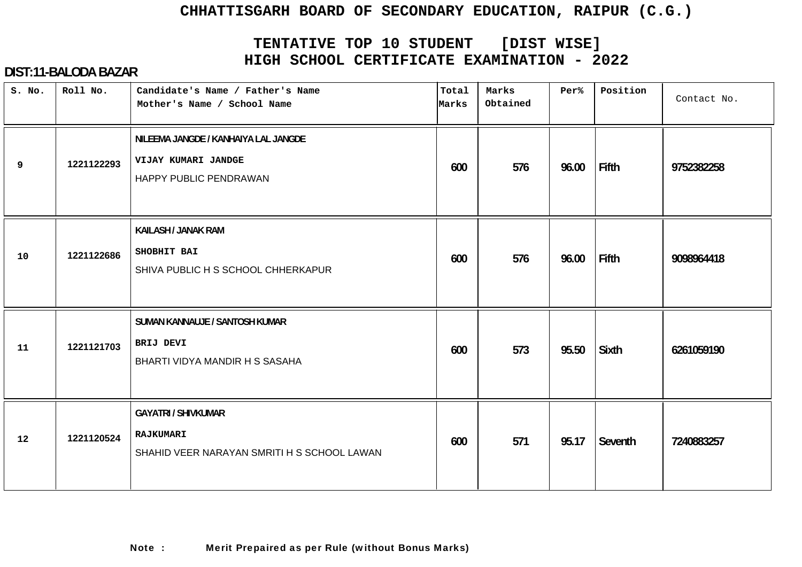# **TENTATIVE TOP 10 STUDENT [DIST WISE] HIGH SCHOOL CERTIFICATE EXAMINATION - 2022**

| S. No. | Roll No.   | Candidate's Name / Father's Name<br>Mother's Name / School Name                        | Total<br>Marks | Marks<br>Obtained | Per%  | Position     | Contact No. |
|--------|------------|----------------------------------------------------------------------------------------|----------------|-------------------|-------|--------------|-------------|
| 9      | 1221122293 | NILEEMA JANGDE / KANHAIYA LAL JANGDE<br>VIJAY KUMARI JANDGE<br>HAPPY PUBLIC PENDRAWAN  | 600            | 576               | 96.00 | Fifth        | 9752382258  |
| 10     | 1221122686 | <b>KAILASH / JANAK RAM</b><br>SHOBHIT BAI<br>SHIVA PUBLIC H S SCHOOL CHHERKAPUR        | 600            | 576               | 96.00 | Fifth        | 9098964418  |
| 11     | 1221121703 | SUMAN KANNAUJE / SANTOSH KUMAR<br>BRIJ DEVI<br>BHARTI VIDYA MANDIR H S SASAHA          | 600            | 573               | 95.50 | <b>Sixth</b> | 6261059190  |
| 12     | 1221120524 | <b>GAYATRI / SHIVKUMAR</b><br>RAJKUMARI<br>SHAHID VEER NARAYAN SMRITI H S SCHOOL LAWAN | 600            | 571               | 95.17 | Seventh      | 7240883257  |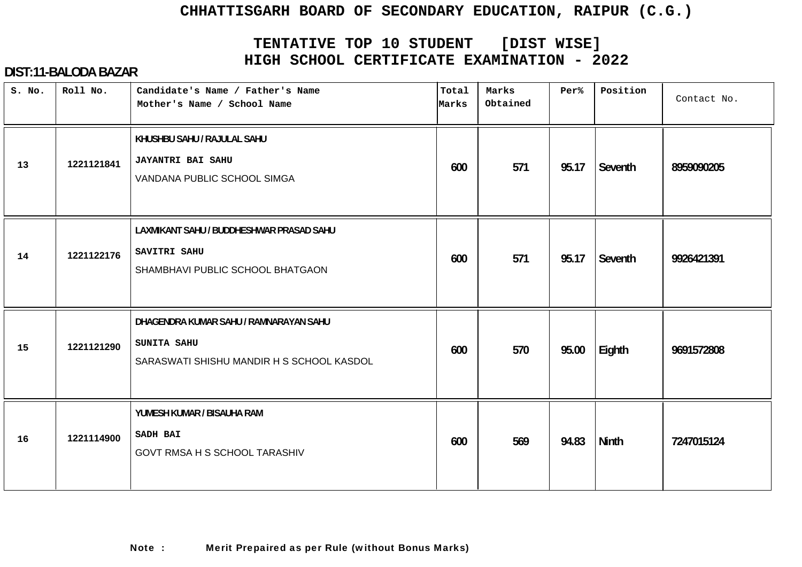# **TENTATIVE TOP 10 STUDENT [DIST WISE] HIGH SCHOOL CERTIFICATE EXAMINATION - 2022**

| S. No. | Roll No.   | Candidate's Name / Father's Name<br>Mother's Name / School Name                                    | Total<br>Marks | Marks<br>Obtained | Per%  | Position     | Contact No. |
|--------|------------|----------------------------------------------------------------------------------------------------|----------------|-------------------|-------|--------------|-------------|
| 13     | 1221121841 | KHUSHBU SAHU / RAJULAL SAHU<br><b>JAYANTRI BAI SAHU</b><br>VANDANA PUBLIC SCHOOL SIMGA             | 600            | 571               | 95.17 | Seventh      | 8959090205  |
| 14     | 1221122176 | LAXMIKANT SAHU / BUDDHESHWAR PRASAD SAHU<br>SAVITRI SAHU<br>SHAMBHAVI PUBLIC SCHOOL BHATGAON       | 600            | 571               | 95.17 | Seventh      | 9926421391  |
| 15     | 1221121290 | DHAGENDRA KUMAR SAHU / RAMNARAYAN SAHU<br>SUNITA SAHU<br>SARASWATI SHISHU MANDIR H S SCHOOL KASDOL | 600            | 570               | 95.00 | Eighth       | 9691572808  |
| 16     | 1221114900 | YUMESH KUMAR / BISAUHA RAM<br><b>SADH BAI</b><br>GOVT RMSA H S SCHOOL TARASHIV                     | 600            | 569               | 94.83 | <b>Ninth</b> | 7247015124  |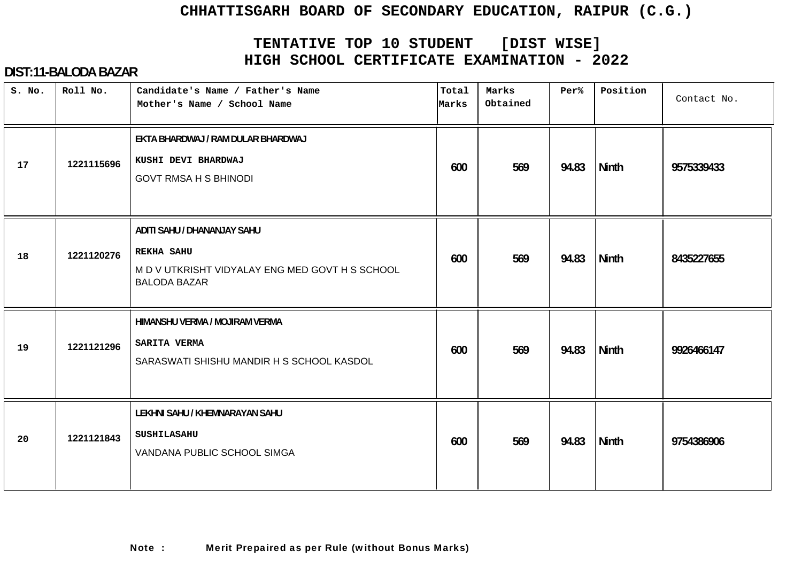# **TENTATIVE TOP 10 STUDENT [DIST WISE] HIGH SCHOOL CERTIFICATE EXAMINATION - 2022**

| S. No. | Roll No.   | Candidate's Name / Father's Name<br>Mother's Name / School Name                                                            | Total<br>Marks | Marks<br>Obtained | Per%  | Position     | Contact No. |
|--------|------------|----------------------------------------------------------------------------------------------------------------------------|----------------|-------------------|-------|--------------|-------------|
| 17     | 1221115696 | EKTA BHARDWAJ / RAM DULAR BHARDWAJ<br>KUSHI DEVI BHARDWAJ<br><b>GOVT RMSA H S BHINODI</b>                                  | 600            | 569               | 94.83 | Ninth        | 9575339433  |
| 18     | 1221120276 | ADITI SAHU / DHANANJAY SAHU<br><b>REKHA SAHU</b><br>M D V UTKRISHT VIDYALAY ENG MED GOVT H S SCHOOL<br><b>BALODA BAZAR</b> | 600            | 569               | 94.83 | Ninth        | 8435227655  |
| 19     | 1221121296 | HIMANSHU VERMA / MOJIRAM VERMA<br>SARITA VERMA<br>SARASWATI SHISHU MANDIR H S SCHOOL KASDOL                                | 600            | 569               | 94.83 | <b>Ninth</b> | 9926466147  |
| 20     | 1221121843 | LEKHNI SAHU / KHEMNARAYAN SAHU<br><b>SUSHILASAHU</b><br>VANDANA PUBLIC SCHOOL SIMGA                                        | 600            | 569               | 94.83 | <b>Ninth</b> | 9754386906  |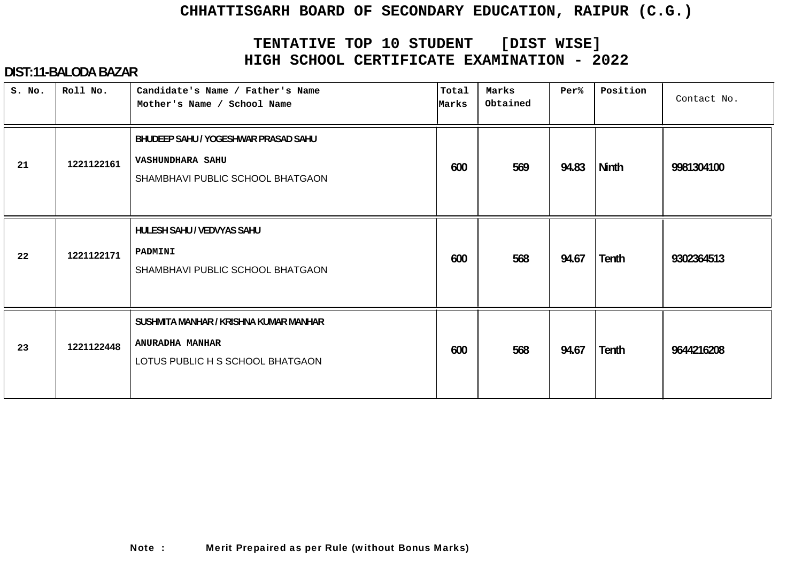# **TENTATIVE TOP 10 STUDENT [DIST WISE] HIGH SCHOOL CERTIFICATE EXAMINATION - 2022**

| S. No. | Roll No.   | Candidate's Name / Father's Name<br>Mother's Name / School Name                                      | Total<br>Marks | Marks<br>Obtained | Per%  | Position | Contact No. |
|--------|------------|------------------------------------------------------------------------------------------------------|----------------|-------------------|-------|----------|-------------|
| 21     | 1221122161 | BHUDEEP SAHU / YOGESHWAR PRASAD SAHU<br><b>VASHUNDHARA SAHU</b><br>SHAMBHAVI PUBLIC SCHOOL BHATGAON  | 600            | 569               | 94.83 | Ninth    | 9981304100  |
| 22     | 1221122171 | <b>HULESH SAHU / VEDVYAS SAHU</b><br>PADMINI<br>SHAMBHAVI PUBLIC SCHOOL BHATGAON                     | 600            | 568               | 94.67 | Tenth    | 9302364513  |
| 23     | 1221122448 | SUSHMITA MANHAR / KRISHNA KUMAR MANHAR<br><b>ANURADHA MANHAR</b><br>LOTUS PUBLIC H S SCHOOL BHATGAON | 600            | 568               | 94.67 | Tenth    | 9644216208  |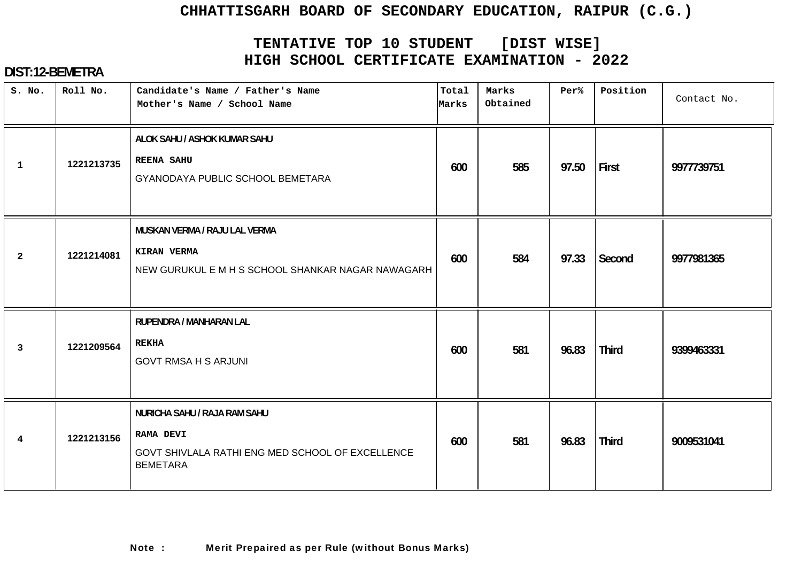# **TENTATIVE TOP 10 STUDENT [DIST WISE] HIGH SCHOOL CERTIFICATE EXAMINATION - 2022**

| S. No.          | Roll No.   | Candidate's Name / Father's Name<br>Mother's Name / School Name                                                         | Total<br>Marks | Marks<br>Obtained | Per%  | Position     | Contact No. |
|-----------------|------------|-------------------------------------------------------------------------------------------------------------------------|----------------|-------------------|-------|--------------|-------------|
| 1               | 1221213735 | ALOK SAHU / ASHOK KUMAR SAHU<br><b>REENA SAHU</b><br>GYANODAYA PUBLIC SCHOOL BEMETARA                                   | 600            | 585               | 97.50 | First        | 9977739751  |
| $\overline{2}$  | 1221214081 | MUSKAN VERMA / RAJU LAL VERMA<br>KIRAN VERMA<br>NEW GURUKUL E M H S SCHOOL SHANKAR NAGAR NAWAGARH                       | 600            | 584               | 97.33 | Second       | 9977981365  |
| 3               | 1221209564 | RUPENDRA / MANHARAN LAL<br><b>REKHA</b><br><b>GOVT RMSA H S ARJUNI</b>                                                  | 600            | 581               | 96.83 | <b>Third</b> | 9399463331  |
| $4\overline{ }$ | 1221213156 | NURICHA SAHU / RAJA RAM SAHU<br><b>RAMA DEVI</b><br>GOVT SHIVLALA RATHI ENG MED SCHOOL OF EXCELLENCE<br><b>BEMETARA</b> | 600            | 581               | 96.83 | <b>Third</b> | 9009531041  |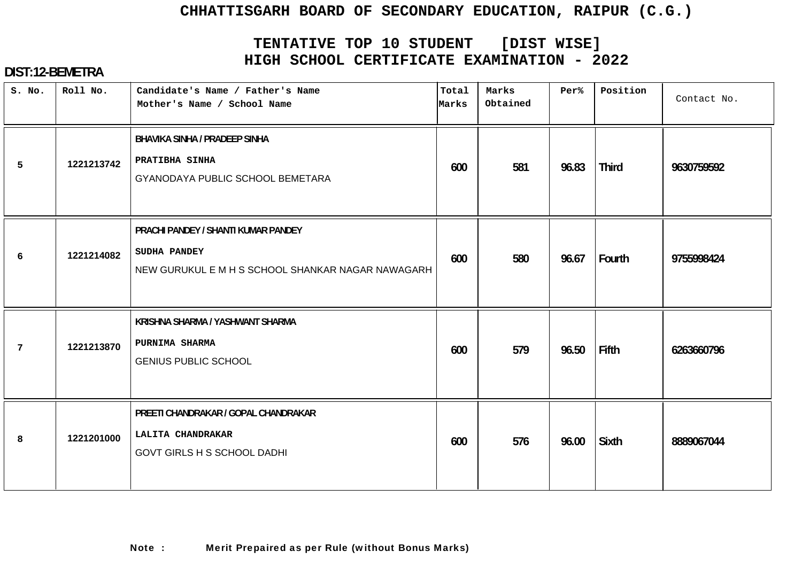# **TENTATIVE TOP 10 STUDENT [DIST WISE] HIGH SCHOOL CERTIFICATE EXAMINATION - 2022**

| S. No.         | Roll No.   | Candidate's Name / Father's Name<br>Mother's Name / School Name                                                 | Total<br>Marks | Marks<br>Obtained | Per%  | Position     | Contact No. |
|----------------|------------|-----------------------------------------------------------------------------------------------------------------|----------------|-------------------|-------|--------------|-------------|
| 5              | 1221213742 | <b>BHAVIKA SINHA / PRADEEP SINHA</b><br>PRATIBHA SINHA<br>GYANODAYA PUBLIC SCHOOL BEMETARA                      | 600            | 581               | 96.83 | <b>Third</b> | 9630759592  |
| 6              | 1221214082 | PRACHI PANDEY / SHANTI KUMAR PANDEY<br><b>SUDHA PANDEY</b><br>NEW GURUKUL E M H S SCHOOL SHANKAR NAGAR NAWAGARH | 600            | 580               | 96.67 | Fourth       | 9755998424  |
| $\overline{7}$ | 1221213870 | KRISHNA SHARMA / YASHWANT SHARMA<br>PURNIMA SHARMA<br><b>GENIUS PUBLIC SCHOOL</b>                               | 600            | 579               | 96.50 | <b>Fifth</b> | 6263660796  |
| 8              | 1221201000 | PREETI CHANDRAKAR / GOPAL CHANDRAKAR<br>LALITA CHANDRAKAR<br><b>GOVT GIRLS H S SCHOOL DADHI</b>                 | 600            | 576               | 96.00 | <b>Sixth</b> | 8889067044  |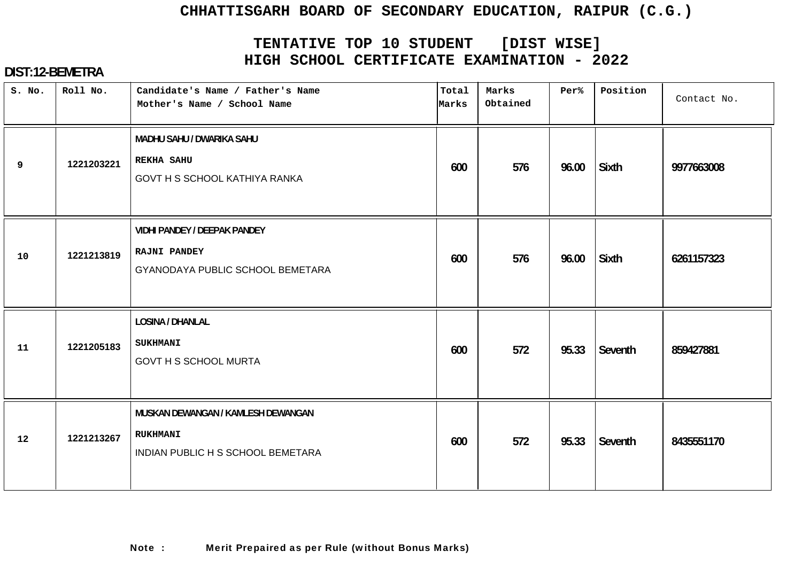# **TENTATIVE TOP 10 STUDENT [DIST WISE] HIGH SCHOOL CERTIFICATE EXAMINATION - 2022**

| S. No. | Roll No.   | Candidate's Name / Father's Name<br>Mother's Name / School Name                                | Total<br>Marks | Marks<br>Obtained | Per%  | Position     | Contact No. |
|--------|------------|------------------------------------------------------------------------------------------------|----------------|-------------------|-------|--------------|-------------|
| 9      | 1221203221 | MADHU SAHU / DWARIKA SAHU<br><b>REKHA SAHU</b><br>GOVT H S SCHOOL KATHIYA RANKA                | 600            | 576               | 96.00 | Sixth        | 9977663008  |
| 10     | 1221213819 | <b>VIDHI PANDEY / DEEPAK PANDEY</b><br><b>RAJNI PANDEY</b><br>GYANODAYA PUBLIC SCHOOL BEMETARA | 600            | 576               | 96.00 | <b>Sixth</b> | 6261157323  |
| 11     | 1221205183 | <b>LOSINA / DHANLAL</b><br><b>SUKHMANI</b><br><b>GOVT H S SCHOOL MURTA</b>                     | 600            | 572               | 95.33 | Seventh      | 859427881   |
| 12     | 1221213267 | MUSKAN DEWANGAN / KAMLESH DEWANGAN<br><b>RUKHMANI</b><br>INDIAN PUBLIC H S SCHOOL BEMETARA     | 600            | 572               | 95.33 | Seventh      | 8435551170  |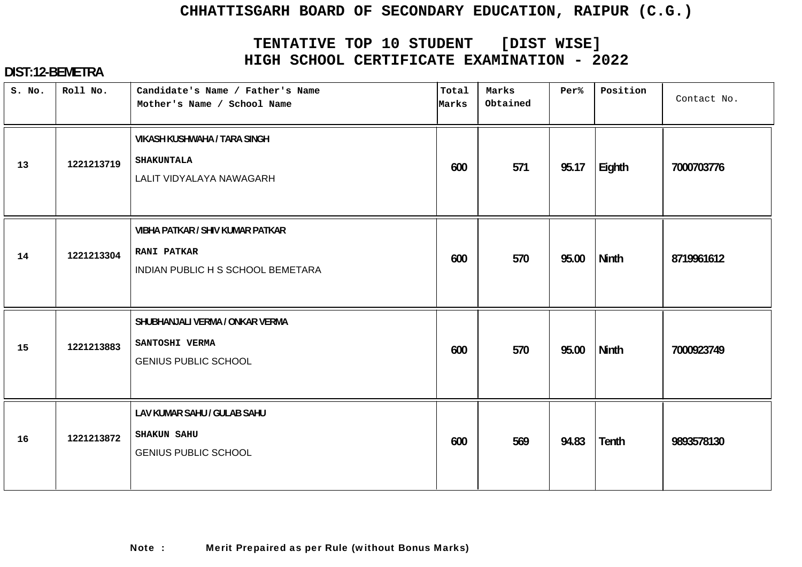# **TENTATIVE TOP 10 STUDENT [DIST WISE] HIGH SCHOOL CERTIFICATE EXAMINATION - 2022**

| S. No. | Roll No.   | Candidate's Name / Father's Name<br>Mother's Name / School Name                                    | Total<br>Marks | Marks<br>Obtained | Per%  | Position     | Contact No. |
|--------|------------|----------------------------------------------------------------------------------------------------|----------------|-------------------|-------|--------------|-------------|
| 13     | 1221213719 | <b>VIKASH KUSHWAHA / TARA SINGH</b><br><b>SHAKUNTALA</b><br>LALIT VIDYALAYA NAWAGARH               | 600            | 571               | 95.17 | Eighth       | 7000703776  |
| 14     | 1221213304 | <b>VIBHA PATKAR / SHIV KUMAR PATKAR</b><br><b>RANI PATKAR</b><br>INDIAN PUBLIC H S SCHOOL BEMETARA | 600            | 570               | 95.00 | <b>Ninth</b> | 8719961612  |
| 15     | 1221213883 | SHUBHANJALI VERMA / ONKAR VERMA<br>SANTOSHI VERMA<br><b>GENIUS PUBLIC SCHOOL</b>                   | 600            | 570               | 95.00 | Ninth        | 7000923749  |
| 16     | 1221213872 | LAV KUMAR SAHU / GULAB SAHU<br><b>SHAKUN SAHU</b><br><b>GENIUS PUBLIC SCHOOL</b>                   | 600            | 569               | 94.83 | <b>Tenth</b> | 9893578130  |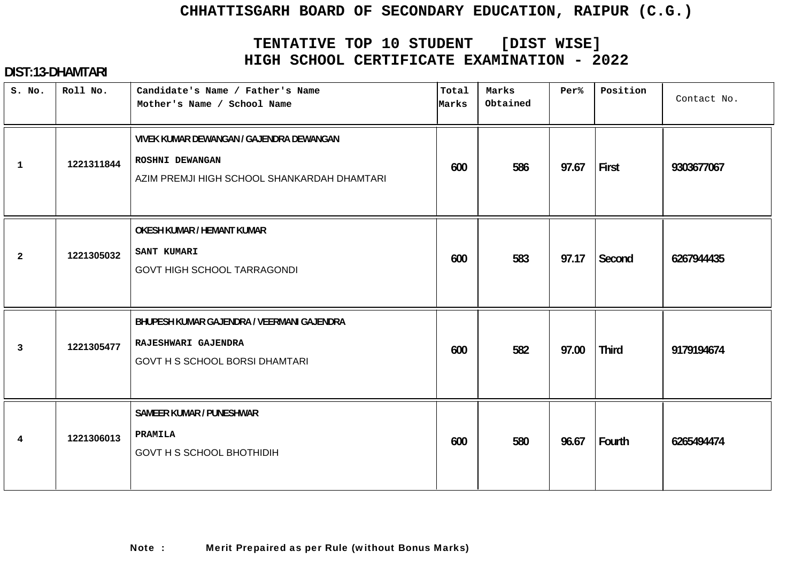# **TENTATIVE TOP 10 STUDENT [DIST WISE] HIGH SCHOOL CERTIFICATE EXAMINATION - 2022**

| S. No.                  | Roll No.   | Candidate's Name / Father's Name<br>Mother's Name / School Name                                            | Total<br>Marks | Marks<br>Obtained | Per%  | Position     | Contact No. |
|-------------------------|------------|------------------------------------------------------------------------------------------------------------|----------------|-------------------|-------|--------------|-------------|
| $\mathbf{1}$            | 1221311844 | VIVEK KUMAR DEWANGAN / GAJENDRA DEWANGAN<br>ROSHNI DEWANGAN<br>AZIM PREMJI HIGH SCHOOL SHANKARDAH DHAMTARI | 600            | 586               | 97.67 | First        | 9303677067  |
| $\mathbf{2}$            | 1221305032 | <b>OKESH KUMAR / HEMANT KUMAR</b><br><b>SANT KUMARI</b><br><b>GOVT HIGH SCHOOL TARRAGONDI</b>              | 600            | 583               | 97.17 | Second       | 6267944435  |
| $\mathbf{3}$            | 1221305477 | BHUPESH KUMAR GAJENDRA / VEERMANI GAJENDRA<br>RAJESHWARI GAJENDRA<br><b>GOVT H S SCHOOL BORSI DHAMTARI</b> | 600            | 582               | 97.00 | <b>Third</b> | 9179194674  |
| $\overline{\mathbf{4}}$ | 1221306013 | <b>SAMEER KUMAR / PUNESHWAR</b><br>PRAMILA<br><b>GOVT H S SCHOOL BHOTHIDIH</b>                             | 600            | 580               | 96.67 | Fourth       | 6265494474  |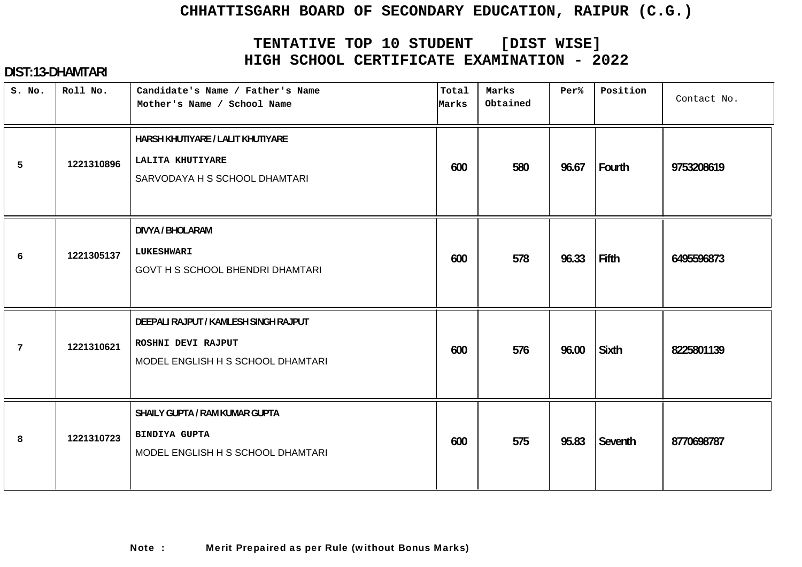# **TENTATIVE TOP 10 STUDENT [DIST WISE] HIGH SCHOOL CERTIFICATE EXAMINATION - 2022**

| S. No. | Roll No.   | Candidate's Name / Father's Name<br>Mother's Name / School Name                                  | Total<br>Marks | Marks<br>Obtained | Per%  | Position     | Contact No. |
|--------|------------|--------------------------------------------------------------------------------------------------|----------------|-------------------|-------|--------------|-------------|
| 5      | 1221310896 | HARSH KHUTIYARE / LALIT KHUTIYARE<br>LALITA KHUTIYARE<br>SARVODAYA H S SCHOOL DHAMTARI           | 600            | 580               | 96.67 | Fourth       | 9753208619  |
| 6      | 1221305137 | <b>DIVYA / BHOLARAM</b><br><b>LUKESHWARI</b><br><b>GOVT H S SCHOOL BHENDRI DHAMTARI</b>          | 600            | 578               | 96.33 | <b>Fifth</b> | 6495596873  |
| 7      | 1221310621 | DEEPALI RAJPUT / KAMLESH SINGH RAJPUT<br>ROSHNI DEVI RAJPUT<br>MODEL ENGLISH H S SCHOOL DHAMTARI | 600            | 576               | 96.00 | Sixth        | 8225801139  |
| 8      | 1221310723 | SHAILY GUPTA / RAM KUMAR GUPTA<br><b>BINDIYA GUPTA</b><br>MODEL ENGLISH H S SCHOOL DHAMTARI      | 600            | 575               | 95.83 | Seventh      | 8770698787  |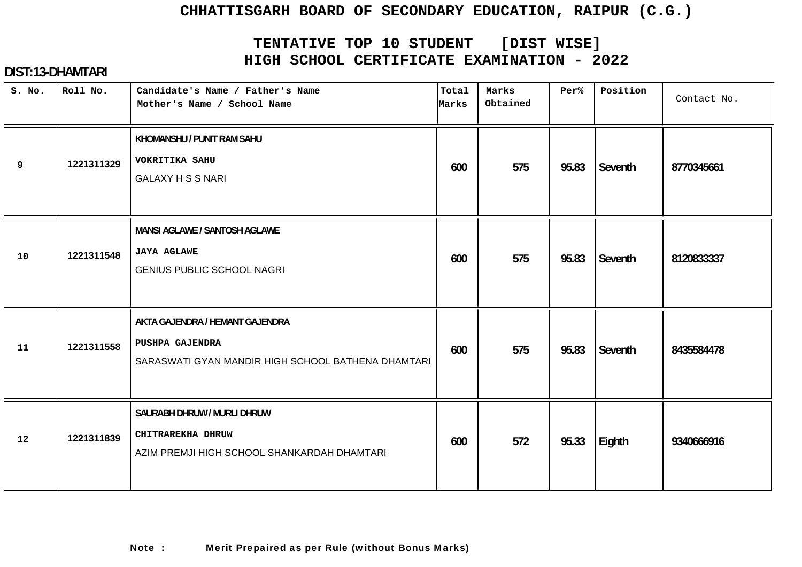# **TENTATIVE TOP 10 STUDENT [DIST WISE] HIGH SCHOOL CERTIFICATE EXAMINATION - 2022**

| S. No. | Roll No.   | Candidate's Name / Father's Name<br>Mother's Name / School Name                                          | Total<br>Marks | Marks<br>Obtained | Per%  | Position | Contact No. |
|--------|------------|----------------------------------------------------------------------------------------------------------|----------------|-------------------|-------|----------|-------------|
| 9      | 1221311329 | KHOMANSHU / PUNIT RAM SAHU<br><b>VOKRITIKA SAHU</b><br><b>GALAXY H S S NARI</b>                          | 600            | 575               | 95.83 | Seventh  | 8770345661  |
| 10     | 1221311548 | MANSI AGLAWE / SANTOSH AGLAWE<br><b>JAYA AGLAWE</b><br><b>GENIUS PUBLIC SCHOOL NAGRI</b>                 | 600            | 575               | 95.83 | Seventh  | 8120833337  |
| 11     | 1221311558 | AKTA GAJENDRA / HEMANT GAJENDRA<br>PUSHPA GAJENDRA<br>SARASWATI GYAN MANDIR HIGH SCHOOL BATHENA DHAMTARI | 600            | 575               | 95.83 | Seventh  | 8435584478  |
| 12     | 1221311839 | SAURABH DHRUW / MURLI DHRUW<br>CHITRAREKHA DHRUW<br>AZIM PREMJI HIGH SCHOOL SHANKARDAH DHAMTARI          | 600            | 572               | 95.33 | Eighth   | 9340666916  |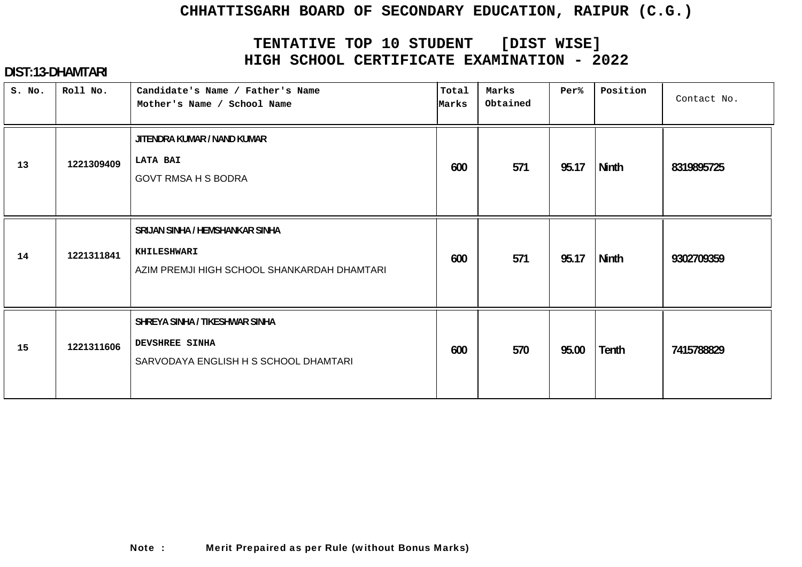# **TENTATIVE TOP 10 STUDENT [DIST WISE] HIGH SCHOOL CERTIFICATE EXAMINATION - 2022**

| S. No. | Roll No.   | Candidate's Name / Father's Name<br>Mother's Name / School Name                                  | Total<br>Marks | Marks<br>Obtained | Per%  | Position     | Contact No. |
|--------|------------|--------------------------------------------------------------------------------------------------|----------------|-------------------|-------|--------------|-------------|
| 13     | 1221309409 | JITENDRA KUMAR / NAND KUMAR<br><b>LATA BAI</b><br><b>GOVT RMSA H S BODRA</b>                     | 600            | 571               | 95.17 | <b>Ninth</b> | 8319895725  |
| 14     | 1221311841 | SRIJAN SINHA / HEMSHANKAR SINHA<br>KHILESHWARI<br>AZIM PREMJI HIGH SCHOOL SHANKARDAH DHAMTARI    | 600            | 571               | 95.17 | <b>Ninth</b> | 9302709359  |
| 15     | 1221311606 | SHREYA SINHA / TIKESHWAR SINHA<br><b>DEVSHREE SINHA</b><br>SARVODAYA ENGLISH H S SCHOOL DHAMTARI | 600            | 570               | 95.00 | Tenth        | 7415788829  |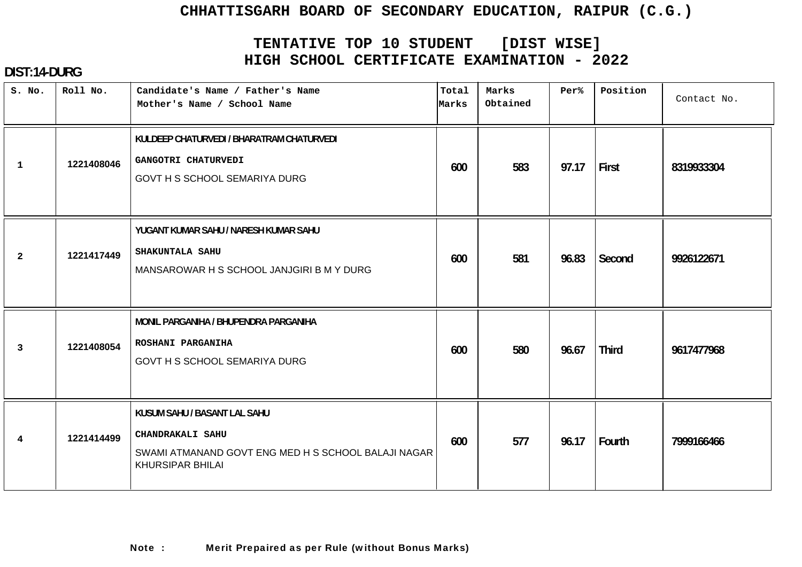# **TENTATIVE TOP 10 STUDENT [DIST WISE] HIGH SCHOOL CERTIFICATE EXAMINATION - 2022**

| S. No.         | Roll No.   | Candidate's Name / Father's Name<br>Mother's Name / School Name                                                                    | Total<br>Marks | Marks<br>Obtained | Per%  | Position     | Contact No. |
|----------------|------------|------------------------------------------------------------------------------------------------------------------------------------|----------------|-------------------|-------|--------------|-------------|
| $\mathbf{1}$   | 1221408046 | KULDEEP CHATURVEDI / BHARATRAM CHATURVEDI<br>GANGOTRI CHATURVEDI<br>GOVT H S SCHOOL SEMARIYA DURG                                  | 600            | 583               | 97.17 | First        | 8319933304  |
| $\overline{2}$ | 1221417449 | YUGANT KUMAR SAHU / NARESH KUMAR SAHU<br>SHAKUNTALA SAHU<br>MANSAROWAR H S SCHOOL JANJGIRI B M Y DURG                              | 600            | 581               | 96.83 | Second       | 9926122671  |
| 3              | 1221408054 | MONIL PARGANIHA / BHUPENDRA PARGANIHA<br>ROSHANI PARGANIHA<br>GOVT H S SCHOOL SEMARIYA DURG                                        | 600            | 580               | 96.67 | <b>Third</b> | 9617477968  |
| 4              | 1221414499 | KUSUM SAHU / BASANT LAL SAHU<br>CHANDRAKALI SAHU<br>SWAMI ATMANAND GOVT ENG MED H S SCHOOL BALAJI NAGAR<br><b>KHURSIPAR BHILAI</b> | 600            | 577               | 96.17 | Fourth       | 7999166466  |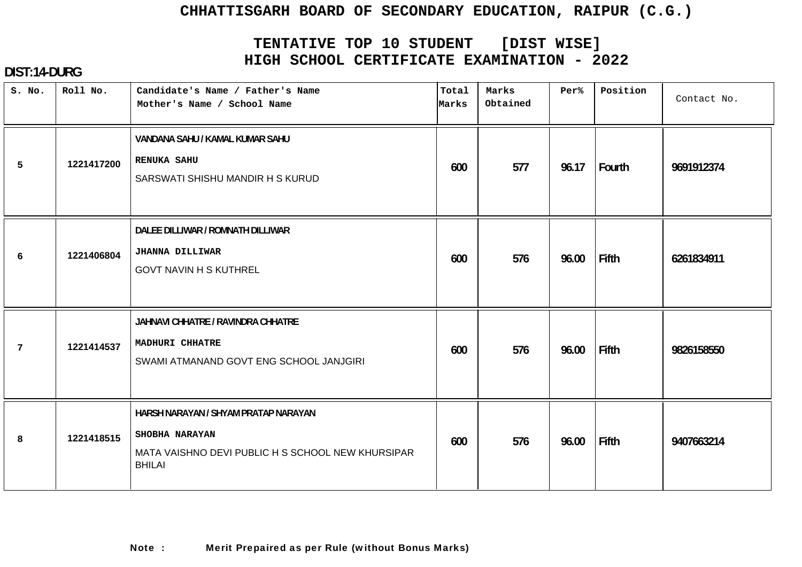# **TENTATIVE TOP 10 STUDENT [DIST WISE] HIGH SCHOOL CERTIFICATE EXAMINATION - 2022**

| S. No.          | Roll No.   | Candidate's Name / Father's Name<br>Mother's Name / School Name                                                              | Total<br>Marks | Marks<br>Obtained | Per%  | Position | Contact No. |
|-----------------|------------|------------------------------------------------------------------------------------------------------------------------------|----------------|-------------------|-------|----------|-------------|
| 5               | 1221417200 | VANDANA SAHU / KAMAL KUMAR SAHU<br><b>RENUKA SAHU</b><br>SARSWATI SHISHU MANDIR H S KURUD                                    | 600            | 577               | 96.17 | Fourth   | 9691912374  |
| 6               | 1221406804 | DALEE DILLIWAR / ROMNATH DILLIWAR<br><b>JHANNA DILLIWAR</b><br><b>GOVT NAVIN H S KUTHREL</b>                                 | 600            | 576               | 96.00 | Fifth    | 6261834911  |
| $7\phantom{.0}$ | 1221414537 | JAHNAVI CHHATRE / RAVINDRA CHHATRE<br>MADHURI CHHATRE<br>SWAMI ATMANAND GOVT ENG SCHOOL JANJGIRI                             | 600            | 576               | 96.00 | Fifth    | 9826158550  |
| 8               | 1221418515 | HARSH NARAYAN / SHYAM PRATAP NARAYAN<br>SHOBHA NARAYAN<br>MATA VAISHNO DEVI PUBLIC H S SCHOOL NEW KHURSIPAR<br><b>BHILAI</b> | 600            | 576               | 96.00 | Fifth    | 9407663214  |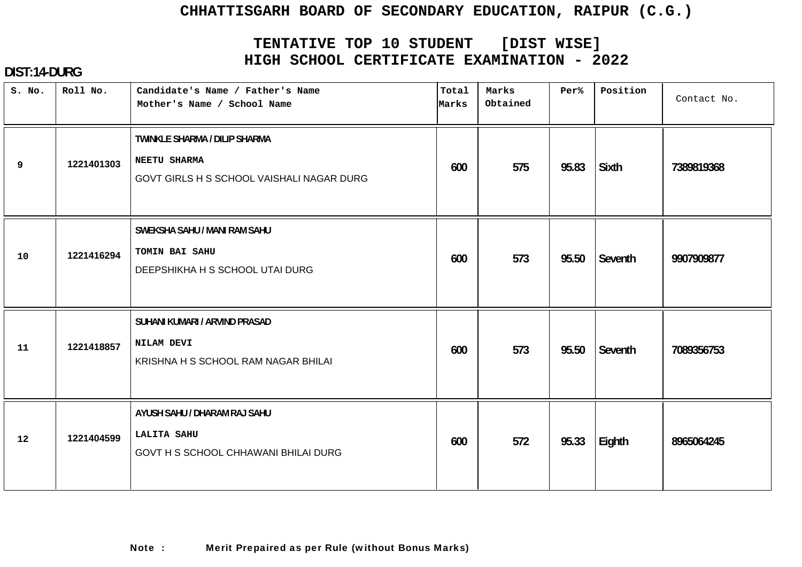# **TENTATIVE TOP 10 STUDENT [DIST WISE] HIGH SCHOOL CERTIFICATE EXAMINATION - 2022**

| S. No. | Roll No.   | Candidate's Name / Father's Name<br>Mother's Name / School Name                            | Total<br>Marks | Marks<br>Obtained | Per%  | Position     | Contact No. |
|--------|------------|--------------------------------------------------------------------------------------------|----------------|-------------------|-------|--------------|-------------|
| 9      | 1221401303 | TWINKLE SHARMA / DILIP SHARMA<br>NEETU SHARMA<br>GOVT GIRLS H S SCHOOL VAISHALI NAGAR DURG | 600            | 575               | 95.83 | <b>Sixth</b> | 7389819368  |
| 10     | 1221416294 | SWEKSHA SAHU / MANI RAM SAHU<br>TOMIN BAI SAHU<br>DEEPSHIKHA H S SCHOOL UTAI DURG          | 600            | 573               | 95.50 | Seventh      | 9907909877  |
| 11     | 1221418857 | SUHANI KUMARI / ARVIND PRASAD<br>NILAM DEVI<br>KRISHNA H S SCHOOL RAM NAGAR BHILAI         | 600            | 573               | 95.50 | Seventh      | 7089356753  |
| 12     | 1221404599 | AYUSH SAHU / DHARAM RAJ SAHU<br><b>LALITA SAHU</b><br>GOVT H S SCHOOL CHHAWANI BHILAI DURG | 600            | 572               | 95.33 | Eighth       | 8965064245  |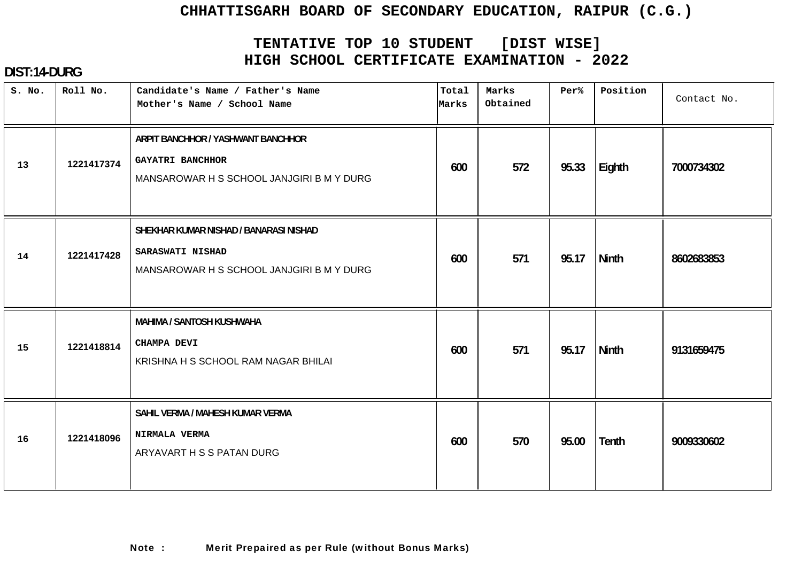# **TENTATIVE TOP 10 STUDENT [DIST WISE] HIGH SCHOOL CERTIFICATE EXAMINATION - 2022**

| S. No. | Roll No.   | Candidate's Name / Father's Name<br>Mother's Name / School Name                                         | Total<br>Marks | Marks<br>Obtained | Per%  | Position     | Contact No. |
|--------|------------|---------------------------------------------------------------------------------------------------------|----------------|-------------------|-------|--------------|-------------|
| 13     | 1221417374 | ARPIT BANCHHOR / YASHWANT BANCHHOR<br>GAYATRI BANCHHOR<br>MANSAROWAR H S SCHOOL JANJGIRI B M Y DURG     | 600            | 572               | 95.33 | Eighth       | 7000734302  |
| 14     | 1221417428 | SHEKHAR KUMAR NISHAD / BANARASI NISHAD<br>SARASWATI NISHAD<br>MANSAROWAR H S SCHOOL JANJGIRI B M Y DURG | 600            | 571               | 95.17 | <b>Ninth</b> | 8602683853  |
| 15     | 1221418814 | <b>MAHIMA / SANTOSH KUSHWAHA</b><br>CHAMPA DEVI<br>KRISHNA H S SCHOOL RAM NAGAR BHILAI                  | 600            | 571               | 95.17 | Ninth        | 9131659475  |
| 16     | 1221418096 | SAHIL VERMA / MAHESH KUMAR VERMA<br>NIRMALA VERMA<br>ARYAVART H S S PATAN DURG                          | 600            | 570               | 95.00 | Tenth        | 9009330602  |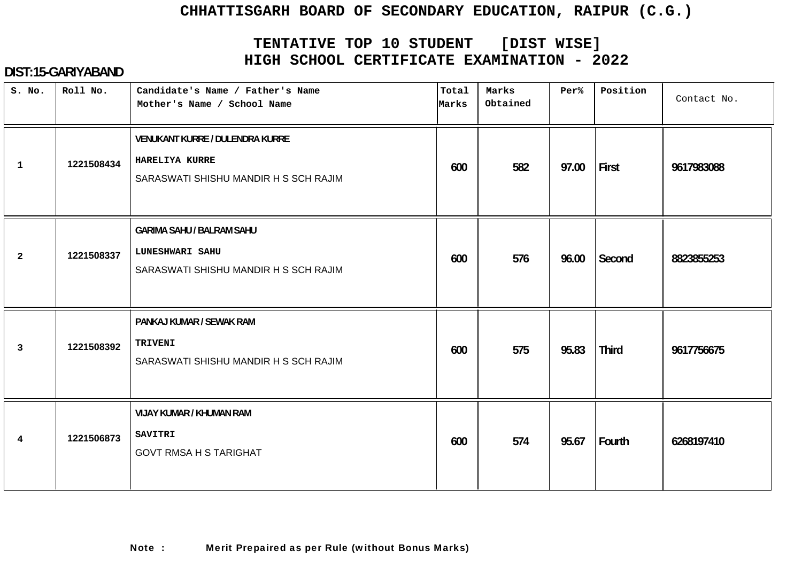# **TENTATIVE TOP 10 STUDENT [DIST WISE] HIGH SCHOOL CERTIFICATE EXAMINATION - 2022**

| S. No.          | Roll No.   | Candidate's Name / Father's Name<br>Mother's Name / School Name                                     | Total<br>Marks | Marks<br>Obtained | Per%  | Position     | Contact No. |
|-----------------|------------|-----------------------------------------------------------------------------------------------------|----------------|-------------------|-------|--------------|-------------|
| $\mathbf{1}$    | 1221508434 | <b>VENUKANT KURRE / DULENDRA KURRE</b><br>HARELIYA KURRE<br>SARASWATI SHISHU MANDIR H S SCH RAJIM   | 600            | 582               | 97.00 | First        | 9617983088  |
| $\overline{2}$  | 1221508337 | <b>GARIMA SAHU / BALRAM SAHU</b><br><b>LUNESHWARI SAHU</b><br>SARASWATI SHISHU MANDIR H S SCH RAJIM | 600            | 576               | 96.00 | Second       | 8823855253  |
| $\mathbf{3}$    | 1221508392 | PANKAJ KUMAR / SEWAK RAM<br><b>TRIVENI</b><br>SARASWATI SHISHU MANDIR H S SCH RAJIM                 | 600            | 575               | 95.83 | <b>Third</b> | 9617756675  |
| $4\overline{ }$ | 1221506873 | <b>VIJAY KUMAR / KHUMAN RAM</b><br><b>SAVITRI</b><br><b>GOVT RMSA H S TARIGHAT</b>                  | 600            | 574               | 95.67 | Fourth       | 6268197410  |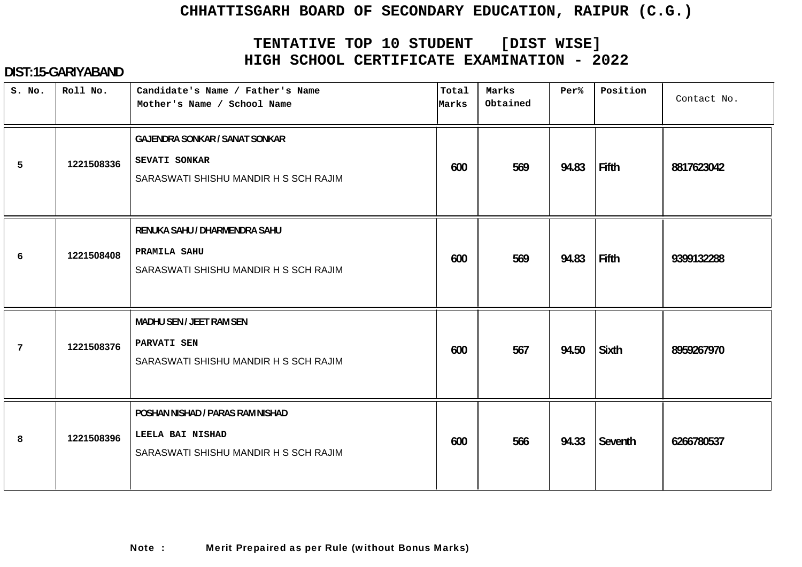# **TENTATIVE TOP 10 STUDENT [DIST WISE] HIGH SCHOOL CERTIFICATE EXAMINATION - 2022**

| S. No. | Roll No.   | Candidate's Name / Father's Name<br>Mother's Name / School Name                                 | Total<br>Marks | Marks<br>Obtained | Per%  | Position     | Contact No. |
|--------|------------|-------------------------------------------------------------------------------------------------|----------------|-------------------|-------|--------------|-------------|
| 5      | 1221508336 | <b>GAJENDRA SONKAR / SANAT SONKAR</b><br>SEVATI SONKAR<br>SARASWATI SHISHU MANDIR H S SCH RAJIM | 600            | 569               | 94.83 | Fifth        | 8817623042  |
| 6      | 1221508408 | RENUKA SAHU / DHARMENDRA SAHU<br>PRAMILA SAHU<br>SARASWATI SHISHU MANDIR H S SCH RAJIM          | 600            | 569               | 94.83 | <b>Fifth</b> | 9399132288  |
| 7      | 1221508376 | MADHU SEN / JEET RAM SEN<br>PARVATI SEN<br>SARASWATI SHISHU MANDIR H S SCH RAJIM                | 600            | 567               | 94.50 | Sixth        | 8959267970  |
| 8      | 1221508396 | POSHAN NISHAD / PARAS RAM NISHAD<br>LEELA BAI NISHAD<br>SARASWATI SHISHU MANDIR H S SCH RAJIM   | 600            | 566               | 94.33 | Seventh      | 6266780537  |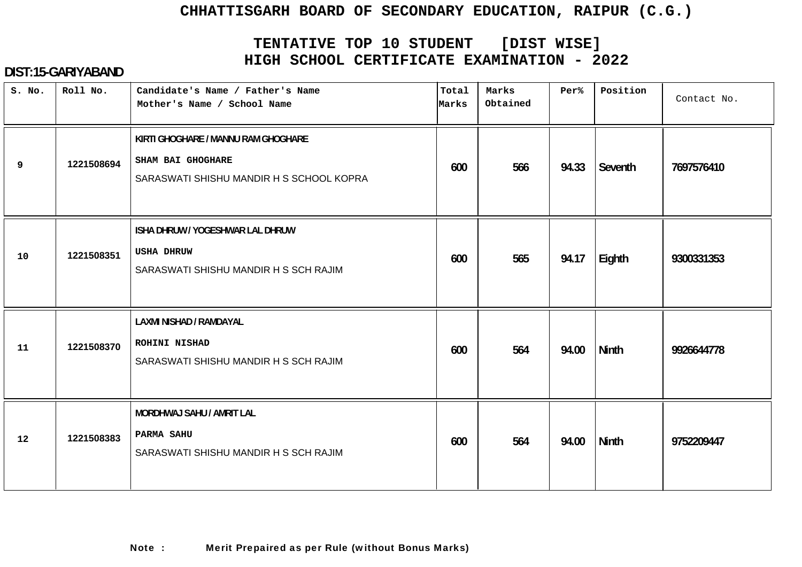# **TENTATIVE TOP 10 STUDENT [DIST WISE] HIGH SCHOOL CERTIFICATE EXAMINATION - 2022**

| S. No. | Roll No.   | Candidate's Name / Father's Name<br>Mother's Name / School Name                                      | Total<br>Marks | Marks<br>Obtained | Per%  | Position | Contact No. |
|--------|------------|------------------------------------------------------------------------------------------------------|----------------|-------------------|-------|----------|-------------|
| 9      | 1221508694 | KIRTI GHOGHARE / MANNU RAM GHOGHARE<br>SHAM BAI GHOGHARE<br>SARASWATI SHISHU MANDIR H S SCHOOL KOPRA | 600            | 566               | 94.33 | Seventh  | 7697576410  |
| 10     | 1221508351 | ISHA DHRUW / YOGESHWAR LAL DHRUW<br><b>USHA DHRUW</b><br>SARASWATI SHISHU MANDIR H S SCH RAJIM       | 600            | 565               | 94.17 | Eighth   | 9300331353  |
| 11     | 1221508370 | LAXMI NISHAD / RAMDAYAL<br>ROHINI NISHAD<br>SARASWATI SHISHU MANDIR H S SCH RAJIM                    | 600            | 564               | 94.00 | Ninth    | 9926644778  |
| 12     | 1221508383 | MORDHWAJ SAHU / AMRIT LAL<br>PARMA SAHU<br>SARASWATI SHISHU MANDIR H S SCH RAJIM                     | 600            | 564               | 94.00 | Ninth    | 9752209447  |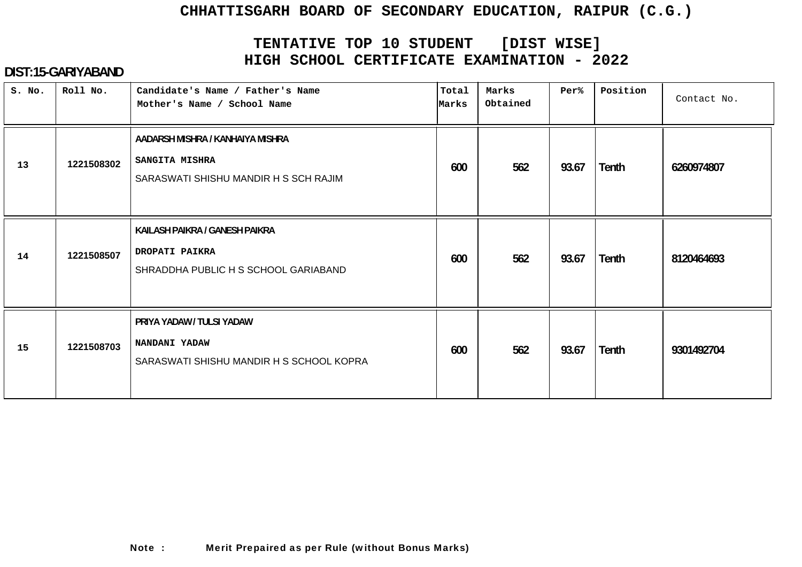# **TENTATIVE TOP 10 STUDENT [DIST WISE] HIGH SCHOOL CERTIFICATE EXAMINATION - 2022**

| S. No. | Roll No.   | Candidate's Name / Father's Name<br>Mother's Name / School Name                                    | Total<br>Marks | Marks<br>Obtained | Per%  | Position     | Contact No. |
|--------|------------|----------------------------------------------------------------------------------------------------|----------------|-------------------|-------|--------------|-------------|
| 13     | 1221508302 | AADARSH MISHRA / KANHAIYA MISHRA<br><b>SANGITA MISHRA</b><br>SARASWATI SHISHU MANDIR H S SCH RAJIM | 600            | 562               | 93.67 | Tenth        | 6260974807  |
| 14     | 1221508507 | KAILASH PAIKRA / GANESH PAIKRA<br>DROPATI PAIKRA<br>SHRADDHA PUBLIC H S SCHOOL GARIABAND           | 600            | 562               | 93.67 | Tenth        | 8120464693  |
| 15     | 1221508703 | PRIYA YADAW / TULSI YADAW<br>NANDANI YADAW<br>SARASWATI SHISHU MANDIR H S SCHOOL KOPRA             | 600            | 562               | 93.67 | <b>Tenth</b> | 9301492704  |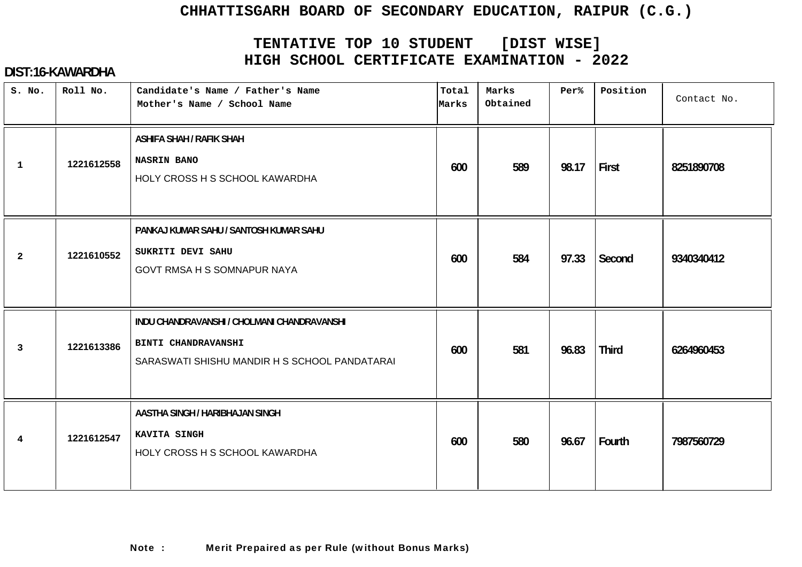# **TENTATIVE TOP 10 STUDENT [DIST WISE] HIGH SCHOOL CERTIFICATE EXAMINATION - 2022**

## **DIST:16-KAWARDHA**

| S. No.         | Roll No.   | Candidate's Name / Father's Name<br>Mother's Name / School Name                                                            | Total<br>Marks | Marks<br>Obtained | Per%  | Position     | Contact No. |
|----------------|------------|----------------------------------------------------------------------------------------------------------------------------|----------------|-------------------|-------|--------------|-------------|
| $\mathbf{1}$   | 1221612558 | <b>ASHIFA SHAH / RAFIK SHAH</b><br><b>NASRIN BANO</b><br>HOLY CROSS H S SCHOOL KAWARDHA                                    | 600            | 589               | 98.17 | First        | 8251890708  |
| $\mathbf{2}$   | 1221610552 | PANKAJ KUMAR SAHU / SANTOSH KUMAR SAHU<br>SUKRITI DEVI SAHU<br>GOVT RMSA H S SOMNAPUR NAYA                                 | 600            | 584               | 97.33 | Second       | 9340340412  |
| $\overline{3}$ | 1221613386 | INDU CHANDRAVANSHI / CHOLMANI CHANDRAVANSHI<br><b>BINTI CHANDRAVANSHI</b><br>SARASWATI SHISHU MANDIR H S SCHOOL PANDATARAI | 600            | 581               | 96.83 | <b>Third</b> | 6264960453  |
| $\overline{4}$ | 1221612547 | AASTHA SINGH / HARIBHAJAN SINGH<br>KAVITA SINGH<br>HOLY CROSS H S SCHOOL KAWARDHA                                          | 600            | 580               | 96.67 | Fourth       | 7987560729  |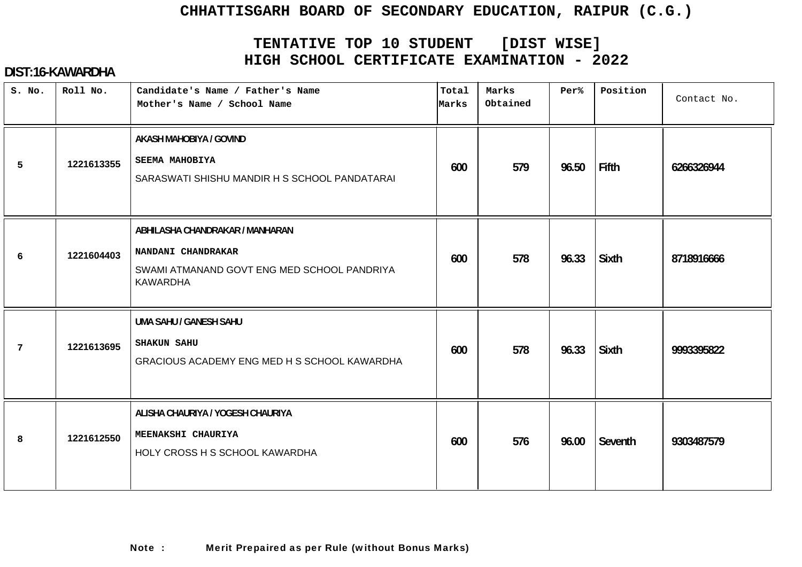# **TENTATIVE TOP 10 STUDENT [DIST WISE] HIGH SCHOOL CERTIFICATE EXAMINATION - 2022**

## **DIST:16-KAWARDHA**

| S. No. | Roll No.   | Candidate's Name / Father's Name<br>Mother's Name / School Name                                                         | Total<br>Marks | Marks<br>Obtained | Per%  | Position     | Contact No. |
|--------|------------|-------------------------------------------------------------------------------------------------------------------------|----------------|-------------------|-------|--------------|-------------|
| 5      | 1221613355 | AKASH MAHOBIYA / GOVIND<br><b>SEEMA MAHOBIYA</b><br>SARASWATI SHISHU MANDIR H S SCHOOL PANDATARAI                       | 600            | 579               | 96.50 | Fifth        | 6266326944  |
| 6      | 1221604403 | ABHILASHA CHANDRAKAR / MANHARAN<br>NANDANI CHANDRAKAR<br>SWAMI ATMANAND GOVT ENG MED SCHOOL PANDRIYA<br><b>KAWARDHA</b> | 600            | 578               | 96.33 | <b>Sixth</b> | 8718916666  |
| 7      | 1221613695 | <b>UMA SAHU / GANESH SAHU</b><br><b>SHAKUN SAHU</b><br>GRACIOUS ACADEMY ENG MED H S SCHOOL KAWARDHA                     | 600            | 578               | 96.33 | <b>Sixth</b> | 9993395822  |
| 8      | 1221612550 | ALISHA CHAURIYA / YOGESH CHAURIYA<br>MEENAKSHI CHAURIYA<br>HOLY CROSS H S SCHOOL KAWARDHA                               | 600            | 576               | 96.00 | Seventh      | 9303487579  |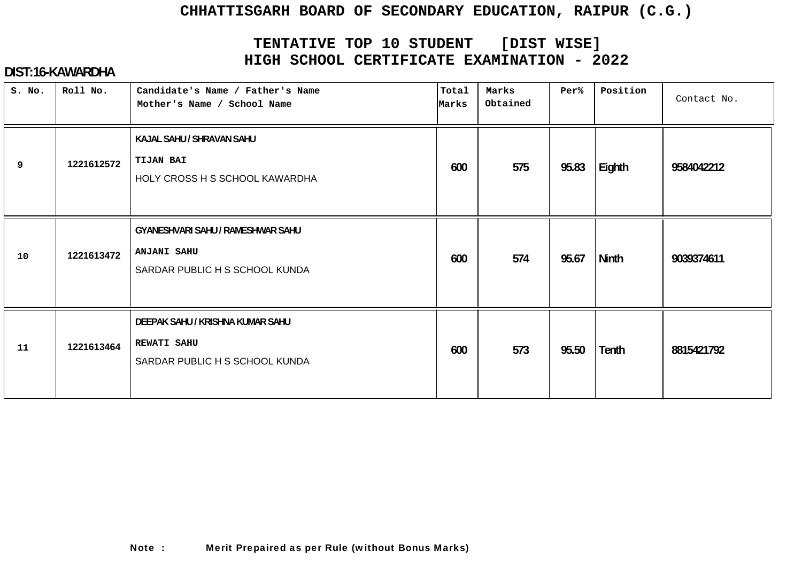# **TENTATIVE TOP 10 STUDENT [DIST WISE] HIGH SCHOOL CERTIFICATE EXAMINATION - 2022**

## **DIST:16-KAWARDHA**

| S. No. | Roll No.   | Candidate's Name / Father's Name<br>Mother's Name / School Name                           | Total<br>Marks | Marks<br>Obtained | Per%  | Position     | Contact No. |
|--------|------------|-------------------------------------------------------------------------------------------|----------------|-------------------|-------|--------------|-------------|
| 9      | 1221612572 | KAJAL SAHU / SHRAVAN SAHU<br><b>TIJAN BAI</b><br>HOLY CROSS H S SCHOOL KAWARDHA           | 600            | 575               | 95.83 | Eighth       | 9584042212  |
| 10     | 1221613472 | GYANESHVARI SAHU / RAMESHWAR SAHU<br><b>ANJANI SAHU</b><br>SARDAR PUBLIC H S SCHOOL KUNDA | 600            | 574               | 95.67 | <b>Ninth</b> | 9039374611  |
| 11     | 1221613464 | DEEPAK SAHU / KRISHNA KUMAR SAHU<br><b>REWATI SAHU</b><br>SARDAR PUBLIC H S SCHOOL KUNDA  | 600            | 573               | 95.50 | Tenth        | 8815421792  |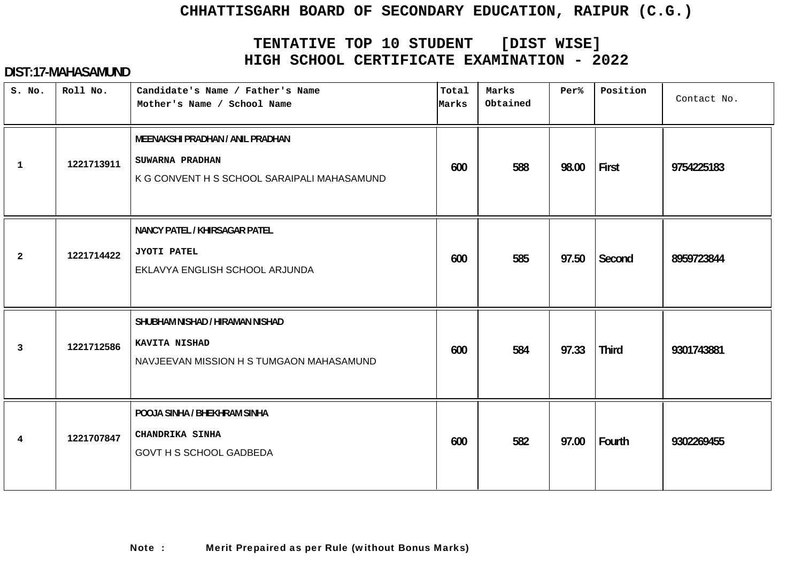# **TENTATIVE TOP 10 STUDENT [DIST WISE] HIGH SCHOOL CERTIFICATE EXAMINATION - 2022**

| S. No.         | Roll No.   | Candidate's Name / Father's Name<br>Mother's Name / School Name                                           | Total<br>Marks | Marks<br>Obtained | Per%  | Position     | Contact No. |
|----------------|------------|-----------------------------------------------------------------------------------------------------------|----------------|-------------------|-------|--------------|-------------|
| $\mathbf{1}$   | 1221713911 | <b>MEENAKSHI PRADHAN / ANIL PRADHAN</b><br>SUWARNA PRADHAN<br>K G CONVENT H S SCHOOL SARAIPALI MAHASAMUND | 600            | 588               | 98.00 | First        | 9754225183  |
| $\overline{2}$ | 1221714422 | NANCY PATEL / KHIRSAGAR PATEL<br>JYOTI PATEL<br>EKLAVYA ENGLISH SCHOOL ARJUNDA                            | 600            | 585               | 97.50 | Second       | 8959723844  |
| 3              | 1221712586 | SHUBHAM NISHAD / HIRAMAN NISHAD<br><b>KAVITA NISHAD</b><br>NAVJEEVAN MISSION H S TUMGAON MAHASAMUND       | 600            | 584               | 97.33 | <b>Third</b> | 9301743881  |
| 4              | 1221707847 | POOJA SINHA / BHEKHRAM SINHA<br>CHANDRIKA SINHA<br><b>GOVT H S SCHOOL GADBEDA</b>                         | 600            | 582               | 97.00 | Fourth       | 9302269455  |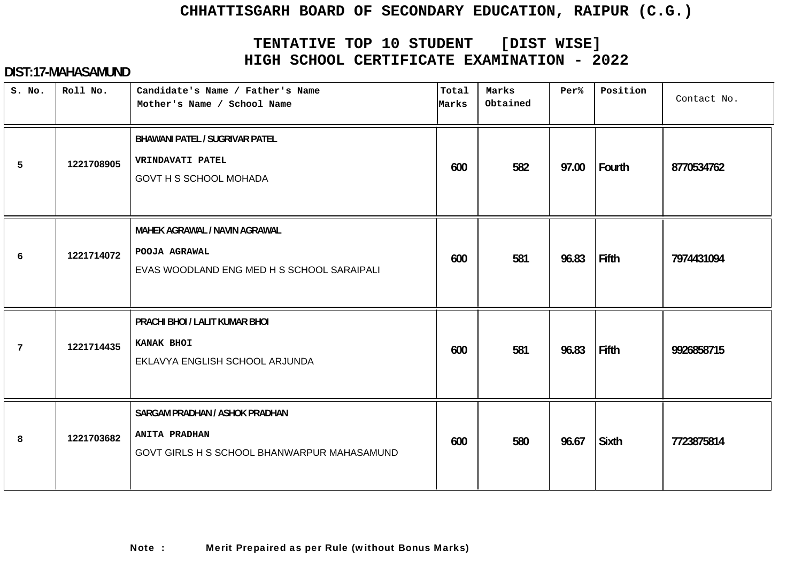# **TENTATIVE TOP 10 STUDENT [DIST WISE] HIGH SCHOOL CERTIFICATE EXAMINATION - 2022**

| S. No. | Roll No.   | Candidate's Name / Father's Name<br>Mother's Name / School Name                                       | Total<br>Marks | Marks<br>Obtained | Per%  | Position     | Contact No. |
|--------|------------|-------------------------------------------------------------------------------------------------------|----------------|-------------------|-------|--------------|-------------|
| 5      | 1221708905 | <b>BHAWANI PATEL / SUGRIVAR PATEL</b><br>VRINDAVATI PATEL<br>GOVT H S SCHOOL MOHADA                   | 600            | 582               | 97.00 | Fourth       | 8770534762  |
| 6      | 1221714072 | MAHEK AGRAWAL / NAVIN AGRAWAL<br>POOJA AGRAWAL<br>EVAS WOODLAND ENG MED H S SCHOOL SARAIPALI          | 600            | 581               | 96.83 | <b>Fifth</b> | 7974431094  |
| 7      | 1221714435 | PRACHI BHOI / LALIT KUMAR BHOI<br>KANAK BHOI<br>EKLAVYA ENGLISH SCHOOL ARJUNDA                        | 600            | 581               | 96.83 | Fifth        | 9926858715  |
| 8      | 1221703682 | SARGAM PRADHAN / ASHOK PRADHAN<br><b>ANITA PRADHAN</b><br>GOVT GIRLS H S SCHOOL BHANWARPUR MAHASAMUND | 600            | 580               | 96.67 | <b>Sixth</b> | 7723875814  |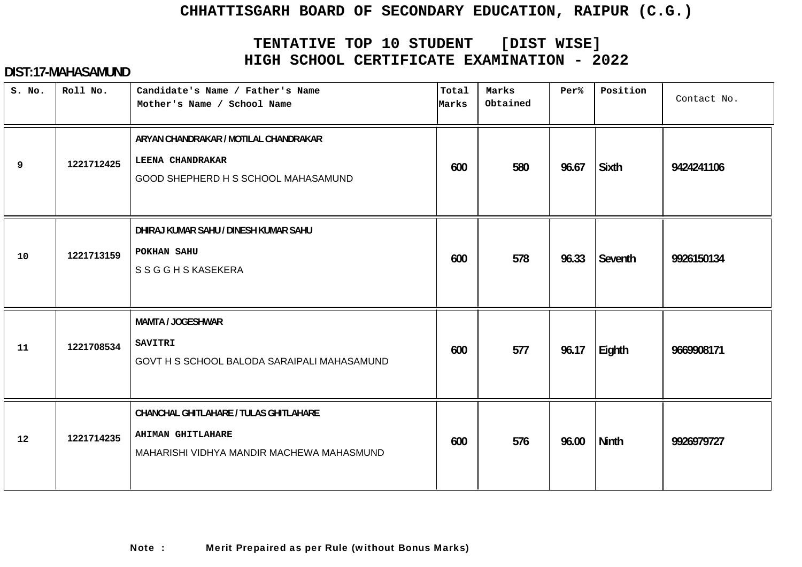# **TENTATIVE TOP 10 STUDENT [DIST WISE] HIGH SCHOOL CERTIFICATE EXAMINATION - 2022**

| S. No. | Roll No.   | Candidate's Name / Father's Name<br>Mother's Name / School Name                                                 | Total<br>Marks | Marks<br>Obtained | Per%  | Position     | Contact No. |
|--------|------------|-----------------------------------------------------------------------------------------------------------------|----------------|-------------------|-------|--------------|-------------|
| 9      | 1221712425 | ARYAN CHANDRAKAR / MOTILAL CHANDRAKAR<br><b>LEENA CHANDRAKAR</b><br>GOOD SHEPHERD H S SCHOOL MAHASAMUND         | 600            | 580               | 96.67 | <b>Sixth</b> | 9424241106  |
| 10     | 1221713159 | DHIRAJ KUMAR SAHU / DINESH KUMAR SAHU<br>POKHAN SAHU<br><b>SSGGHSKASEKERA</b>                                   | 600            | 578               | 96.33 | Seventh      | 9926150134  |
| 11     | 1221708534 | <b>MAMTA / JOGESHWAR</b><br>SAVITRI<br>GOVT H S SCHOOL BALODA SARAIPALI MAHASAMUND                              | 600            | 577               | 96.17 | Eighth       | 9669908171  |
| 12     | 1221714235 | CHANCHAL GHITLAHARE / TULAS GHITLAHARE<br><b>AHIMAN GHITLAHARE</b><br>MAHARISHI VIDHYA MANDIR MACHEWA MAHASMUND | 600            | 576               | 96.00 | <b>Ninth</b> | 9926979727  |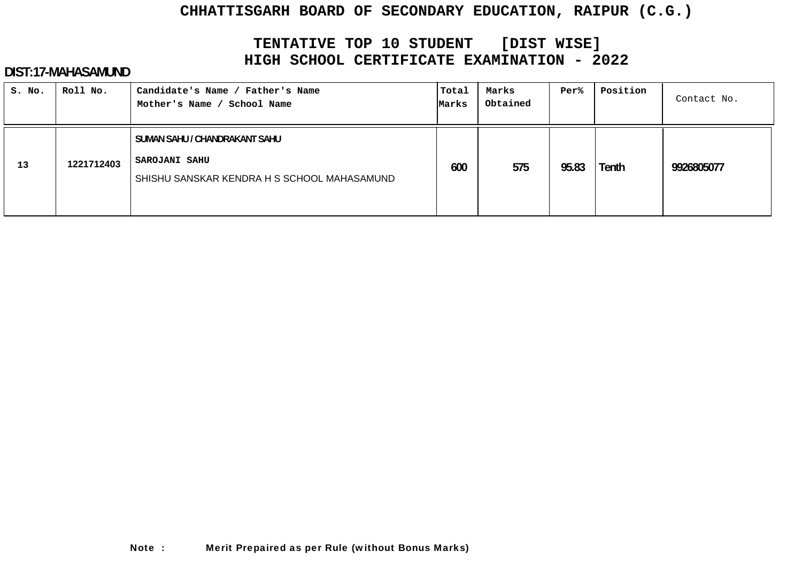# **TENTATIVE TOP 10 STUDENT [DIST WISE] HIGH SCHOOL CERTIFICATE EXAMINATION - 2022**

| S. No. | Roll No.   | Candidate's Name / Father's Name<br>Mother's Name /<br>School Name                                   | Total<br>Marks | Marks<br>Obtained | Per%  | Position | Contact No. |
|--------|------------|------------------------------------------------------------------------------------------------------|----------------|-------------------|-------|----------|-------------|
| 13     | 1221712403 | SUMAN SAHU / CHANDRAKANT SAHU<br><b>SAROJANI SAHU</b><br>SHISHU SANSKAR KENDRA H S SCHOOL MAHASAMUND | 600            | 575               | 95.83 | Tenth    | 9926805077  |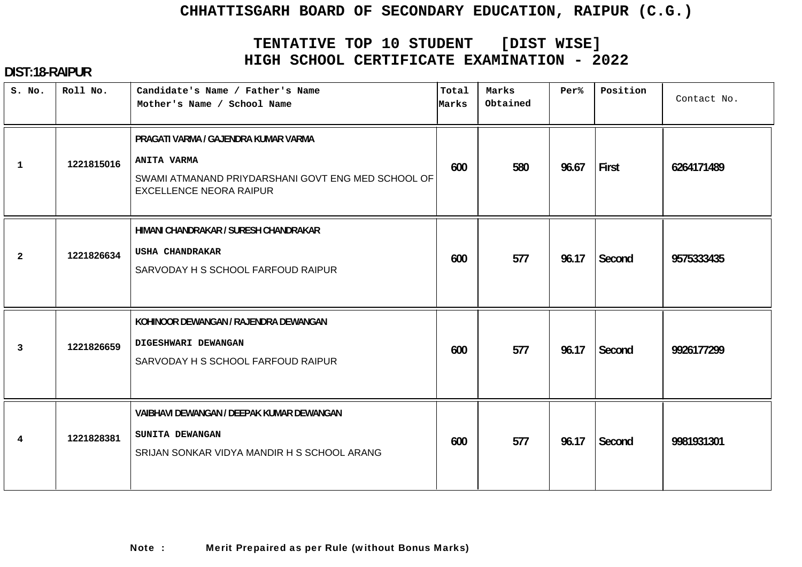# **TENTATIVE TOP 10 STUDENT [DIST WISE] HIGH SCHOOL CERTIFICATE EXAMINATION - 2022**

# **DIST:18-RAIPUR**

| S. No.         | Roll No.   | Candidate's Name / Father's Name<br>Mother's Name / School Name                                                                                    | Total<br>Marks | Marks<br>Obtained | Per%  | Position | Contact No. |
|----------------|------------|----------------------------------------------------------------------------------------------------------------------------------------------------|----------------|-------------------|-------|----------|-------------|
| $\mathbf{1}$   | 1221815016 | PRAGATI VARMA / GAJENDRA KUMAR VARMA<br><b>ANITA VARMA</b><br>SWAMI ATMANAND PRIYDARSHANI GOVT ENG MED SCHOOL OF<br><b>EXCELLENCE NEORA RAIPUR</b> | 600            | 580               | 96.67 | First    | 6264171489  |
| $\overline{a}$ | 1221826634 | HIMANI CHANDRAKAR / SURESH CHANDRAKAR<br>USHA CHANDRAKAR<br>SARVODAY H S SCHOOL FARFOUD RAIPUR                                                     | 600            | 577               | 96.17 | Second   | 9575333435  |
| 3              | 1221826659 | KOHINOOR DEWANGAN / RAJENDRA DEWANGAN<br>DIGESHWARI DEWANGAN<br>SARVODAY H S SCHOOL FARFOUD RAIPUR                                                 | 600            | 577               | 96.17 | Second   | 9926177299  |
| 4              | 1221828381 | VAIBHAVI DEWANGAN / DEEPAK KUMAR DEWANGAN<br>SUNITA DEWANGAN<br>SRIJAN SONKAR VIDYA MANDIR H S SCHOOL ARANG                                        | 600            | 577               | 96.17 | Second   | 9981931301  |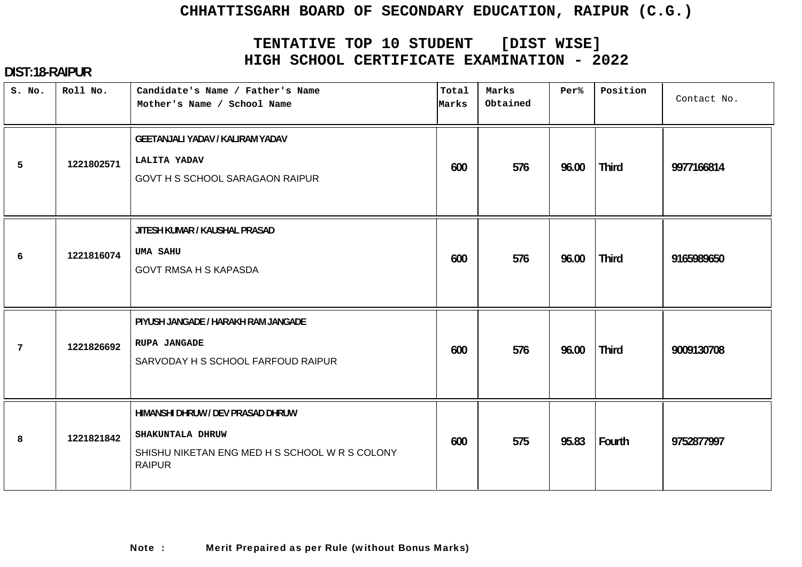# **TENTATIVE TOP 10 STUDENT [DIST WISE] HIGH SCHOOL CERTIFICATE EXAMINATION - 2022**

| S. No.          | Roll No.   | Candidate's Name / Father's Name<br>Mother's Name / School Name                                                          | Total<br>Marks | Marks<br>Obtained | Per%  | Position     | Contact No. |
|-----------------|------------|--------------------------------------------------------------------------------------------------------------------------|----------------|-------------------|-------|--------------|-------------|
| 5               | 1221802571 | <b>GEETANJALI YADAV / KALIRAM YADAV</b><br><b>LALITA YADAV</b><br>GOVT H S SCHOOL SARAGAON RAIPUR                        | 600            | 576               | 96.00 | <b>Third</b> | 9977166814  |
| 6               | 1221816074 | JITESH KUMAR / KAUSHAL PRASAD<br><b>UMA SAHU</b><br><b>GOVT RMSA H S KAPASDA</b>                                         | 600            | 576               | 96.00 | <b>Third</b> | 9165989650  |
| $7\phantom{.0}$ | 1221826692 | PIYUSH JANGADE / HARAKH RAM JANGADE<br><b>RUPA JANGADE</b><br>SARVODAY H S SCHOOL FARFOUD RAIPUR                         | 600            | 576               | 96.00 | <b>Third</b> | 9009130708  |
| 8               | 1221821842 | HIMANSHI DHRUW / DEV PRASAD DHRUW<br>SHAKUNTALA DHRUW<br>SHISHU NIKETAN ENG MED H S SCHOOL W R S COLONY<br><b>RAIPUR</b> | 600            | 575               | 95.83 | Fourth       | 9752877997  |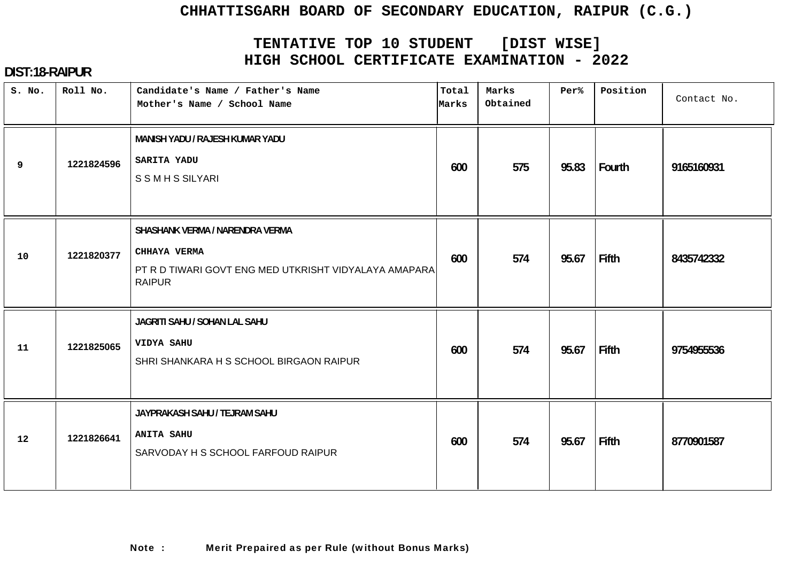# **TENTATIVE TOP 10 STUDENT [DIST WISE] HIGH SCHOOL CERTIFICATE EXAMINATION - 2022**

| S. No. | Roll No.   | Candidate's Name / Father's Name<br>Mother's Name / School Name                                                           | Total<br>Marks | Marks<br>Obtained | Per%  | Position | Contact No. |
|--------|------------|---------------------------------------------------------------------------------------------------------------------------|----------------|-------------------|-------|----------|-------------|
| 9      | 1221824596 | MANISH YADU / RAJESH KUMAR YADU<br>SARITA YADU<br><b>SSMHSSILYARI</b>                                                     | 600            | 575               | 95.83 | Fourth   | 9165160931  |
| 10     | 1221820377 | SHASHANK VERMA / NARENDRA VERMA<br>CHHAYA VERMA<br>PT R D TIWARI GOVT ENG MED UTKRISHT VIDYALAYA AMAPARA<br><b>RAIPUR</b> | 600            | 574               | 95.67 | Fifth    | 8435742332  |
| 11     | 1221825065 | JAGRITI SAHU / SOHAN LAL SAHU<br>VIDYA SAHU<br>SHRI SHANKARA H S SCHOOL BIRGAON RAIPUR                                    | 600            | 574               | 95.67 | Fifth    | 9754955536  |
| 12     | 1221826641 | JAYPRAKASH SAHU / TEJRAM SAHU<br><b>ANITA SAHU</b><br>SARVODAY H S SCHOOL FARFOUD RAIPUR                                  | 600            | 574               | 95.67 | Fifth    | 8770901587  |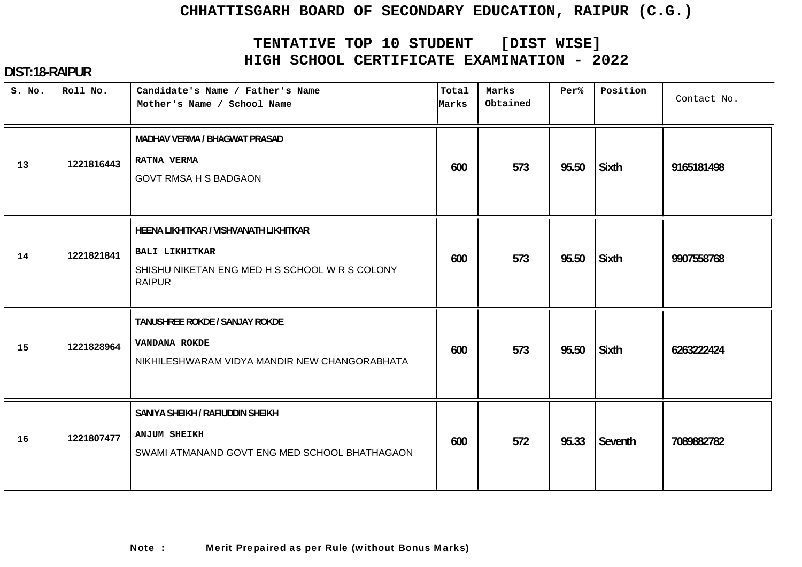# **TENTATIVE TOP 10 STUDENT [DIST WISE] HIGH SCHOOL CERTIFICATE EXAMINATION - 2022**

| S. No. | Roll No.   | Candidate's Name / Father's Name<br>Mother's Name / School Name                                                                    | Total<br>Marks | Marks<br>Obtained | Per%  | Position     | Contact No. |
|--------|------------|------------------------------------------------------------------------------------------------------------------------------------|----------------|-------------------|-------|--------------|-------------|
| 13     | 1221816443 | <b>MADHAV VERMA / BHAGWAT PRASAD</b><br><b>RATNA VERMA</b><br><b>GOVT RMSA H S BADGAON</b>                                         | 600            | 573               | 95.50 | <b>Sixth</b> | 9165181498  |
| 14     | 1221821841 | HEENA LIKHITKAR / VISHVANATH LIKHITKAR<br><b>BALI LIKHITKAR</b><br>SHISHU NIKETAN ENG MED H S SCHOOL W R S COLONY<br><b>RAIPUR</b> | 600            | 573               | 95.50 | <b>Sixth</b> | 9907558768  |
| 15     | 1221828964 | TANUSHREE ROKDE / SANJAY ROKDE<br>VANDANA ROKDE<br>NIKHILESHWARAM VIDYA MANDIR NEW CHANGORABHATA                                   | 600            | 573               | 95.50 | Sixth        | 6263222424  |
| 16     | 1221807477 | SANIYA SHEIKH / RAFIUDDIN SHEIKH<br><b>ANJUM SHEIKH</b><br>SWAMI ATMANAND GOVT ENG MED SCHOOL BHATHAGAON                           | 600            | 572               | 95.33 | Seventh      | 7089882782  |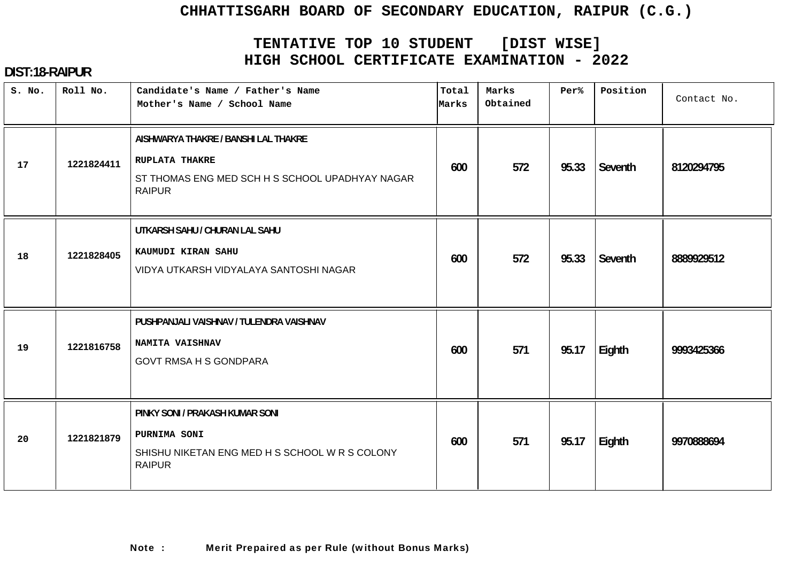# **TENTATIVE TOP 10 STUDENT [DIST WISE] HIGH SCHOOL CERTIFICATE EXAMINATION - 2022**

| S. No. | Roll No.   | Candidate's Name / Father's Name<br>Mother's Name / School Name                                                                   | Total<br>Marks | Marks<br>Obtained | Per%  | Position | Contact No. |
|--------|------------|-----------------------------------------------------------------------------------------------------------------------------------|----------------|-------------------|-------|----------|-------------|
| 17     | 1221824411 | AISHWARYA THAKRE / BANSHI LAL THAKRE<br><b>RUPLATA THAKRE</b><br>ST THOMAS ENG MED SCH H S SCHOOL UPADHYAY NAGAR<br><b>RAIPUR</b> | 600            | 572               | 95.33 | Seventh  | 8120294795  |
| 18     | 1221828405 | UTKARSH SAHU / CHURAN LAL SAHU<br>KAUMUDI KIRAN SAHU<br>VIDYA UTKARSH VIDYALAYA SANTOSHI NAGAR                                    | 600            | 572               | 95.33 | Seventh  | 8889929512  |
| 19     | 1221816758 | PUSHPANJALI VAISHNAV / TULENDRA VAISHNAV<br>NAMITA VAISHNAV<br><b>GOVT RMSA H S GONDPARA</b>                                      | 600            | 571               | 95.17 | Eighth   | 9993425366  |
| 20     | 1221821879 | PINKY SONI / PRAKASH KUMAR SONI<br>PURNIMA SONI<br>SHISHU NIKETAN ENG MED H S SCHOOL W R S COLONY<br><b>RAIPUR</b>                | 600            | 571               | 95.17 | Eighth   | 9970888694  |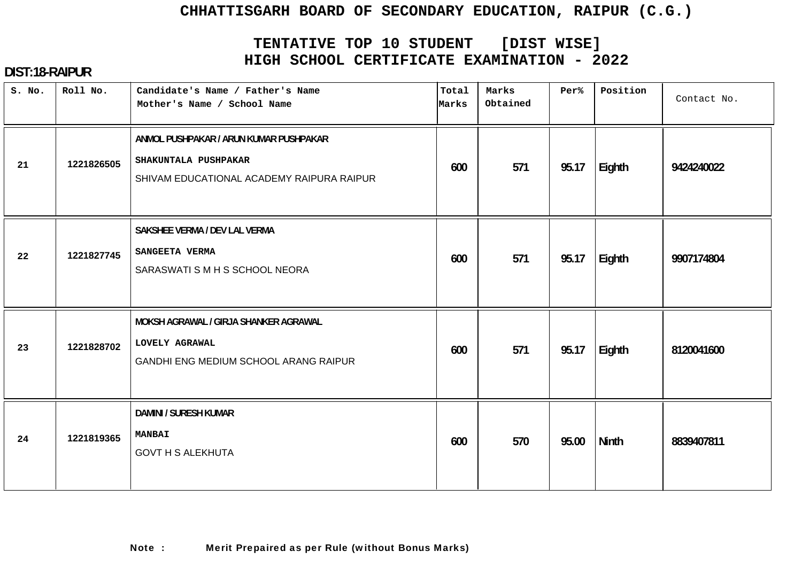# **TENTATIVE TOP 10 STUDENT [DIST WISE] HIGH SCHOOL CERTIFICATE EXAMINATION - 2022**

| S. No. | Roll No.   | Candidate's Name / Father's Name<br>Mother's Name / School Name                                             | Total<br>Marks | Marks<br>Obtained | Per%  | Position | Contact No. |
|--------|------------|-------------------------------------------------------------------------------------------------------------|----------------|-------------------|-------|----------|-------------|
| 21     | 1221826505 | ANMOL PUSHPAKAR / ARUN KUMAR PUSHPAKAR<br>SHAKUNTALA PUSHPAKAR<br>SHIVAM EDUCATIONAL ACADEMY RAIPURA RAIPUR | 600            | 571               | 95.17 | Eighth   | 9424240022  |
| 22     | 1221827745 | SAKSHEE VERMA / DEV LAL VERMA<br>SANGEETA VERMA<br>SARASWATI S M H S SCHOOL NEORA                           | 600            | 571               | 95.17 | Eighth   | 9907174804  |
| 23     | 1221828702 | MOKSH AGRAWAL / GIRJA SHANKER AGRAWAL<br>LOVELY AGRAWAL<br>GANDHI ENG MEDIUM SCHOOL ARANG RAIPUR            | 600            | 571               | 95.17 | Eighth   | 8120041600  |
| 24     | 1221819365 | <b>DAMINI / SURESH KUMAR</b><br><b>MANBAI</b><br><b>GOVT H S ALEKHUTA</b>                                   | 600            | 570               | 95.00 | Ninth    | 8839407811  |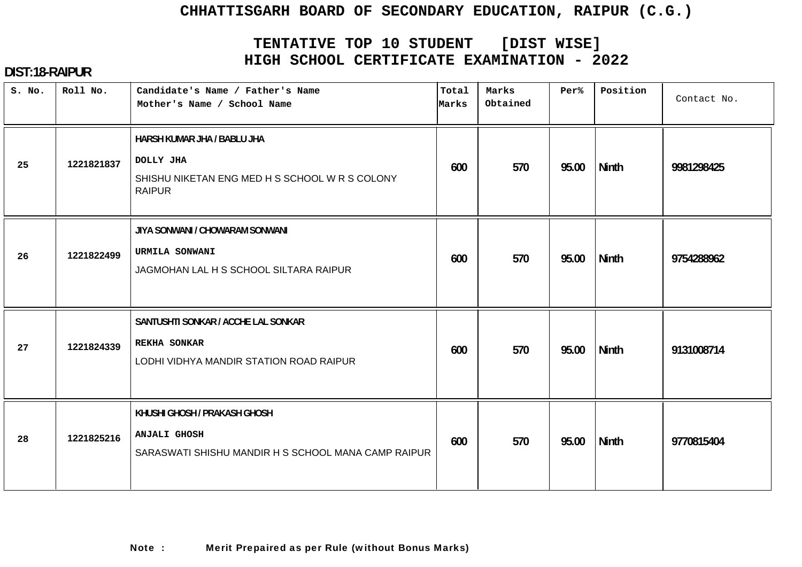# **TENTATIVE TOP 10 STUDENT [DIST WISE] HIGH SCHOOL CERTIFICATE EXAMINATION - 2022**

| S. No. | Roll No.   | Candidate's Name / Father's Name<br>Mother's Name / School Name                                             | Total<br>Marks | Marks<br>Obtained | Per%  | Position     | Contact No. |
|--------|------------|-------------------------------------------------------------------------------------------------------------|----------------|-------------------|-------|--------------|-------------|
| 25     | 1221821837 | HARSH KUMAR JHA / BABLU JHA<br>DOLLY JHA<br>SHISHU NIKETAN ENG MED H S SCHOOL W R S COLONY<br><b>RAIPUR</b> | 600            | 570               | 95.00 | <b>Ninth</b> | 9981298425  |
| 26     | 1221822499 | JIYA SONWANI / CHOWARAM SONWANI<br>URMILA SONWANI<br>JAGMOHAN LAL H S SCHOOL SILTARA RAIPUR                 | 600            | 570               | 95.00 | Ninth        | 9754288962  |
| 27     | 1221824339 | SANTUSHTI SONKAR / ACCHE LAL SONKAR<br>REKHA SONKAR<br>LODHI VIDHYA MANDIR STATION ROAD RAIPUR              | 600            | 570               | 95.00 | <b>Ninth</b> | 9131008714  |
| 28     | 1221825216 | KHUSHI GHOSH / PRAKASH GHOSH<br><b>ANJALI GHOSH</b><br>SARASWATI SHISHU MANDIR H S SCHOOL MANA CAMP RAIPUR  | 600            | 570               | 95.00 | <b>Ninth</b> | 9770815404  |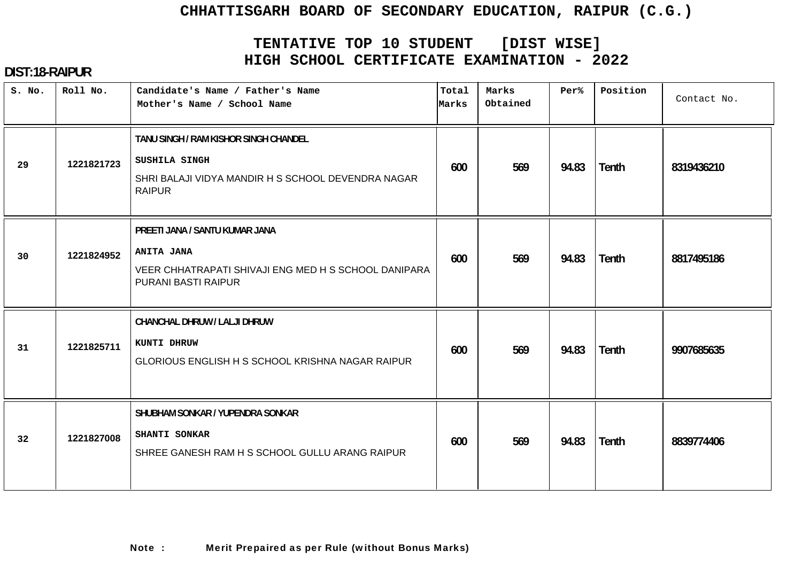# **TENTATIVE TOP 10 STUDENT [DIST WISE] HIGH SCHOOL CERTIFICATE EXAMINATION - 2022**

| S. No. | Roll No.   | Candidate's Name / Father's Name<br>Mother's Name / School Name                                                                    | Total<br>Marks | Marks<br>Obtained | Per%  | Position     | Contact No. |
|--------|------------|------------------------------------------------------------------------------------------------------------------------------------|----------------|-------------------|-------|--------------|-------------|
| 29     | 1221821723 | TANU SINGH / RAM KISHOR SINGH CHANDEL<br>SUSHILA SINGH<br>SHRI BALAJI VIDYA MANDIR H S SCHOOL DEVENDRA NAGAR<br><b>RAIPUR</b>      | 600            | 569               | 94.83 | Tenth        | 8319436210  |
| 30     | 1221824952 | PREETI JANA / SANTU KUMAR JANA<br><b>ANITA JANA</b><br>VEER CHHATRAPATI SHIVAJI ENG MED H S SCHOOL DANIPARA<br>PURANI BASTI RAIPUR | 600            | 569               | 94.83 | Tenth        | 8817495186  |
| 31     | 1221825711 | CHANCHAL DHRUW / LALJI DHRUW<br>KUNTI DHRUW<br>GLORIOUS ENGLISH H S SCHOOL KRISHNA NAGAR RAIPUR                                    | 600            | 569               | 94.83 | Tenth        | 9907685635  |
| 32     | 1221827008 | SHUBHAM SONKAR / YUPENDRA SONKAR<br>SHANTI SONKAR<br>SHREE GANESH RAM H S SCHOOL GULLU ARANG RAIPUR                                | 600            | 569               | 94.83 | <b>Tenth</b> | 8839774406  |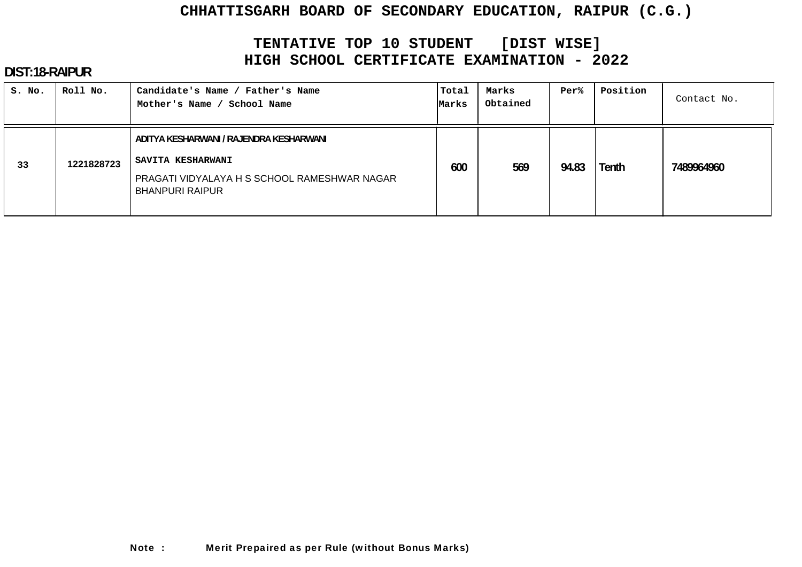# **TENTATIVE TOP 10 STUDENT [DIST WISE] HIGH SCHOOL CERTIFICATE EXAMINATION - 2022**

| S. No. | Roll No.   | Candidate's Name / Father's Name<br>Mother's Name / School Name                                                                        | Total<br>Marks | Marks<br>Obtained | Per%  | Position | Contact No. |
|--------|------------|----------------------------------------------------------------------------------------------------------------------------------------|----------------|-------------------|-------|----------|-------------|
| 33     | 1221828723 | ADITYA KESHARWANI / RAJENDRA KESHARWANI<br>SAVITA KESHARWANI<br>PRAGATI VIDYALAYA H S SCHOOL RAMESHWAR NAGAR<br><b>BHANPURI RAIPUR</b> | 600            | 569               | 94.83 | Tenth    | 7489964960  |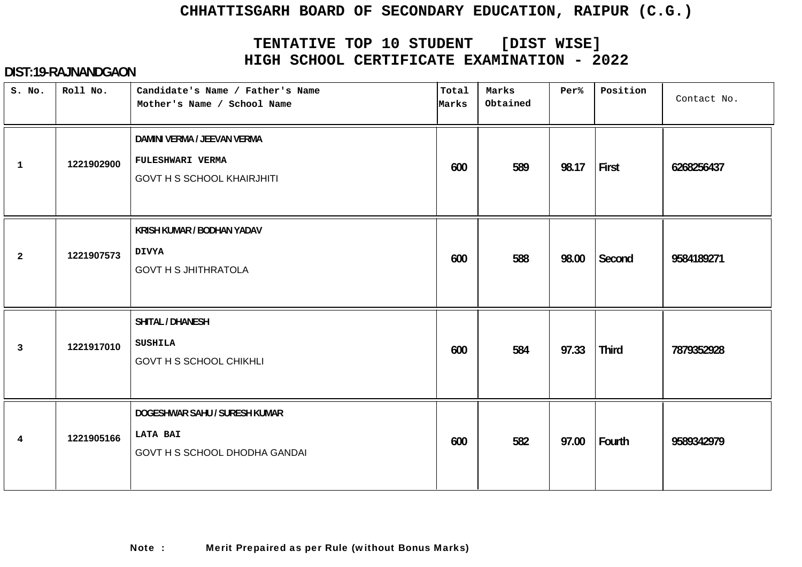# **TENTATIVE TOP 10 STUDENT [DIST WISE] HIGH SCHOOL CERTIFICATE EXAMINATION - 2022**

| S. No.         | Roll No.   | Candidate's Name / Father's Name<br>Mother's Name / School Name                      | Total<br>Marks | Marks<br>Obtained | Per%  | Position     | Contact No. |
|----------------|------------|--------------------------------------------------------------------------------------|----------------|-------------------|-------|--------------|-------------|
| $\mathbf{1}$   | 1221902900 | DAMINI VERMA / JEEVAN VERMA<br>FULESHWARI VERMA<br><b>GOVT H S SCHOOL KHAIRJHITI</b> | 600            | 589               | 98.17 | First        | 6268256437  |
| $\overline{2}$ | 1221907573 | KRISH KUMAR / BODHAN YADAV<br><b>DIVYA</b><br><b>GOVT H S JHITHRATOLA</b>            | 600            | 588               | 98.00 | Second       | 9584189271  |
| $\mathbf{3}$   | 1221917010 | SHITAL / DHANESH<br><b>SUSHILA</b><br><b>GOVT H S SCHOOL CHIKHLI</b>                 | 600            | 584               | 97.33 | <b>Third</b> | 7879352928  |
| 4              | 1221905166 | DOGESHWAR SAHU / SURESH KUMAR<br><b>LATA BAI</b><br>GOVT H S SCHOOL DHODHA GANDAI    | 600            | 582               | 97.00 | Fourth       | 9589342979  |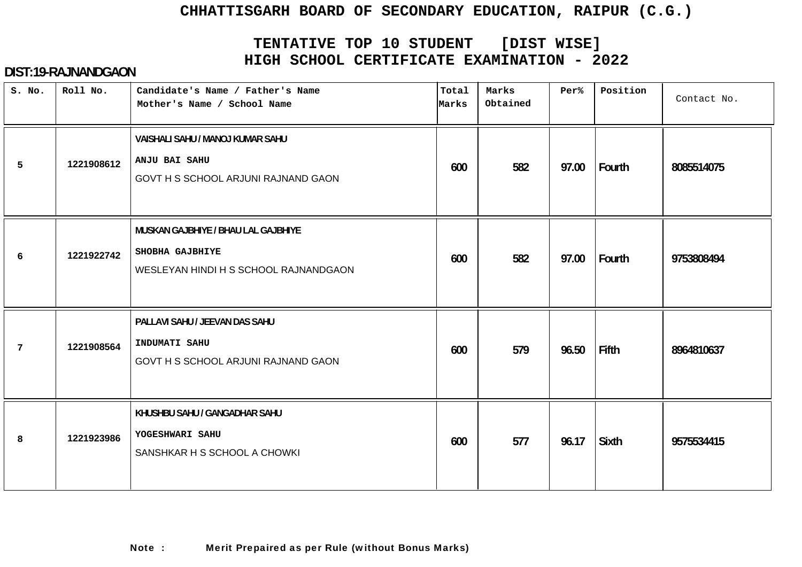# **TENTATIVE TOP 10 STUDENT [DIST WISE] HIGH SCHOOL CERTIFICATE EXAMINATION - 2022**

| S. No. | Roll No.   | Candidate's Name / Father's Name<br>Mother's Name / School Name                                 | Total<br>Marks | Marks<br>Obtained | Per%  | Position     | Contact No. |
|--------|------------|-------------------------------------------------------------------------------------------------|----------------|-------------------|-------|--------------|-------------|
| 5      | 1221908612 | VAISHALI SAHU / MANOJ KUMAR SAHU<br>ANJU BAI SAHU<br>GOVT H S SCHOOL ARJUNI RAJNAND GAON        | 600            | 582               | 97.00 | Fourth       | 8085514075  |
| 6      | 1221922742 | MUSKAN GAJBHIYE / BHAU LAL GAJBHIYE<br>SHOBHA GAJBHIYE<br>WESLEYAN HINDI H S SCHOOL RAJNANDGAON | 600            | 582               | 97.00 | Fourth       | 9753808494  |
| 7      | 1221908564 | PALLAVI SAHU / JEEVAN DAS SAHU<br>INDUMATI SAHU<br>GOVT H S SCHOOL ARJUNI RAJNAND GAON          | 600            | 579               | 96.50 | Fifth        | 8964810637  |
| 8      | 1221923986 | KHUSHBU SAHU / GANGADHAR SAHU<br>YOGESHWARI SAHU<br>SANSHKAR H S SCHOOL A CHOWKI                | 600            | 577               | 96.17 | <b>Sixth</b> | 9575534415  |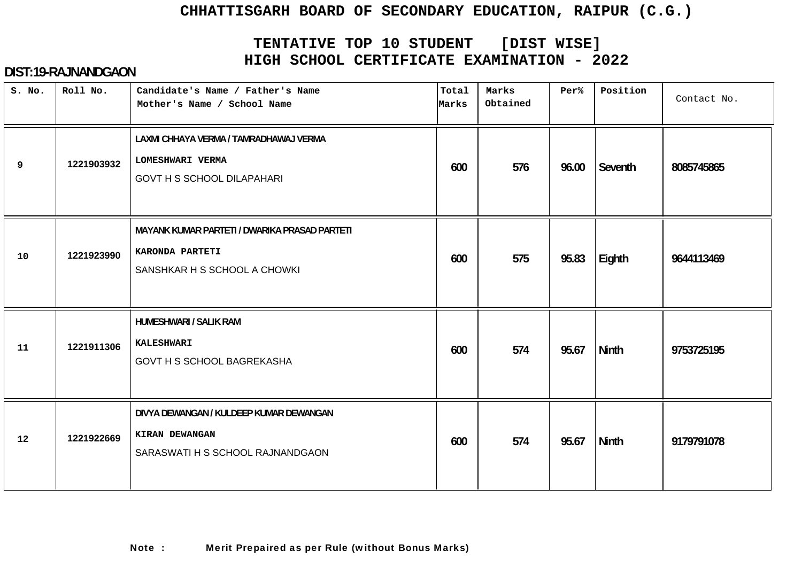# **TENTATIVE TOP 10 STUDENT [DIST WISE] HIGH SCHOOL CERTIFICATE EXAMINATION - 2022**

| S. No. | Roll No.   | Candidate's Name / Father's Name<br>Mother's Name / School Name                                  | Total<br>Marks | Marks<br>Obtained | Per%  | Position     | Contact No. |
|--------|------------|--------------------------------------------------------------------------------------------------|----------------|-------------------|-------|--------------|-------------|
| 9      | 1221903932 | LAXMI CHHAYA VERMA / TAMRADHAWAJ VERMA<br>LOMESHWARI VERMA<br><b>GOVT H S SCHOOL DILAPAHARI</b>  | 600            | 576               | 96.00 | Seventh      | 8085745865  |
| 10     | 1221923990 | MAYANK KUMAR PARTETI / DWARIKA PRASAD PARTETI<br>KARONDA PARTETI<br>SANSHKAR H S SCHOOL A CHOWKI | 600            | 575               | 95.83 | Eighth       | 9644113469  |
| 11     | 1221911306 | <b>HUMESHWARI / SALIK RAM</b><br><b>KALESHWARI</b><br><b>GOVT H S SCHOOL BAGREKASHA</b>          | 600            | 574               | 95.67 | <b>Ninth</b> | 9753725195  |
| 12     | 1221922669 | DIVYA DEWANGAN / KULDEEP KUMAR DEWANGAN<br>KIRAN DEWANGAN<br>SARASWATI H S SCHOOL RAJNANDGAON    | 600            | 574               | 95.67 | Ninth        | 9179791078  |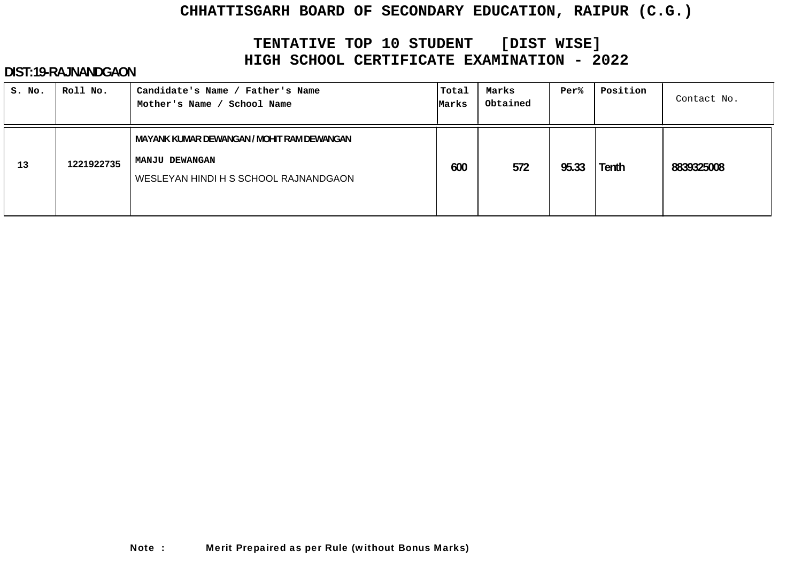# **TENTATIVE TOP 10 STUDENT [DIST WISE] HIGH SCHOOL CERTIFICATE EXAMINATION - 2022**

| S. No. | Roll No.   | Candidate's Name / Father's Name<br>School Name<br>Mother's Name /                                           | Total<br>Marks | Marks<br>Obtained | Per%  | Position | Contact No. |
|--------|------------|--------------------------------------------------------------------------------------------------------------|----------------|-------------------|-------|----------|-------------|
| 13     | 1221922735 | MAYANK KUMAR DEWANGAN / MOHIT RAM DEWANGAN<br><b>MANJU DEWANGAN</b><br>WESLEYAN HINDI H S SCHOOL RAJNANDGAON | 600            | 572               | 95.33 | Tenth    | 8839325008  |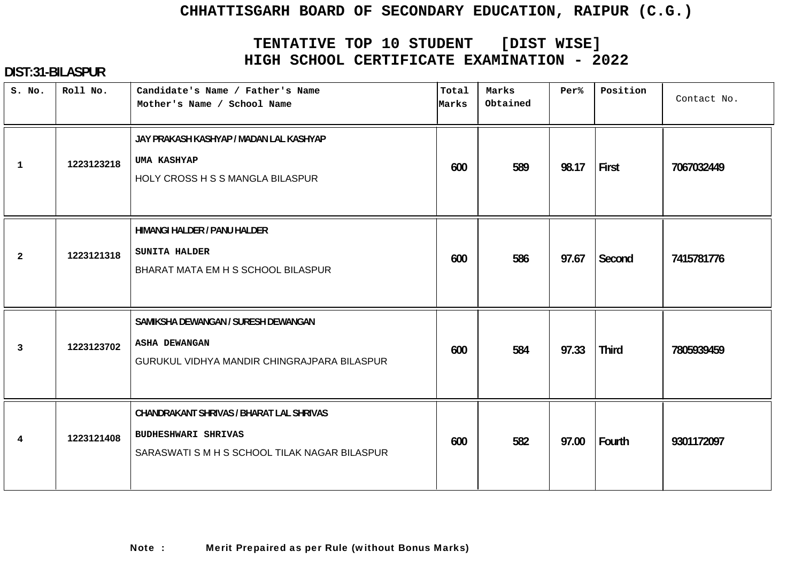# **TENTATIVE TOP 10 STUDENT [DIST WISE] HIGH SCHOOL CERTIFICATE EXAMINATION - 2022**

| S. No.         | Roll No.   | Candidate's Name / Father's Name<br>Mother's Name / School Name                                                         | Total<br>Marks | Marks<br>Obtained | Per%  | Position     | Contact No. |
|----------------|------------|-------------------------------------------------------------------------------------------------------------------------|----------------|-------------------|-------|--------------|-------------|
| $\mathbf{1}$   | 1223123218 | JAY PRAKASH KASHYAP / MADAN LAL KASHYAP<br><b>UMA KASHYAP</b><br>HOLY CROSS H S S MANGLA BILASPUR                       | 600            | 589               | 98.17 | First        | 7067032449  |
| $\mathbf{2}$   | 1223121318 | HIMANGI HALDER / PANU HALDER<br>SUNITA HALDER<br>BHARAT MATA EM H S SCHOOL BILASPUR                                     | 600            | 586               | 97.67 | Second       | 7415781776  |
| $\overline{3}$ | 1223123702 | SAMIKSHA DEWANGAN / SURESH DEWANGAN<br><b>ASHA DEWANGAN</b><br>GURUKUL VIDHYA MANDIR CHINGRAJPARA BILASPUR              | 600            | 584               | 97.33 | <b>Third</b> | 7805939459  |
| $\overline{4}$ | 1223121408 | CHANDRAKANT SHRIVAS / BHARAT LAL SHRIVAS<br><b>BUDHESHWARI SHRIVAS</b><br>SARASWATI S M H S SCHOOL TILAK NAGAR BILASPUR | 600            | 582               | 97.00 | Fourth       | 9301172097  |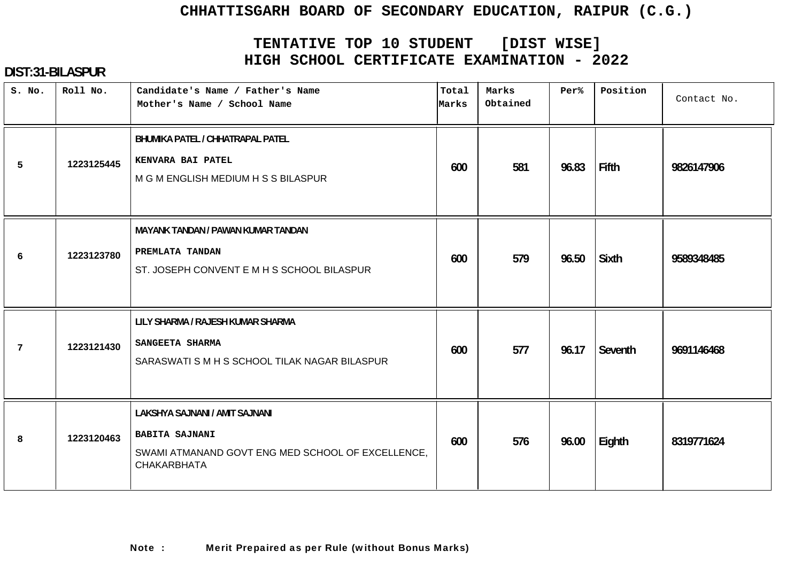# **TENTATIVE TOP 10 STUDENT [DIST WISE] HIGH SCHOOL CERTIFICATE EXAMINATION - 2022**

| S. No. | Roll No.   | Candidate's Name / Father's Name<br>Mother's Name / School Name                                                                    | Total<br>Marks | Marks<br>Obtained | Per%  | Position     | Contact No. |
|--------|------------|------------------------------------------------------------------------------------------------------------------------------------|----------------|-------------------|-------|--------------|-------------|
| 5      | 1223125445 | BHUMIKA PATEL / CHHATRAPAL PATEL<br>KENVARA BAI PATEL<br>M G M ENGLISH MEDIUM H S S BILASPUR                                       | 600            | 581               | 96.83 | Fifth        | 9826147906  |
| 6      | 1223123780 | <b>MAYANK TANDAN / PAWAN KUMAR TANDAN</b><br>PREMLATA TANDAN<br>ST. JOSEPH CONVENT E M H S SCHOOL BILASPUR                         | 600            | 579               | 96.50 | <b>Sixth</b> | 9589348485  |
| 7      | 1223121430 | LILY SHARMA / RAJESH KUMAR SHARMA<br>SANGEETA SHARMA<br>SARASWATI S M H S SCHOOL TILAK NAGAR BILASPUR                              | 600            | 577               | 96.17 | Seventh      | 9691146468  |
| 8      | 1223120463 | LAKSHYA SAJNANI / AMIT SAJNANI<br><b>BABITA SAJNANI</b><br>SWAMI ATMANAND GOVT ENG MED SCHOOL OF EXCELLENCE,<br><b>CHAKARBHATA</b> | 600            | 576               | 96.00 | Eighth       | 8319771624  |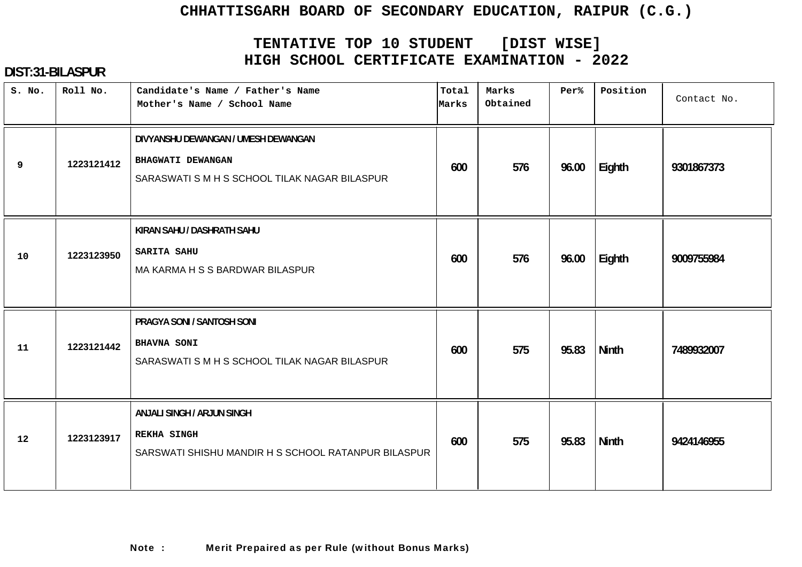# **TENTATIVE TOP 10 STUDENT [DIST WISE] HIGH SCHOOL CERTIFICATE EXAMINATION - 2022**

| S. No. | Roll No.   | Candidate's Name / Father's Name<br>Mother's Name / School Name                                           | Total<br>Marks | Marks<br>Obtained | Per%  | Position | Contact No. |
|--------|------------|-----------------------------------------------------------------------------------------------------------|----------------|-------------------|-------|----------|-------------|
| 9      | 1223121412 | DIVYANSHU DEWANGAN / UMESH DEWANGAN<br>BHAGWATI DEWANGAN<br>SARASWATI S M H S SCHOOL TILAK NAGAR BILASPUR | 600            | 576               | 96.00 | Eighth   | 9301867373  |
| 10     | 1223123950 | KIRAN SAHU / DASHRATH SAHU<br><b>SARITA SAHU</b><br>MA KARMA H S S BARDWAR BILASPUR                       | 600            | 576               | 96.00 | Eighth   | 9009755984  |
| 11     | 1223121442 | PRAGYA SONI / SANTOSH SONI<br><b>BHAVNA SONI</b><br>SARASWATI S M H S SCHOOL TILAK NAGAR BILASPUR         | 600            | 575               | 95.83 | Ninth    | 7489932007  |
| 12     | 1223123917 | ANJALI SINGH / ARJUN SINGH<br><b>REKHA SINGH</b><br>SARSWATI SHISHU MANDIR H S SCHOOL RATANPUR BILASPUR   | 600            | 575               | 95.83 | Ninth    | 9424146955  |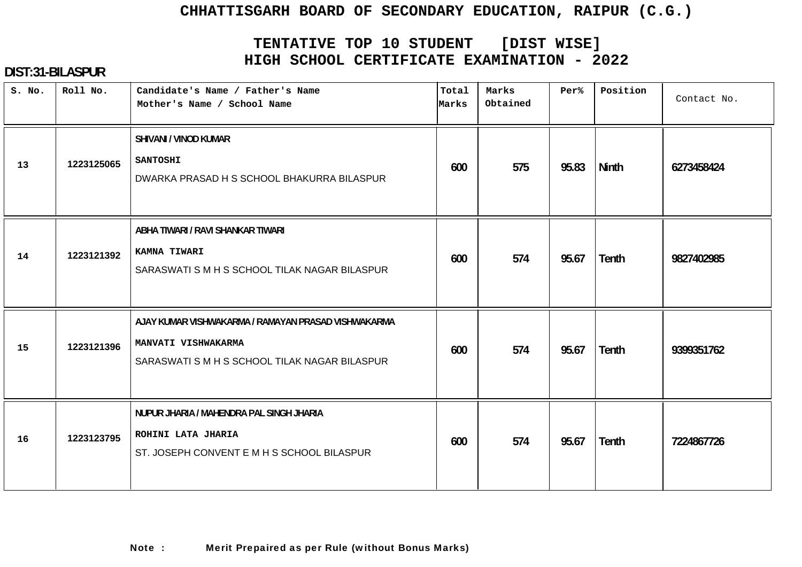# **TENTATIVE TOP 10 STUDENT [DIST WISE] HIGH SCHOOL CERTIFICATE EXAMINATION - 2022**

| S. No. | Roll No.   | Candidate's Name / Father's Name<br>Mother's Name / School Name                                                             | Total<br>Marks | Marks<br>Obtained | Per%  | Position     | Contact No. |
|--------|------------|-----------------------------------------------------------------------------------------------------------------------------|----------------|-------------------|-------|--------------|-------------|
| 13     | 1223125065 | SHIVANI / VINOD KUMAR<br><b>SANTOSHI</b><br>DWARKA PRASAD H S SCHOOL BHAKURRA BILASPUR                                      | 600            | 575               | 95.83 | <b>Ninth</b> | 6273458424  |
| 14     | 1223121392 | ABHA TIWARI / RAVI SHANKAR TIWARI<br>KAMNA TIWARI<br>SARASWATI S M H S SCHOOL TILAK NAGAR BILASPUR                          | 600            | 574               | 95.67 | <b>Tenth</b> | 9827402985  |
| 15     | 1223121396 | AJAY KUMAR VISHWAKARMA / RAMAYAN PRASAD VISHWAKARMA<br>MANVATI VISHWAKARMA<br>SARASWATI S M H S SCHOOL TILAK NAGAR BILASPUR | 600            | 574               | 95.67 | <b>Tenth</b> | 9399351762  |
| 16     | 1223123795 | NUPUR JHARIA / MAHENDRA PAL SINGH JHARIA<br>ROHINI LATA JHARIA<br>ST. JOSEPH CONVENT E M H S SCHOOL BILASPUR                | 600            | 574               | 95.67 | <b>Tenth</b> | 7224867726  |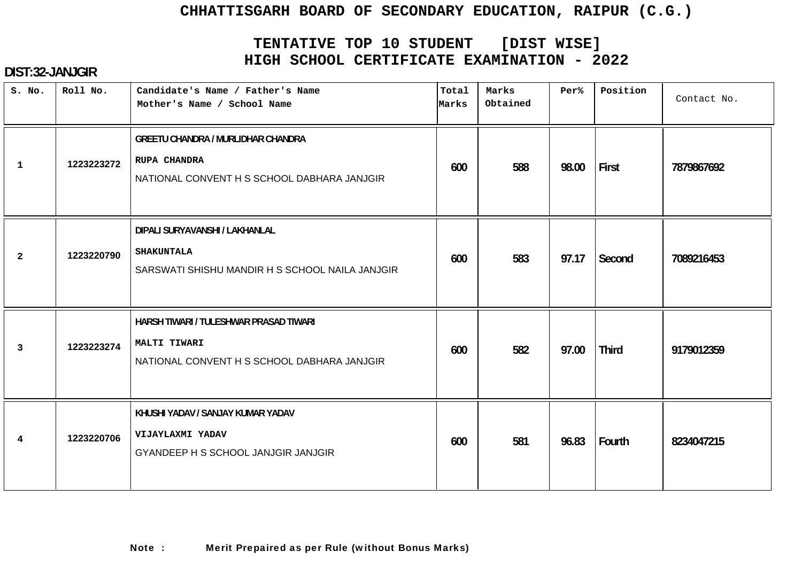# **TENTATIVE TOP 10 STUDENT [DIST WISE] HIGH SCHOOL CERTIFICATE EXAMINATION - 2022**

| S. No.         | Roll No.   | Candidate's Name / Father's Name<br>Mother's Name / School Name                                                 | Total<br>Marks | Marks<br>Obtained | Per%  | Position     | Contact No. |
|----------------|------------|-----------------------------------------------------------------------------------------------------------------|----------------|-------------------|-------|--------------|-------------|
| $\mathbf{1}$   | 1223223272 | <b>GREETU CHANDRA / MURLIDHAR CHANDRA</b><br><b>RUPA CHANDRA</b><br>NATIONAL CONVENT H S SCHOOL DABHARA JANJGIR | 600            | 588               | 98.00 | First        | 7879867692  |
| $\overline{a}$ | 1223220790 | DIPALI SURYAVANSHI / LAKHANLAL<br><b>SHAKUNTALA</b><br>SARSWATI SHISHU MANDIR H S SCHOOL NAILA JANJGIR          | 600            | 583               | 97.17 | Second       | 7089216453  |
| $\mathbf{3}$   | 1223223274 | HARSH TIWARI / TULESHWAR PRASAD TIWARI<br>MALTI TIWARI<br>NATIONAL CONVENT H S SCHOOL DABHARA JANJGIR           | 600            | 582               | 97.00 | <b>Third</b> | 9179012359  |
| 4              | 1223220706 | KHUSHI YADAV / SANJAY KUMAR YADAV<br>VIJAYLAXMI YADAV<br>GYANDEEP H S SCHOOL JANJGIR JANJGIR                    | 600            | 581               | 96.83 | Fourth       | 8234047215  |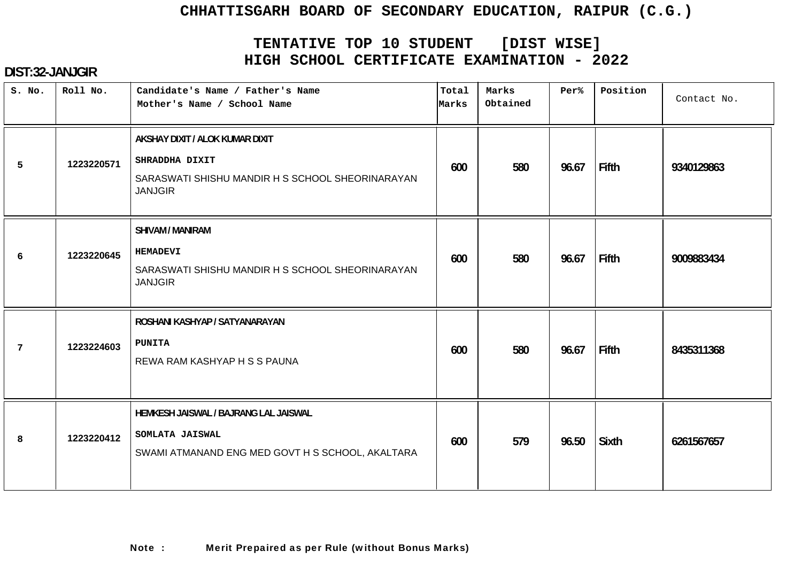# **TENTATIVE TOP 10 STUDENT [DIST WISE] HIGH SCHOOL CERTIFICATE EXAMINATION - 2022**

| S. No. | Roll No.   | Candidate's Name / Father's Name<br>Mother's Name / School Name                                                         | Total<br>Marks | Marks<br>Obtained | Per%  | Position     | Contact No. |
|--------|------------|-------------------------------------------------------------------------------------------------------------------------|----------------|-------------------|-------|--------------|-------------|
| 5      | 1223220571 | AKSHAY DIXIT / ALOK KUMAR DIXIT<br>SHRADDHA DIXIT<br>SARASWATI SHISHU MANDIR H S SCHOOL SHEORINARAYAN<br><b>JANJGIR</b> | 600            | 580               | 96.67 | Fifth        | 9340129863  |
| 6      | 1223220645 | SHIVAM / MANIRAM<br><b>HEMADEVI</b><br>SARASWATI SHISHU MANDIR H S SCHOOL SHEORINARAYAN<br><b>JANJGIR</b>               | 600            | 580               | 96.67 | <b>Fifth</b> | 9009883434  |
| 7      | 1223224603 | ROSHANI KASHYAP / SATYANARAYAN<br><b>PUNITA</b><br>REWA RAM KASHYAP H S S PAUNA                                         | 600            | 580               | 96.67 | Fifth        | 8435311368  |
| 8      | 1223220412 | HEMKESH JAISWAL / BAJRANG LAL JAISWAL<br>SOMLATA JAISWAL<br>SWAMI ATMANAND ENG MED GOVT H S SCHOOL, AKALTARA            | 600            | 579               | 96.50 | <b>Sixth</b> | 6261567657  |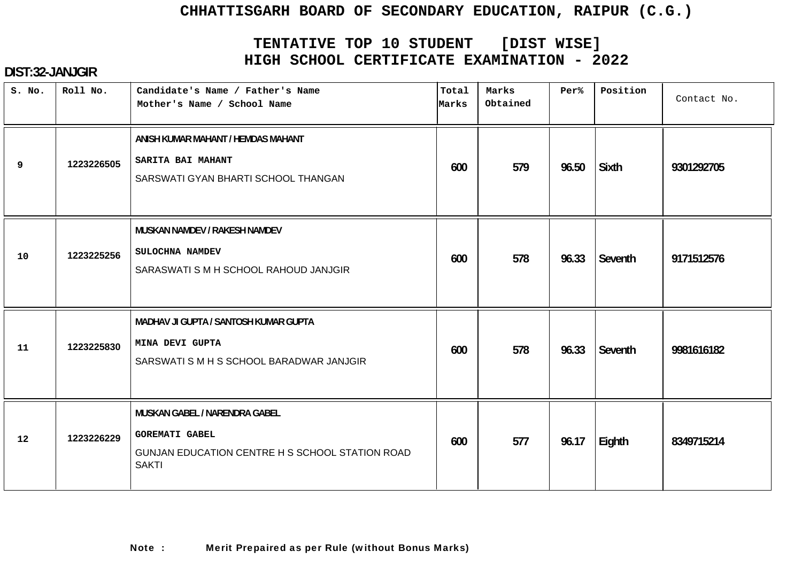# **TENTATIVE TOP 10 STUDENT [DIST WISE] HIGH SCHOOL CERTIFICATE EXAMINATION - 2022**

| S. No. | Roll No.   | Candidate's Name / Father's Name<br>Mother's Name / School Name                                                           | Total<br>Marks | Marks<br>Obtained | Per%  | Position     | Contact No. |
|--------|------------|---------------------------------------------------------------------------------------------------------------------------|----------------|-------------------|-------|--------------|-------------|
| 9      | 1223226505 | ANISH KUMAR MAHANT / HEMDAS MAHANT<br>SARITA BAI MAHANT<br>SARSWATI GYAN BHARTI SCHOOL THANGAN                            | 600            | 579               | 96.50 | <b>Sixth</b> | 9301292705  |
| 10     | 1223225256 | MUSKAN NAMDEV / RAKESH NAMDEV<br>SULOCHNA NAMDEV<br>SARASWATI S M H SCHOOL RAHOUD JANJGIR                                 | 600            | 578               | 96.33 | Seventh      | 9171512576  |
| 11     | 1223225830 | MADHAV JI GUPTA / SANTOSH KUMAR GUPTA<br>MINA DEVI GUPTA<br>SARSWATI S M H S SCHOOL BARADWAR JANJGIR                      | 600            | 578               | 96.33 | Seventh      | 9981616182  |
| 12     | 1223226229 | MUSKAN GABEL / NARENDRA GABEL<br><b>GOREMATI GABEL</b><br>GUNJAN EDUCATION CENTRE H S SCHOOL STATION ROAD<br><b>SAKTI</b> | 600            | 577               | 96.17 | Eighth       | 8349715214  |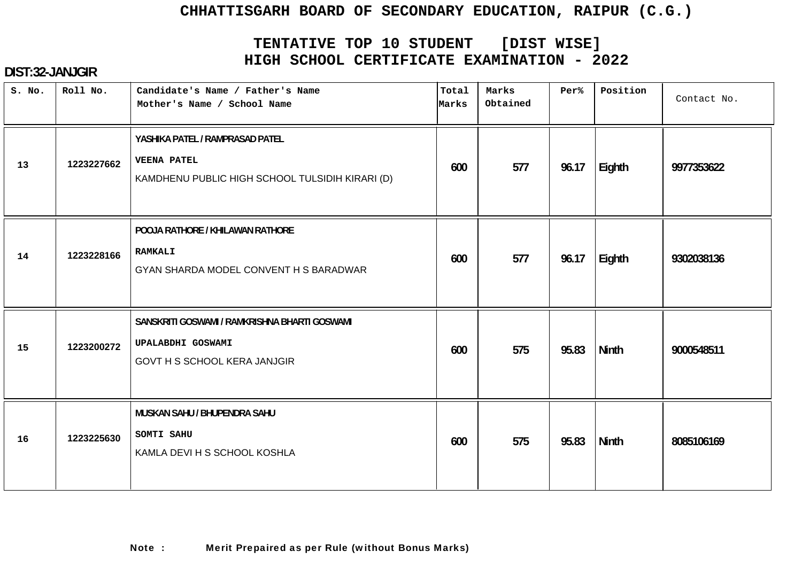# **TENTATIVE TOP 10 STUDENT [DIST WISE] HIGH SCHOOL CERTIFICATE EXAMINATION - 2022**

| S. No. | Roll No.   | Candidate's Name / Father's Name<br>Mother's Name / School Name                                           | Total<br>Marks | Marks<br>Obtained | Per%  | Position     | Contact No. |
|--------|------------|-----------------------------------------------------------------------------------------------------------|----------------|-------------------|-------|--------------|-------------|
| 13     | 1223227662 | YASHIKA PATEL / RAMPRASAD PATEL<br><b>VEENA PATEL</b><br>KAMDHENU PUBLIC HIGH SCHOOL TULSIDIH KIRARI (D)  | 600            | 577               | 96.17 | Eighth       | 9977353622  |
| 14     | 1223228166 | POOJA RATHORE / KHILAWAN RATHORE<br>RAMKALI<br>GYAN SHARDA MODEL CONVENT H S BARADWAR                     | 600            | 577               | 96.17 | Eighth       | 9302038136  |
| 15     | 1223200272 | SANSKRITI GOSWAMI / RAMKRISHNA BHARTI GOSWAMI<br>UPALABDHI GOSWAMI<br><b>GOVT H S SCHOOL KERA JANJGIR</b> | 600            | 575               | 95.83 | <b>Ninth</b> | 9000548511  |
| 16     | 1223225630 | MUSKAN SAHU / BHUPENDRA SAHU<br>SOMTI SAHU<br>KAMLA DEVI H S SCHOOL KOSHLA                                | 600            | 575               | 95.83 | <b>Ninth</b> | 8085106169  |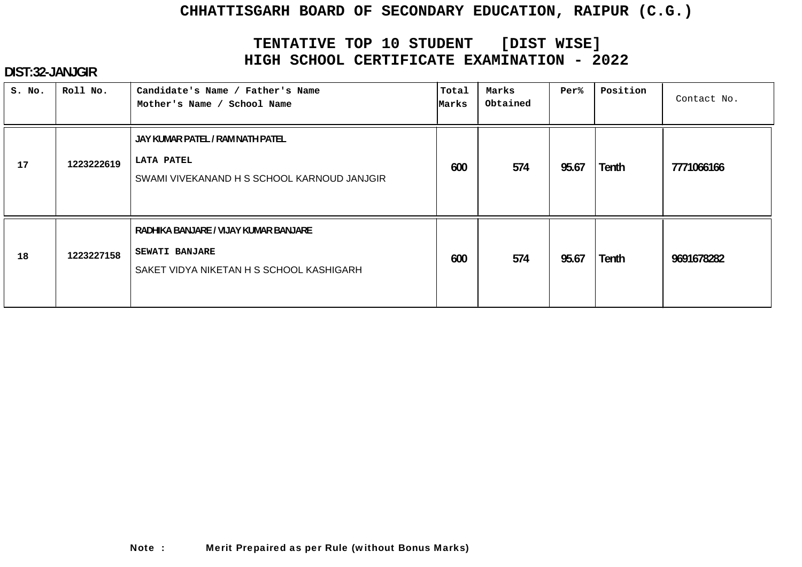# **TENTATIVE TOP 10 STUDENT [DIST WISE] HIGH SCHOOL CERTIFICATE EXAMINATION - 2022**

| S. No. | Roll No.   | Candidate's Name / Father's Name<br>Mother's Name / School Name                                            | Total<br>Marks | Marks<br>Obtained | Per%  | Position     | Contact No. |
|--------|------------|------------------------------------------------------------------------------------------------------------|----------------|-------------------|-------|--------------|-------------|
| 17     | 1223222619 | JAY KUMAR PATEL / RAM NATH PATEL<br><b>LATA PATEL</b><br>SWAMI VIVEKANAND H S SCHOOL KARNOUD JANJGIR       | 600            | 574               | 95.67 | Tenth        | 7771066166  |
| 18     | 1223227158 | RADHIKA BANJARE / VIJAY KUMAR BANJARE<br><b>SEWATI BANJARE</b><br>SAKET VIDYA NIKETAN H S SCHOOL KASHIGARH | 600            | 574               | 95.67 | <b>Tenth</b> | 9691678282  |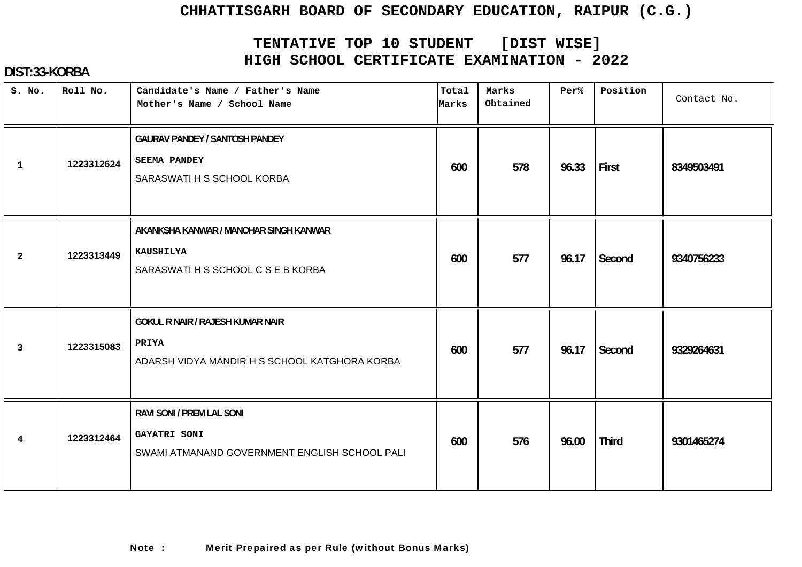# **TENTATIVE TOP 10 STUDENT [DIST WISE] HIGH SCHOOL CERTIFICATE EXAMINATION - 2022**

| S. No.         | Roll No.   | Candidate's Name / Father's Name<br>Mother's Name / School Name                                          | Total<br>Marks | Marks<br>Obtained | Per%  | Position     | Contact No. |
|----------------|------------|----------------------------------------------------------------------------------------------------------|----------------|-------------------|-------|--------------|-------------|
| $\mathbf{1}$   | 1223312624 | <b>GAURAV PANDEY / SANTOSH PANDEY</b><br><b>SEEMA PANDEY</b><br>SARASWATI H S SCHOOL KORBA               | 600            | 578               | 96.33 | First        | 8349503491  |
| $\overline{2}$ | 1223313449 | AKANKSHA KANWAR / MANOHAR SINGH KANWAR<br><b>KAUSHILYA</b><br>SARASWATI H S SCHOOL C S E B KORBA         | 600            | 577               | 96.17 | Second       | 9340756233  |
| 3              | 1223315083 | <b>GOKUL R NAIR / RAJESH KUMAR NAIR</b><br><b>PRIYA</b><br>ADARSH VIDYA MANDIR H S SCHOOL KATGHORA KORBA | 600            | 577               | 96.17 | Second       | 9329264631  |
| 4              | 1223312464 | RAVI SONI / PREM LAL SONI<br><b>GAYATRI SONI</b><br>SWAMI ATMANAND GOVERNMENT ENGLISH SCHOOL PALI        | 600            | 576               | 96.00 | <b>Third</b> | 9301465274  |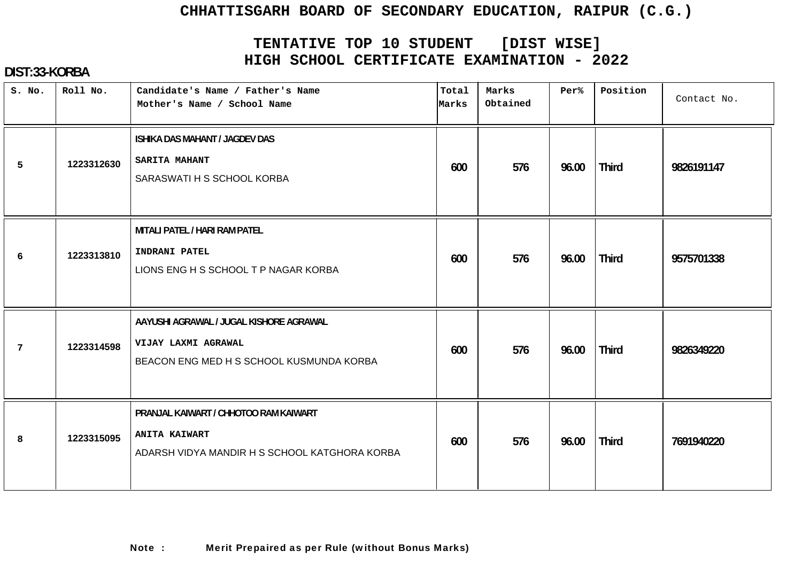# **TENTATIVE TOP 10 STUDENT [DIST WISE] HIGH SCHOOL CERTIFICATE EXAMINATION - 2022**

| S. No.          | Roll No.   | Candidate's Name / Father's Name<br>Mother's Name / School Name                                                | Total<br>Marks | Marks<br>Obtained | Per%  | Position     | Contact No. |
|-----------------|------------|----------------------------------------------------------------------------------------------------------------|----------------|-------------------|-------|--------------|-------------|
| 5               | 1223312630 | ISHIKA DAS MAHANT / JAGDEV DAS<br><b>SARITA MAHANT</b><br>SARASWATI H S SCHOOL KORBA                           | 600            | 576               | 96.00 | <b>Third</b> | 9826191147  |
| 6               | 1223313810 | MITALI PATEL / HARI RAM PATEL<br>INDRANI PATEL<br>LIONS ENG H S SCHOOL T P NAGAR KORBA                         | 600            | 576               | 96.00 | <b>Third</b> | 9575701338  |
| $7\phantom{.0}$ | 1223314598 | AAYUSHI AGRAWAL / JUGAL KISHORE AGRAWAL<br>VIJAY LAXMI AGRAWAL<br>BEACON ENG MED H S SCHOOL KUSMUNDA KORBA     | 600            | 576               | 96.00 | <b>Third</b> | 9826349220  |
| 8               | 1223315095 | PRANJAL KAIWART / CHHOTOO RAM KAIWART<br><b>ANITA KAIWART</b><br>ADARSH VIDYA MANDIR H S SCHOOL KATGHORA KORBA | 600            | 576               | 96.00 | <b>Third</b> | 7691940220  |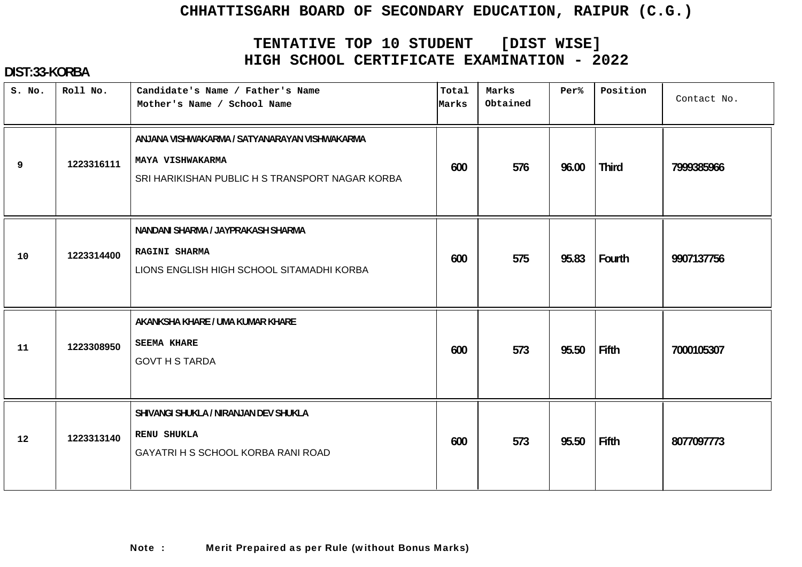# **TENTATIVE TOP 10 STUDENT [DIST WISE] HIGH SCHOOL CERTIFICATE EXAMINATION - 2022**

| S. No. | Roll No.   | Candidate's Name / Father's Name<br>Mother's Name / School Name                                                      | Total<br>Marks | Marks<br>Obtained | Per%  | Position     | Contact No. |
|--------|------------|----------------------------------------------------------------------------------------------------------------------|----------------|-------------------|-------|--------------|-------------|
| 9      | 1223316111 | ANJANA VISHWAKARMA / SATYANARAYAN VISHWAKARMA<br>MAYA VISHWAKARMA<br>SRI HARIKISHAN PUBLIC H S TRANSPORT NAGAR KORBA | 600            | 576               | 96.00 | <b>Third</b> | 7999385966  |
| 10     | 1223314400 | NANDANI SHARMA / JAYPRAKASH SHARMA<br><b>RAGINI SHARMA</b><br>LIONS ENGLISH HIGH SCHOOL SITAMADHI KORBA              | 600            | 575               | 95.83 | Fourth       | 9907137756  |
| 11     | 1223308950 | AKANKSHA KHARE / UMA KUMAR KHARE<br><b>SEEMA KHARE</b><br><b>GOVT H S TARDA</b>                                      | 600            | 573               | 95.50 | Fifth        | 7000105307  |
| 12     | 1223313140 | SHIVANGI SHUKLA / NIRANJAN DEV SHUKLA<br><b>RENU SHUKLA</b><br>GAYATRI H S SCHOOL KORBA RANI ROAD                    | 600            | 573               | 95.50 | Fifth        | 8077097773  |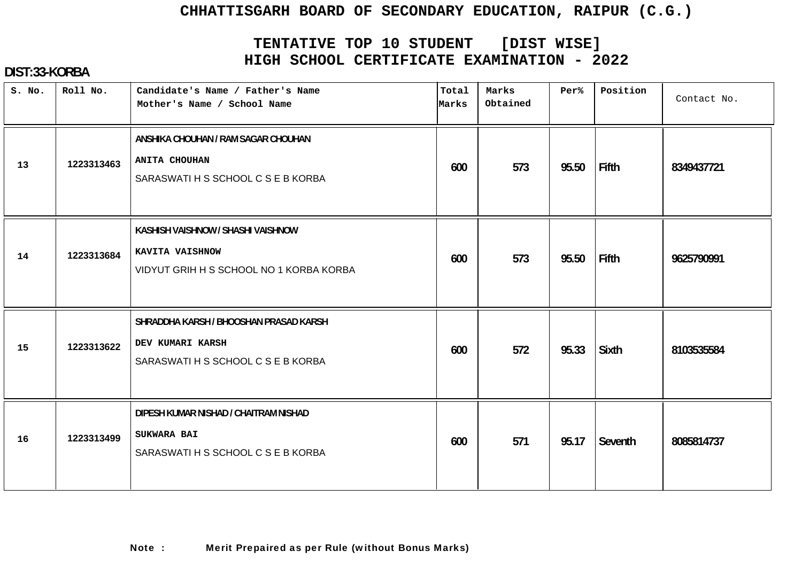# **TENTATIVE TOP 10 STUDENT [DIST WISE] HIGH SCHOOL CERTIFICATE EXAMINATION - 2022**

| S. No. | Roll No.   | Candidate's Name / Father's Name<br>Mother's Name / School Name                                   | Total<br>Marks | Marks<br>Obtained | Per%  | Position     | Contact No. |
|--------|------------|---------------------------------------------------------------------------------------------------|----------------|-------------------|-------|--------------|-------------|
| 13     | 1223313463 | ANSHIKA CHOUHAN / RAM SAGAR CHOUHAN<br><b>ANITA CHOUHAN</b><br>SARASWATI H S SCHOOL C S E B KORBA | 600            | 573               | 95.50 | Fifth        | 8349437721  |
| 14     | 1223313684 | KASHISH VAISHNOW / SHASHI VAISHNOW<br>KAVITA VAISHNOW<br>VIDYUT GRIH H S SCHOOL NO 1 KORBA KORBA  | 600            | 573               | 95.50 | Fifth        | 9625790991  |
| 15     | 1223313622 | SHRADDHA KARSH / BHOOSHAN PRASAD KARSH<br>DEV KUMARI KARSH<br>SARASWATI H S SCHOOL C S E B KORBA  | 600            | 572               | 95.33 | <b>Sixth</b> | 8103535584  |
| 16     | 1223313499 | DIPESH KUMAR NISHAD / CHAITRAM NISHAD<br><b>SUKWARA BAI</b><br>SARASWATI H S SCHOOL C S E B KORBA | 600            | 571               | 95.17 | Seventh      | 8085814737  |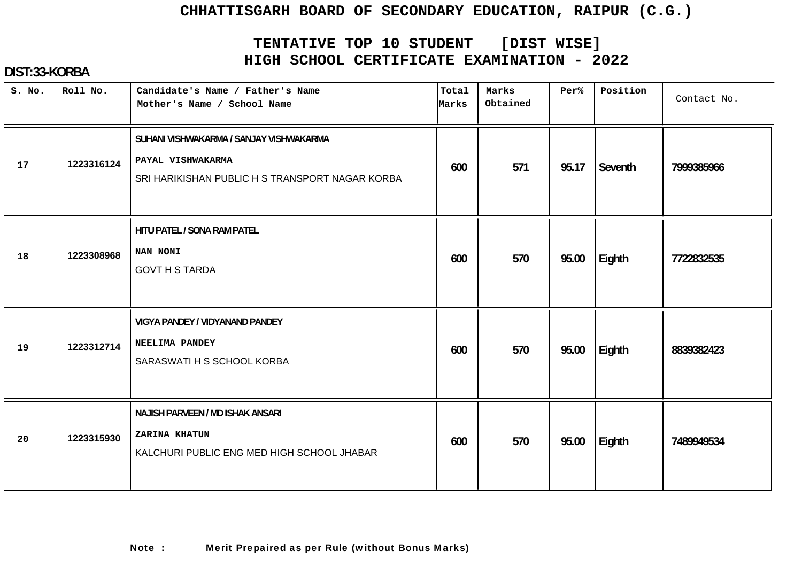# **TENTATIVE TOP 10 STUDENT [DIST WISE] HIGH SCHOOL CERTIFICATE EXAMINATION - 2022**

| S. No. | Roll No.   | Candidate's Name / Father's Name<br>Mother's Name / School Name                                                 | Total<br>Marks | Marks<br>Obtained | Per%  | Position | Contact No. |
|--------|------------|-----------------------------------------------------------------------------------------------------------------|----------------|-------------------|-------|----------|-------------|
| 17     | 1223316124 | SUHANI VISHWAKARMA / SANJAY VISHWAKARMA<br>PAYAL VISHWAKARMA<br>SRI HARIKISHAN PUBLIC H S TRANSPORT NAGAR KORBA | 600            | 571               | 95.17 | Seventh  | 7999385966  |
| 18     | 1223308968 | HITU PATEL / SONA RAM PATEL<br>NAN NONI<br><b>GOVT H S TARDA</b>                                                | 600            | 570               | 95.00 | Eighth   | 7722832535  |
| 19     | 1223312714 | VIGYA PANDEY / VIDYANAND PANDEY<br>NEELIMA PANDEY<br>SARASWATI H S SCHOOL KORBA                                 | 600            | 570               | 95.00 | Eighth   | 8839382423  |
| 20     | 1223315930 | NAJISH PARVEEN / MD ISHAK ANSARI<br><b>ZARINA KHATUN</b><br>KALCHURI PUBLIC ENG MED HIGH SCHOOL JHABAR          | 600            | 570               | 95.00 | Eighth   | 7489949534  |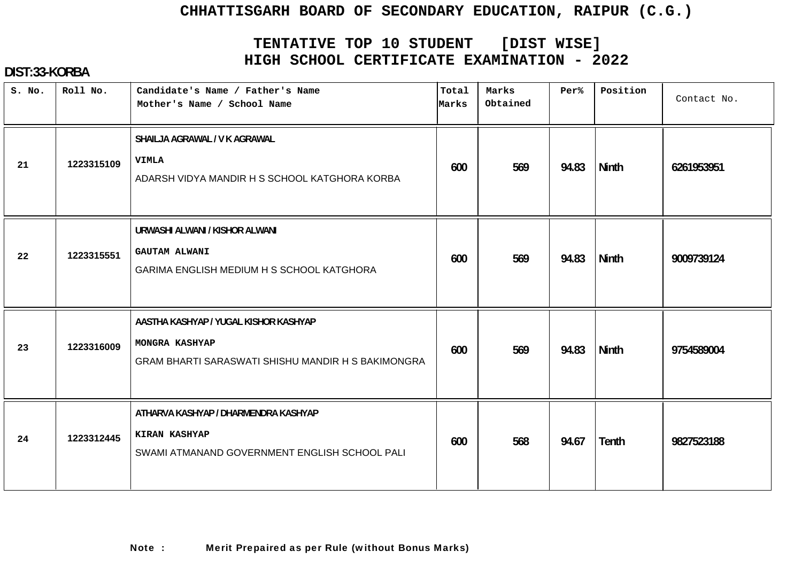# **TENTATIVE TOP 10 STUDENT [DIST WISE] HIGH SCHOOL CERTIFICATE EXAMINATION - 2022**

| S. No. | Roll No.   | Candidate's Name / Father's Name<br>Mother's Name / School Name                                                      | Total<br>Marks | Marks<br>Obtained | Per%  | Position     | Contact No. |
|--------|------------|----------------------------------------------------------------------------------------------------------------------|----------------|-------------------|-------|--------------|-------------|
| 21     | 1223315109 | SHAILJA AGRAWAL / V K AGRAWAL<br><b>VIMLA</b><br>ADARSH VIDYA MANDIR H S SCHOOL KATGHORA KORBA                       | 600            | 569               | 94.83 | Ninth        | 6261953951  |
| 22     | 1223315551 | URWASHI ALWANI / KISHOR ALWANI<br><b>GAUTAM ALWANI</b><br>GARIMA ENGLISH MEDIUM H S SCHOOL KATGHORA                  | 600            | 569               | 94.83 | <b>Ninth</b> | 9009739124  |
| 23     | 1223316009 | AASTHA KASHYAP / YUGAL KISHOR KASHYAP<br>MONGRA KASHYAP<br><b>GRAM BHARTI SARASWATI SHISHU MANDIR H S BAKIMONGRA</b> | 600            | 569               | 94.83 | <b>Ninth</b> | 9754589004  |
| 24     | 1223312445 | ATHARVA KASHYAP / DHARMENDRA KASHYAP<br><b>KIRAN KASHYAP</b><br>SWAMI ATMANAND GOVERNMENT ENGLISH SCHOOL PALI        | 600            | 568               | 94.67 | Tenth        | 9827523188  |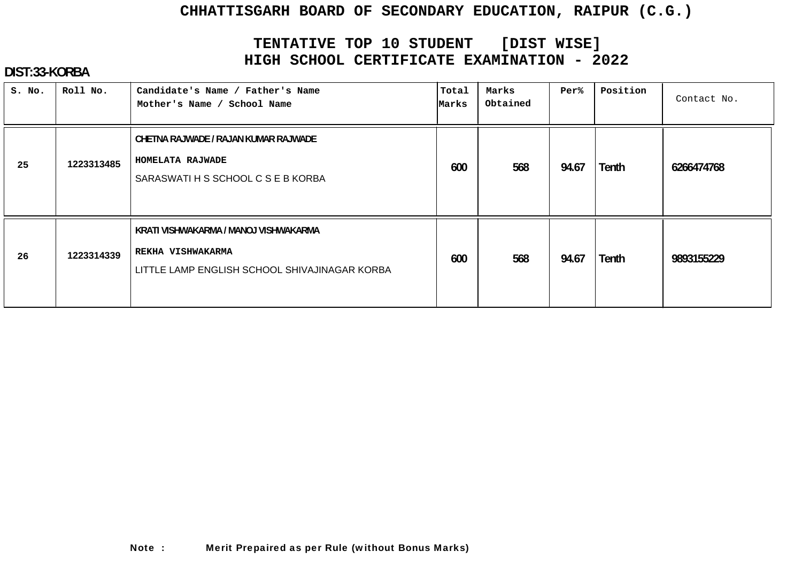# **TENTATIVE TOP 10 STUDENT [DIST WISE] HIGH SCHOOL CERTIFICATE EXAMINATION - 2022**

| S. No. | Roll No.   | Candidate's Name / Father's Name<br>Mother's Name / School Name                                             | Total<br>Marks | Marks<br>Obtained | Per%  | Position     | Contact No. |
|--------|------------|-------------------------------------------------------------------------------------------------------------|----------------|-------------------|-------|--------------|-------------|
| 25     | 1223313485 | CHETNA RAJWADE / RAJAN KUMAR RAJWADE<br>HOMELATA RAJWADE<br>SARASWATI H S SCHOOL C S E B KORBA              | 600            | 568               | 94.67 | Tenth        | 6266474768  |
| 26     | 1223314339 | KRATI VISHWAKARMA / MANOJ VISHWAKARMA<br>REKHA VISHWAKARMA<br>LITTLE LAMP ENGLISH SCHOOL SHIVAJINAGAR KORBA | 600            | 568               | 94.67 | <b>Tenth</b> | 9893155229  |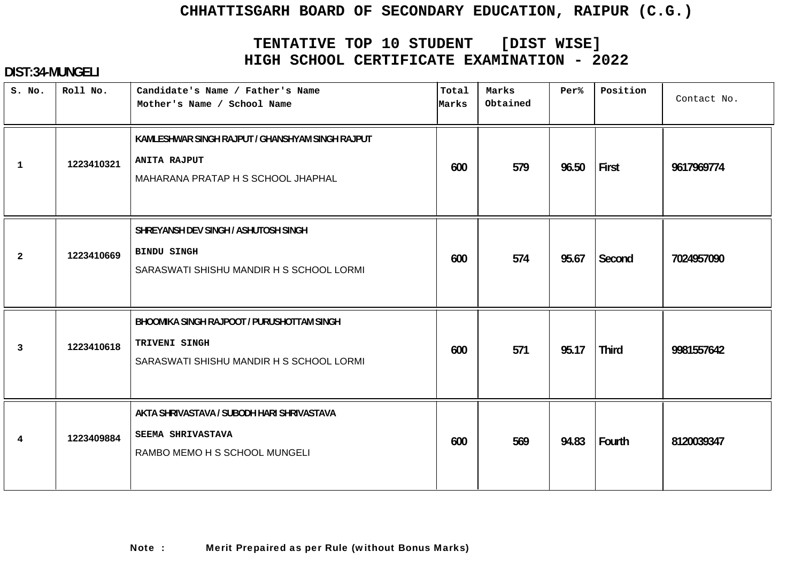# **TENTATIVE TOP 10 STUDENT [DIST WISE] HIGH SCHOOL CERTIFICATE EXAMINATION - 2022**

| S. No.         | Roll No.   | Candidate's Name / Father's Name<br>Mother's Name / School Name                                               | Total<br>Marks | Marks<br>Obtained | Per%  | Position     | Contact No. |
|----------------|------------|---------------------------------------------------------------------------------------------------------------|----------------|-------------------|-------|--------------|-------------|
| $\mathbf{1}$   | 1223410321 | KAMLESHWAR SINGH RAJPUT / GHANSHYAM SINGH RAJPUT<br><b>ANITA RAJPUT</b><br>MAHARANA PRATAP H S SCHOOL JHAPHAL | 600            | 579               | 96.50 | First        | 9617969774  |
| $\overline{a}$ | 1223410669 | SHREYANSH DEV SINGH / ASHUTOSH SINGH<br><b>BINDU SINGH</b><br>SARASWATI SHISHU MANDIR H S SCHOOL LORMI        | 600            | 574               | 95.67 | Second       | 7024957090  |
| 3              | 1223410618 | BHOOMIKA SINGH RAJPOOT / PURUSHOTTAM SINGH<br>TRIVENI SINGH<br>SARASWATI SHISHU MANDIR H S SCHOOL LORMI       | 600            | 571               | 95.17 | <b>Third</b> | 9981557642  |
| 4              | 1223409884 | AKTA SHRIVASTAVA / SUBODH HARI SHRIVASTAVA<br>SEEMA SHRIVASTAVA<br>RAMBO MEMO H S SCHOOL MUNGELI              | 600            | 569               | 94.83 | Fourth       | 8120039347  |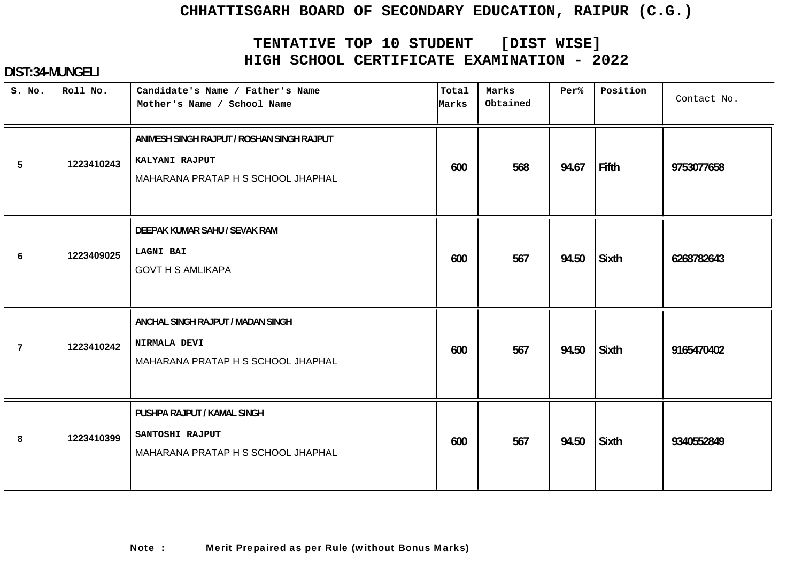# **TENTATIVE TOP 10 STUDENT [DIST WISE] HIGH SCHOOL CERTIFICATE EXAMINATION - 2022**

| S. No.          | Roll No.   | Candidate's Name / Father's Name<br>Mother's Name / School Name                                    | Total<br>Marks | Marks<br>Obtained | Per%  | Position     | Contact No. |
|-----------------|------------|----------------------------------------------------------------------------------------------------|----------------|-------------------|-------|--------------|-------------|
| 5               | 1223410243 | ANIMESH SINGH RAJPUT / ROSHAN SINGH RAJPUT<br>KALYANI RAJPUT<br>MAHARANA PRATAP H S SCHOOL JHAPHAL | 600            | 568               | 94.67 | Fifth        | 9753077658  |
| 6               | 1223409025 | DEEPAK KUMAR SAHU / SEVAK RAM<br><b>LAGNI BAI</b><br><b>GOVT H S AMLIKAPA</b>                      | 600            | 567               | 94.50 | <b>Sixth</b> | 6268782643  |
| $7\phantom{.0}$ | 1223410242 | ANCHAL SINGH RAJPUT / MADAN SINGH<br>NIRMALA DEVI<br>MAHARANA PRATAP H S SCHOOL JHAPHAL            | 600            | 567               | 94.50 | Sixth        | 9165470402  |
| 8               | 1223410399 | PUSHPA RAJPUT / KAMAL SINGH<br>SANTOSHI RAJPUT<br>MAHARANA PRATAP H S SCHOOL JHAPHAL               | 600            | 567               | 94.50 | <b>Sixth</b> | 9340552849  |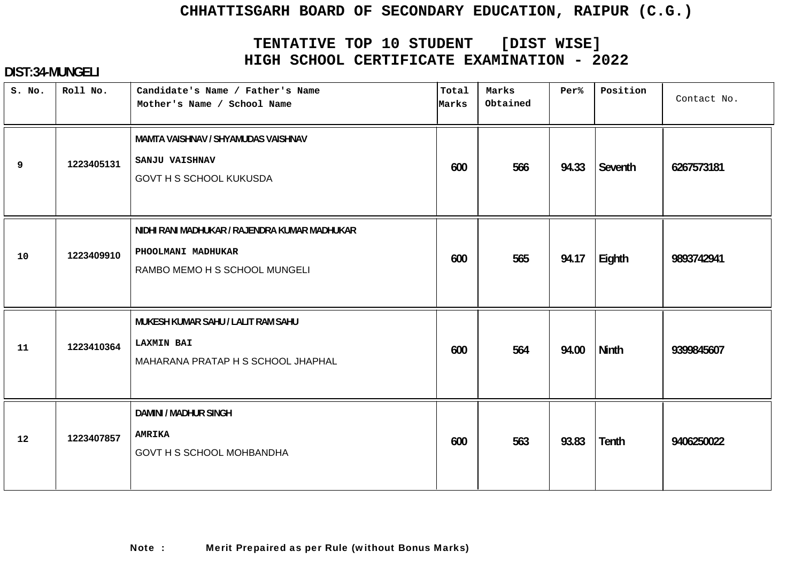# **TENTATIVE TOP 10 STUDENT [DIST WISE] HIGH SCHOOL CERTIFICATE EXAMINATION - 2022**

| S. No. | Roll No.   | Candidate's Name / Father's Name<br>Mother's Name / School Name                                      | Total<br>Marks | Marks<br>Obtained | Per%  | Position     | Contact No. |
|--------|------------|------------------------------------------------------------------------------------------------------|----------------|-------------------|-------|--------------|-------------|
| 9      | 1223405131 | MAMTA VAISHNAV / SHYAMUDAS VAISHNAV<br>SANJU VAISHNAV<br><b>GOVT H S SCHOOL KUKUSDA</b>              | 600            | 566               | 94.33 | Seventh      | 6267573181  |
| 10     | 1223409910 | NIDHI RANI MADHUKAR / RAJENDRA KUMAR MADHUKAR<br>PHOOLMANI MADHUKAR<br>RAMBO MEMO H S SCHOOL MUNGELI | 600            | 565               | 94.17 | Eighth       | 9893742941  |
| 11     | 1223410364 | MUKESH KUMAR SAHU / LALIT RAM SAHU<br><b>LAXMIN BAI</b><br>MAHARANA PRATAP H S SCHOOL JHAPHAL        | 600            | 564               | 94.00 | <b>Ninth</b> | 9399845607  |
| 12     | 1223407857 | <b>DAMINI / MADHUR SINGH</b><br><b>AMRIKA</b><br><b>GOVT H S SCHOOL MOHBANDHA</b>                    | 600            | 563               | 93.83 | Tenth        | 9406250022  |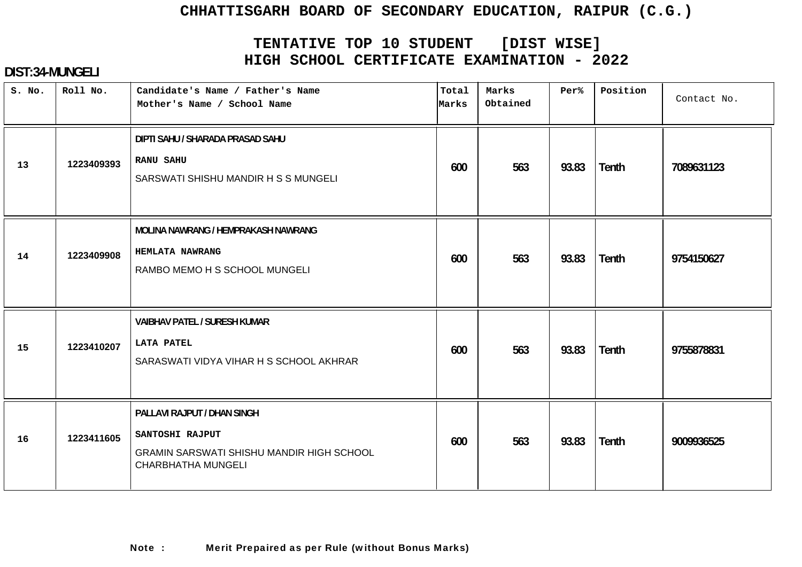# **TENTATIVE TOP 10 STUDENT [DIST WISE] HIGH SCHOOL CERTIFICATE EXAMINATION - 2022**

| S. No. | Roll No.   | Candidate's Name / Father's Name<br>Mother's Name / School Name                                                                 | Total<br>Marks | Marks<br>Obtained | Per%  | Position     | Contact No. |
|--------|------------|---------------------------------------------------------------------------------------------------------------------------------|----------------|-------------------|-------|--------------|-------------|
| 13     | 1223409393 | DIPTI SAHU / SHARADA PRASAD SAHU<br><b>RANU SAHU</b><br>SARSWATI SHISHU MANDIR H S S MUNGELI                                    | 600            | 563               | 93.83 | <b>Tenth</b> | 7089631123  |
| 14     | 1223409908 | MOLINA NAWRANG / HEMPRAKASH NAWRANG<br><b>HEMLATA NAWRANG</b><br>RAMBO MEMO H S SCHOOL MUNGELI                                  | 600            | 563               | 93.83 | <b>Tenth</b> | 9754150627  |
| 15     | 1223410207 | <b>VAIBHAV PATEL / SURESH KUMAR</b><br><b>LATA PATEL</b><br>SARASWATI VIDYA VIHAR H S SCHOOL AKHRAR                             | 600            | 563               | 93.83 | <b>Tenth</b> | 9755878831  |
| 16     | 1223411605 | PALLAVI RAJPUT / DHAN SINGH<br>SANTOSHI RAJPUT<br><b>GRAMIN SARSWATI SHISHU MANDIR HIGH SCHOOL</b><br><b>CHARBHATHA MUNGELI</b> | 600            | 563               | 93.83 | Tenth        | 9009936525  |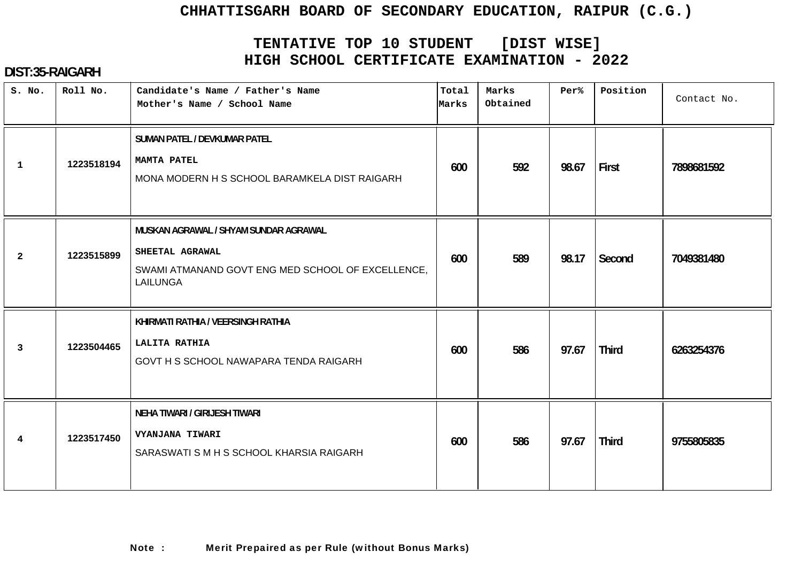# **TENTATIVE TOP 10 STUDENT [DIST WISE] HIGH SCHOOL CERTIFICATE EXAMINATION - 2022**

| S. No.         | Roll No.   | Candidate's Name / Father's Name<br>Mother's Name / School Name                                                           | Total<br>Marks | Marks<br>Obtained | Per%  | Position     | Contact No. |
|----------------|------------|---------------------------------------------------------------------------------------------------------------------------|----------------|-------------------|-------|--------------|-------------|
| $\mathbf{1}$   | 1223518194 | SUMAN PATEL / DEVKUMAR PATEL<br><b>MAMTA PATEL</b><br>MONA MODERN H S SCHOOL BARAMKELA DIST RAIGARH                       | 600            | 592               | 98.67 | First        | 7898681592  |
| $\overline{a}$ | 1223515899 | MUSKAN AGRAWAL / SHYAM SUNDAR AGRAWAL<br>SHEETAL AGRAWAL<br>SWAMI ATMANAND GOVT ENG MED SCHOOL OF EXCELLENCE.<br>LAILUNGA | 600            | 589               | 98.17 | Second       | 7049381480  |
| $\mathbf{3}$   | 1223504465 | KHIRMATI RATHIA / VEERSINGH RATHIA<br>LALITA RATHIA<br>GOVT H S SCHOOL NAWAPARA TENDA RAIGARH                             | 600            | 586               | 97.67 | <b>Third</b> | 6263254376  |
| 4              | 1223517450 | NEHA TIWARI / GIRIJESH TIWARI<br>VYANJANA TIWARI<br>SARASWATI S M H S SCHOOL KHARSIA RAIGARH                              | 600            | 586               | 97.67 | <b>Third</b> | 9755805835  |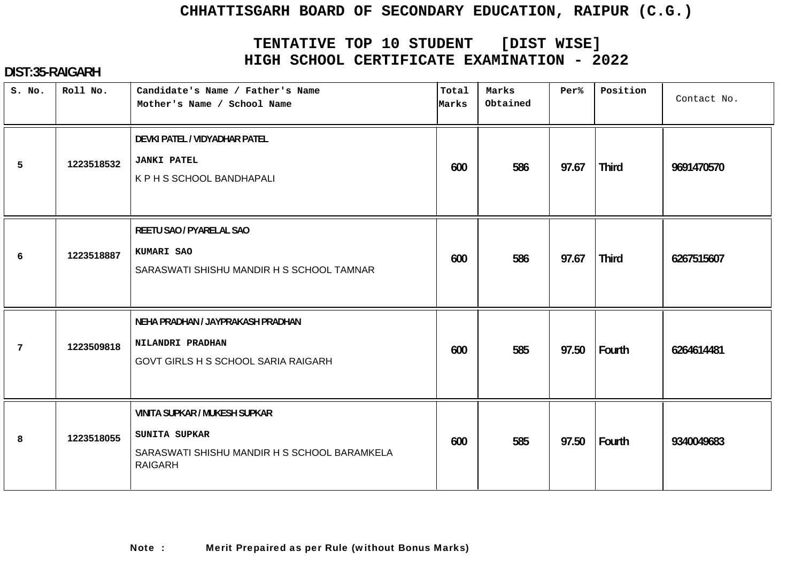# **TENTATIVE TOP 10 STUDENT [DIST WISE] HIGH SCHOOL CERTIFICATE EXAMINATION - 2022**

| S. No.         | Roll No.   | Candidate's Name / Father's Name<br>Mother's Name / School Name                                                         | Total<br>Marks | Marks<br>Obtained | Per%  | Position     | Contact No. |
|----------------|------------|-------------------------------------------------------------------------------------------------------------------------|----------------|-------------------|-------|--------------|-------------|
| 5              | 1223518532 | DEVKI PATEL / VIDYADHAR PATEL<br><b>JANKI PATEL</b><br>K P H S SCHOOL BANDHAPALI                                        | 600            | 586               | 97.67 | <b>Third</b> | 9691470570  |
| 6              | 1223518887 | REETU SAO / PYARELAL SAO<br>KUMARI SAO<br>SARASWATI SHISHU MANDIR H S SCHOOL TAMNAR                                     | 600            | 586               | 97.67 | <b>Third</b> | 6267515607  |
| $\overline{7}$ | 1223509818 | NEHA PRADHAN / JAYPRAKASH PRADHAN<br>NILANDRI PRADHAN<br><b>GOVT GIRLS H S SCHOOL SARIA RAIGARH</b>                     | 600            | 585               | 97.50 | Fourth       | 6264614481  |
| 8              | 1223518055 | <b>VINITA SUPKAR / MUKESH SUPKAR</b><br>SUNITA SUPKAR<br>SARASWATI SHISHU MANDIR H S SCHOOL BARAMKELA<br><b>RAIGARH</b> | 600            | 585               | 97.50 | Fourth       | 9340049683  |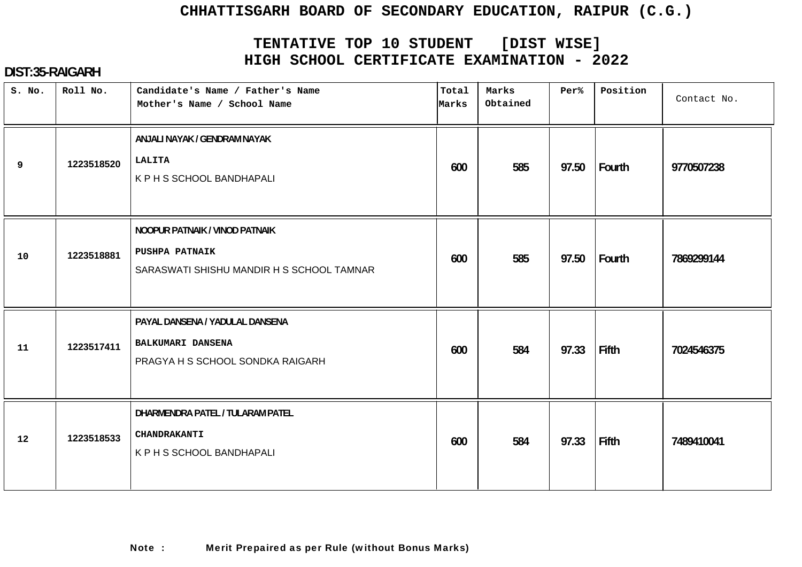# **TENTATIVE TOP 10 STUDENT [DIST WISE] HIGH SCHOOL CERTIFICATE EXAMINATION - 2022**

| S. No. | Roll No.   | Candidate's Name / Father's Name<br>Mother's Name / School Name                                      | Total<br>Marks | Marks<br>Obtained | Per%  | Position | Contact No. |
|--------|------------|------------------------------------------------------------------------------------------------------|----------------|-------------------|-------|----------|-------------|
| 9      | 1223518520 | ANJALI NAYAK / GENDRAM NAYAK<br><b>LALITA</b><br>K P H S SCHOOL BANDHAPALI                           | 600            | 585               | 97.50 | Fourth   | 9770507238  |
| 10     | 1223518881 | NOOPUR PATNAIK / VINOD PATNAIK<br><b>PUSHPA PATNAIK</b><br>SARASWATI SHISHU MANDIR H S SCHOOL TAMNAR | 600            | 585               | 97.50 | Fourth   | 7869299144  |
| 11     | 1223517411 | PAYAL DANSENA / YADULAL DANSENA<br><b>BALKUMARI DANSENA</b><br>PRAGYA H S SCHOOL SONDKA RAIGARH      | 600            | 584               | 97.33 | Fifth    | 7024546375  |
| 12     | 1223518533 | DHARMENDRA PATEL / TULARAM PATEL<br><b>CHANDRAKANTI</b><br>K P H S SCHOOL BANDHAPALI                 | 600            | 584               | 97.33 | Fifth    | 7489410041  |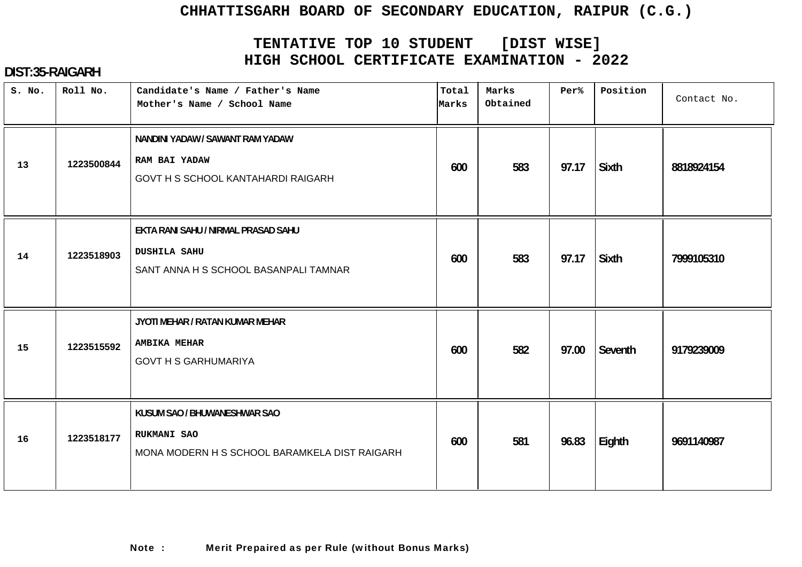# **TENTATIVE TOP 10 STUDENT [DIST WISE] HIGH SCHOOL CERTIFICATE EXAMINATION - 2022**

| S. No. | Roll No.   | Candidate's Name / Father's Name<br>Mother's Name / School Name                                     | Total<br>Marks | Marks<br>Obtained | Per%  | Position     | Contact No. |
|--------|------------|-----------------------------------------------------------------------------------------------------|----------------|-------------------|-------|--------------|-------------|
| 13     | 1223500844 | NANDINI YADAW / SAWANT RAM YADAW<br>RAM BAI YADAW<br>GOVT H S SCHOOL KANTAHARDI RAIGARH             | 600            | 583               | 97.17 | <b>Sixth</b> | 8818924154  |
| 14     | 1223518903 | EKTA RANI SAHU / NIRMAL PRASAD SAHU<br><b>DUSHILA SAHU</b><br>SANT ANNA H S SCHOOL BASANPALI TAMNAR | 600            | 583               | 97.17 | <b>Sixth</b> | 7999105310  |
| 15     | 1223515592 | JYOTI MEHAR / RATAN KUMAR MEHAR<br><b>AMBIKA MEHAR</b><br><b>GOVT H S GARHUMARIYA</b>               | 600            | 582               | 97.00 | Seventh      | 9179239009  |
| 16     | 1223518177 | KUSUM SAO / BHUWANESHWAR SAO<br><b>RUKMANI SAO</b><br>MONA MODERN H S SCHOOL BARAMKELA DIST RAIGARH | 600            | 581               | 96.83 | Eighth       | 9691140987  |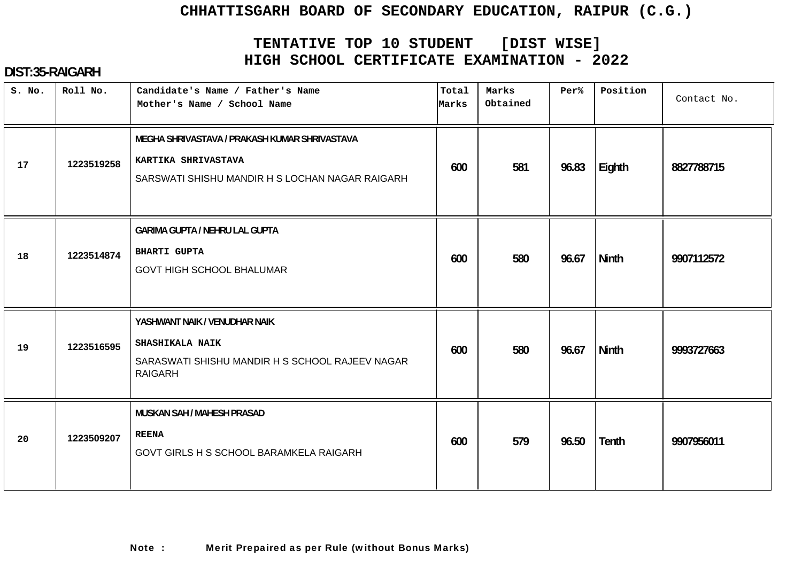# **TENTATIVE TOP 10 STUDENT [DIST WISE] HIGH SCHOOL CERTIFICATE EXAMINATION - 2022**

### **DIST:35-RAIGARH**

| S. No. | Roll No.   | Candidate's Name / Father's Name<br>Mother's Name / School Name                                                              | Total<br>Marks | Marks<br>Obtained | Per%  | Position     | Contact No. |
|--------|------------|------------------------------------------------------------------------------------------------------------------------------|----------------|-------------------|-------|--------------|-------------|
| 17     | 1223519258 | MEGHA SHRIVASTAVA / PRAKASH KUMAR SHRIVASTAVA<br>KARTIKA SHRIVASTAVA<br>SARSWATI SHISHU MANDIR H S LOCHAN NAGAR RAIGARH      | 600            | 581               | 96.83 | Eighth       | 8827788715  |
| 18     | 1223514874 | <b>GARIMA GUPTA / NEHRU LAL GUPTA</b><br><b>BHARTI GUPTA</b><br><b>GOVT HIGH SCHOOL BHALUMAR</b>                             | 600            | 580               | 96.67 | <b>Ninth</b> | 9907112572  |
| 19     | 1223516595 | YASHWANT NAIK / VENUDHAR NAIK<br><b>SHASHIKALA NAIK</b><br>SARASWATI SHISHU MANDIR H S SCHOOL RAJEEV NAGAR<br><b>RAIGARH</b> | 600            | 580               | 96.67 | <b>Ninth</b> | 9993727663  |
| 20     | 1223509207 | MUSKAN SAH / MAHESH PRASAD<br><b>REENA</b><br>GOVT GIRLS H S SCHOOL BARAMKELA RAIGARH                                        | 600            | 579               | 96.50 | <b>Tenth</b> | 9907956011  |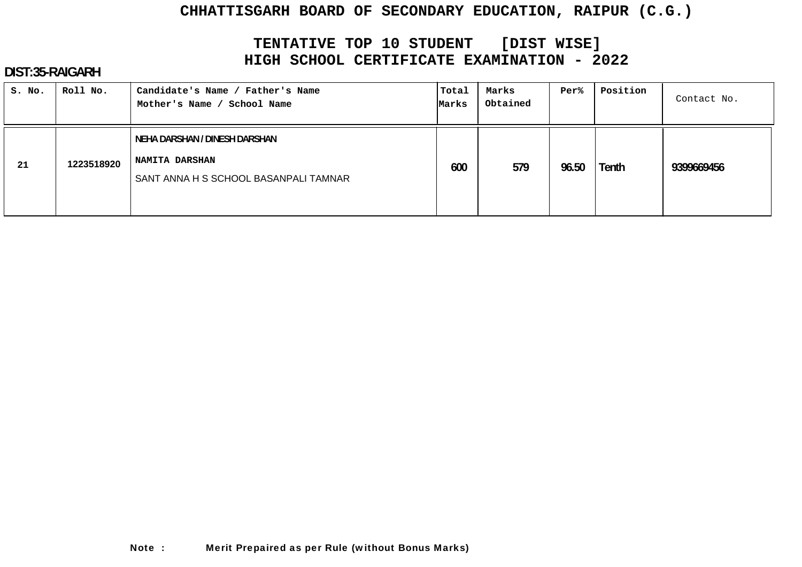# **TENTATIVE TOP 10 STUDENT [DIST WISE] HIGH SCHOOL CERTIFICATE EXAMINATION - 2022**

#### **DIST:35-RAIGARH**

| S. No. | Roll No.   | Candidate's Name / Father's Name<br>Mother's Name / School Name                                 | Total<br>Marks | Marks<br>Obtained | Per%  | Position | Contact No. |
|--------|------------|-------------------------------------------------------------------------------------------------|----------------|-------------------|-------|----------|-------------|
| 21     | 1223518920 | NEHA DARSHAN / DINESH DARSHAN<br><b>NAMITA DARSHAN</b><br>SANT ANNA H S SCHOOL BASANPALI TAMNAR | 600            | 579               | 96.50 | Tenth    | 9399669456  |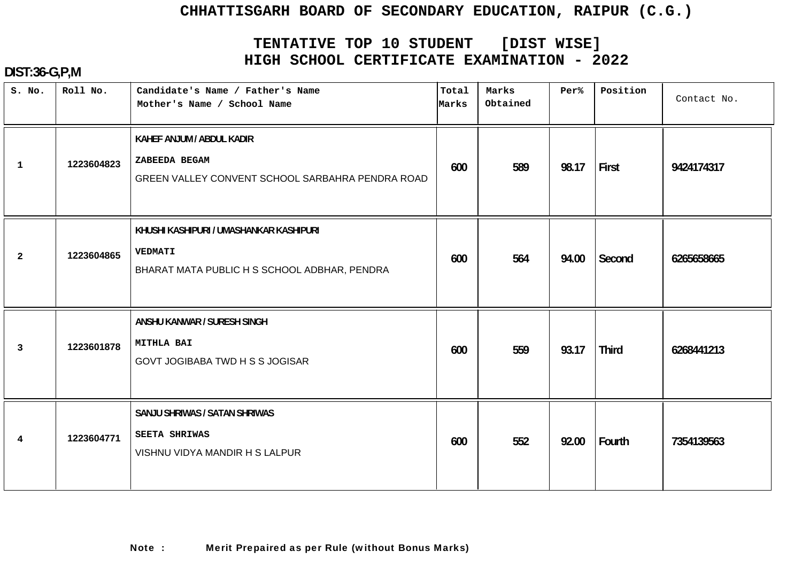# **TENTATIVE TOP 10 STUDENT [DIST WISE] HIGH SCHOOL CERTIFICATE EXAMINATION - 2022**

| S. No.                  | Roll No.   | Candidate's Name / Father's Name<br>Mother's Name / School Name                                           | Total<br>Marks | Marks<br>Obtained | Per%  | Position     | Contact No. |
|-------------------------|------------|-----------------------------------------------------------------------------------------------------------|----------------|-------------------|-------|--------------|-------------|
| $\mathbf{1}$            | 1223604823 | KAHEF ANJUM / ABDUL KADIR<br>ZABEEDA BEGAM<br>GREEN VALLEY CONVENT SCHOOL SARBAHRA PENDRA ROAD            | 600            | 589               | 98.17 | First        | 9424174317  |
| $\overline{a}$          | 1223604865 | KHUSHI KASHIPURI / UMASHANKAR KASHIPURI<br><b>VEDMATI</b><br>BHARAT MATA PUBLIC H S SCHOOL ADBHAR, PENDRA | 600            | 564               | 94.00 | Second       | 6265658665  |
| $\overline{\mathbf{3}}$ | 1223601878 | ANSHU KANWAR / SURESH SINGH<br><b>MITHLA BAI</b><br>GOVT JOGIBABA TWD H S S JOGISAR                       | 600            | 559               | 93.17 | <b>Third</b> | 6268441213  |
| $\overline{4}$          | 1223604771 | SANJU SHRIWAS / SATAN SHRIWAS<br><b>SEETA SHRIWAS</b><br>VISHNU VIDYA MANDIR H S LALPUR                   | 600            | 552               | 92.00 | Fourth       | 7354139563  |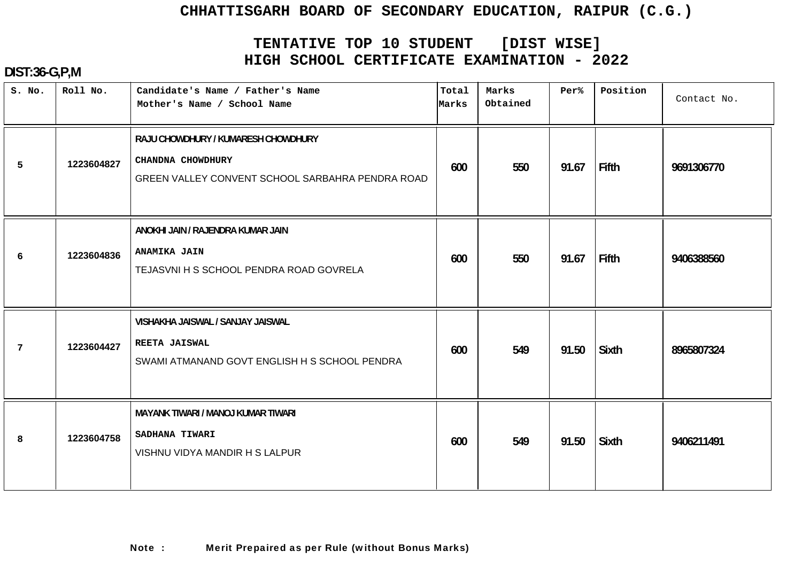# **TENTATIVE TOP 10 STUDENT [DIST WISE] HIGH SCHOOL CERTIFICATE EXAMINATION - 2022**

| S. No.          | Roll No.   | Candidate's Name / Father's Name<br>Mother's Name / School Name                                              | Total<br>Marks | Marks<br>Obtained | Per%  | Position     | Contact No. |
|-----------------|------------|--------------------------------------------------------------------------------------------------------------|----------------|-------------------|-------|--------------|-------------|
| 5               | 1223604827 | RAJU CHOWDHURY / KUMARESH CHOWDHURY<br>CHANDNA CHOWDHURY<br>GREEN VALLEY CONVENT SCHOOL SARBAHRA PENDRA ROAD | 600            | 550               | 91.67 | Fifth        | 9691306770  |
| 6               | 1223604836 | ANOKHI JAIN / RAJENDRA KUMAR JAIN<br><b>ANAMIKA JAIN</b><br>TEJASVNI H S SCHOOL PENDRA ROAD GOVRELA          | 600            | 550               | 91.67 | Fifth        | 9406388560  |
| $7\phantom{.0}$ | 1223604427 | VISHAKHA JAISWAL / SANJAY JAISWAL<br>REETA JAISWAL<br>SWAMI ATMANAND GOVT ENGLISH H S SCHOOL PENDRA          | 600            | 549               | 91.50 | Sixth        | 8965807324  |
| 8               | 1223604758 | MAYANK TIWARI / MANOJ KUMAR TIWARI<br>SADHANA TIWARI<br>VISHNU VIDYA MANDIR H S LALPUR                       | 600            | 549               | 91.50 | <b>Sixth</b> | 9406211491  |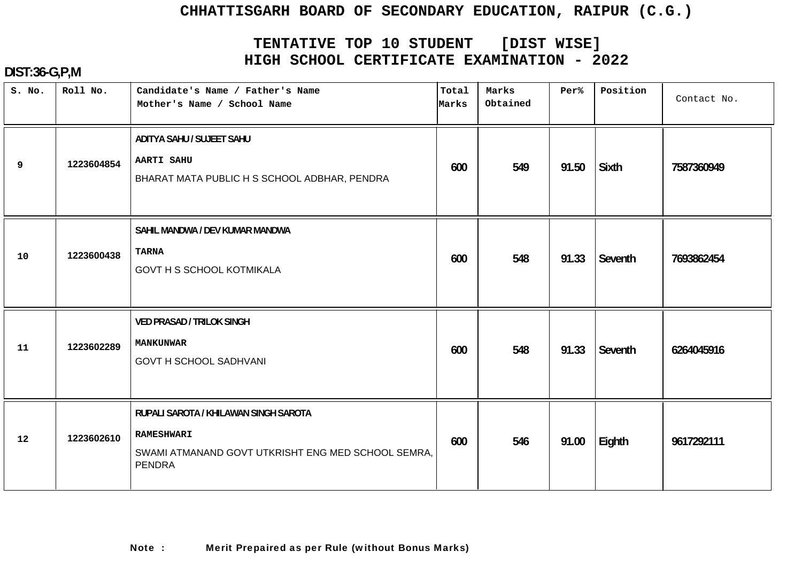# **TENTATIVE TOP 10 STUDENT [DIST WISE] HIGH SCHOOL CERTIFICATE EXAMINATION - 2022**

| S. No. | Roll No.   | Candidate's Name / Father's Name<br>Mother's Name / School Name                                                                   | Total<br>Marks | Marks<br>Obtained | Per%  | Position     | Contact No. |
|--------|------------|-----------------------------------------------------------------------------------------------------------------------------------|----------------|-------------------|-------|--------------|-------------|
| 9      | 1223604854 | ADITYA SAHU / SUJEET SAHU<br><b>AARTI SAHU</b><br>BHARAT MATA PUBLIC H S SCHOOL ADBHAR, PENDRA                                    | 600            | 549               | 91.50 | <b>Sixth</b> | 7587360949  |
| 10     | 1223600438 | SAHIL MANDWA / DEV KUMAR MANDWA<br><b>TARNA</b><br><b>GOVT H S SCHOOL KOTMIKALA</b>                                               | 600            | 548               | 91.33 | Seventh      | 7693862454  |
| 11     | 1223602289 | <b>VED PRASAD / TRILOK SINGH</b><br><b>MANKUNWAR</b><br><b>GOVT H SCHOOL SADHVANI</b>                                             | 600            | 548               | 91.33 | Seventh      | 6264045916  |
| 12     | 1223602610 | RUPALI SAROTA / KHILAWAN SINGH SAROTA<br><b>RAMESHWARI</b><br>SWAMI ATMANAND GOVT UTKRISHT ENG MED SCHOOL SEMRA,<br><b>PENDRA</b> | 600            | 546               | 91.00 | Eighth       | 9617292111  |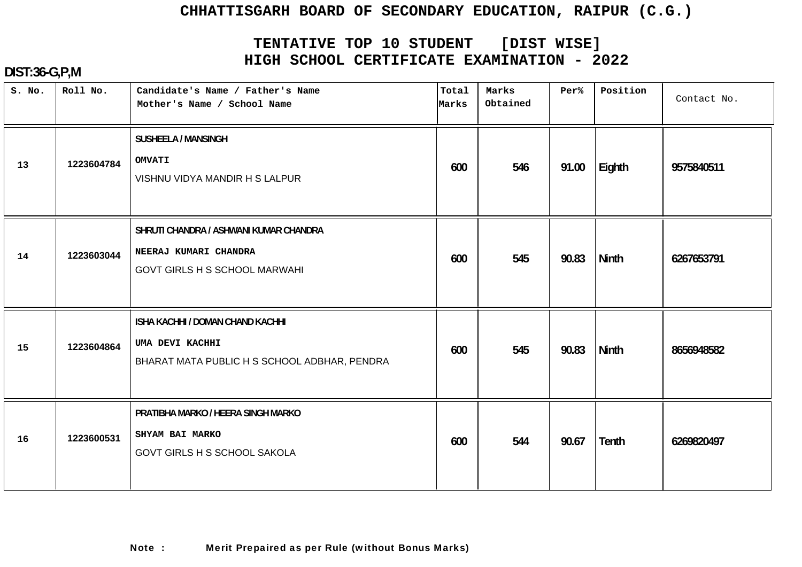# **TENTATIVE TOP 10 STUDENT [DIST WISE] HIGH SCHOOL CERTIFICATE EXAMINATION - 2022**

| S. No. | Roll No.   | Candidate's Name / Father's Name<br>Mother's Name / School Name                                         | Total<br>Marks | Marks<br>Obtained | Per%  | Position     | Contact No. |
|--------|------------|---------------------------------------------------------------------------------------------------------|----------------|-------------------|-------|--------------|-------------|
| 13     | 1223604784 | <b>SUSHEELA / MANSINGH</b><br><b>OMVATI</b><br>VISHNU VIDYA MANDIR H S LALPUR                           | 600            | 546               | 91.00 | Eighth       | 9575840511  |
| 14     | 1223603044 | SHRUTI CHANDRA / ASHWANI KUMAR CHANDRA<br>NEERAJ KUMARI CHANDRA<br><b>GOVT GIRLS H S SCHOOL MARWAHI</b> | 600            | 545               | 90.83 | <b>Ninth</b> | 6267653791  |
| 15     | 1223604864 | ISHA KACHHI / DOMAN CHAND KACHHI<br>UMA DEVI KACHHI<br>BHARAT MATA PUBLIC H S SCHOOL ADBHAR, PENDRA     | 600            | 545               | 90.83 | <b>Ninth</b> | 8656948582  |
| 16     | 1223600531 | PRATIBHA MARKO / HEERA SINGH MARKO<br>SHYAM BAI MARKO<br><b>GOVT GIRLS H S SCHOOL SAKOLA</b>            | 600            | 544               | 90.67 | Tenth        | 6269820497  |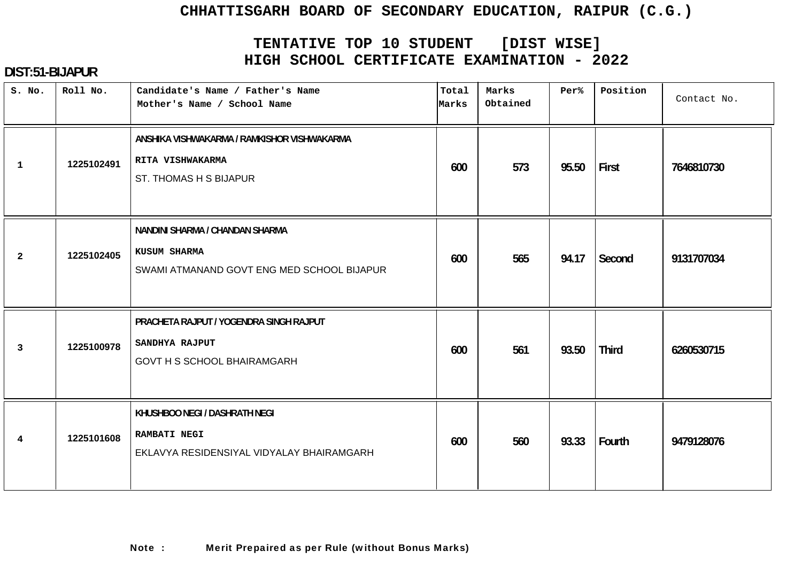# **TENTATIVE TOP 10 STUDENT [DIST WISE] HIGH SCHOOL CERTIFICATE EXAMINATION - 2022**

| S. No.         | Roll No.   | Candidate's Name / Father's Name<br>Mother's Name / School Name                                   | Total<br>Marks | Marks<br>Obtained | Per%  | Position     | Contact No. |
|----------------|------------|---------------------------------------------------------------------------------------------------|----------------|-------------------|-------|--------------|-------------|
| $\mathbf{1}$   | 1225102491 | ANSHIKA VISHWAKARMA / RAMKISHOR VISHWAKARMA<br>RITA VISHWAKARMA<br>ST. THOMAS H S BIJAPUR         | 600            | 573               | 95.50 | First        | 7646810730  |
| $\overline{2}$ | 1225102405 | NANDINI SHARMA / CHANDAN SHARMA<br>KUSUM SHARMA<br>SWAMI ATMANAND GOVT ENG MED SCHOOL BIJAPUR     | 600            | 565               | 94.17 | Second       | 9131707034  |
| 3              | 1225100978 | PRACHETA RAJPUT / YOGENDRA SINGH RAJPUT<br>SANDHYA RAJPUT<br><b>GOVT H S SCHOOL BHAIRAMGARH</b>   | 600            | 561               | 93.50 | <b>Third</b> | 6260530715  |
| $\overline{4}$ | 1225101608 | KHUSHBOO NEGI / DASHRATH NEGI<br><b>RAMBATI NEGI</b><br>EKLAVYA RESIDENSIYAL VIDYALAY BHAIRAMGARH | 600            | 560               | 93.33 | Fourth       | 9479128076  |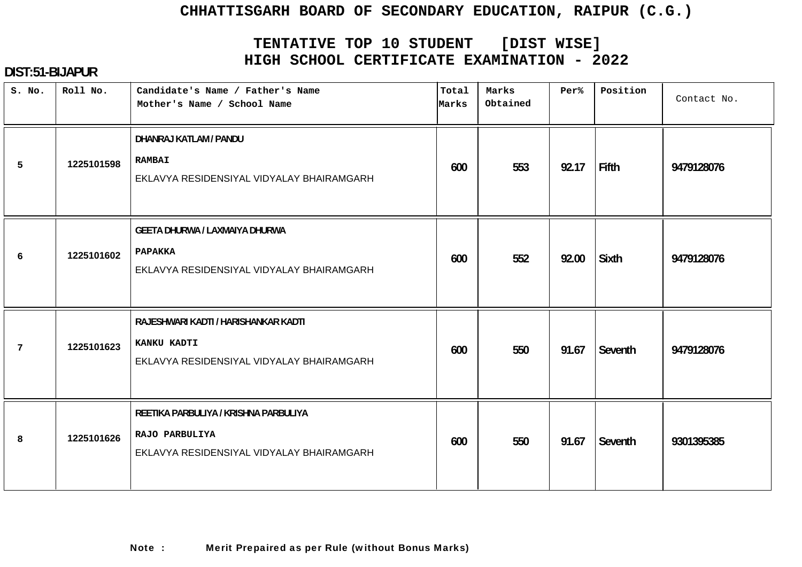# **TENTATIVE TOP 10 STUDENT [DIST WISE] HIGH SCHOOL CERTIFICATE EXAMINATION - 2022**

| S. No.          | Roll No.   | Candidate's Name / Father's Name<br>Mother's Name / School Name                                      | Total<br>Marks | Marks<br>Obtained | Per%  | Position     | Contact No. |
|-----------------|------------|------------------------------------------------------------------------------------------------------|----------------|-------------------|-------|--------------|-------------|
| 5               | 1225101598 | DHANRAJ KATLAM / PANDU<br><b>RAMBAI</b><br>EKLAVYA RESIDENSIYAL VIDYALAY BHAIRAMGARH                 | 600            | 553               | 92.17 | Fifth        | 9479128076  |
| 6               | 1225101602 | <b>GEETA DHURWA / LAXMAIYA DHURWA</b><br><b>PAPAKKA</b><br>EKLAVYA RESIDENSIYAL VIDYALAY BHAIRAMGARH | 600            | 552               | 92.00 | <b>Sixth</b> | 9479128076  |
| $7\phantom{.0}$ | 1225101623 | RAJESHWARI KADTI / HARISHANKAR KADTI<br>KANKU KADTI<br>EKLAVYA RESIDENSIYAL VIDYALAY BHAIRAMGARH     | 600            | 550               | 91.67 | Seventh      | 9479128076  |
| 8               | 1225101626 | REETIKA PARBULIYA / KRISHNA PARBULIYA<br>RAJO PARBULIYA<br>EKLAVYA RESIDENSIYAL VIDYALAY BHAIRAMGARH | 600            | 550               | 91.67 | Seventh      | 9301395385  |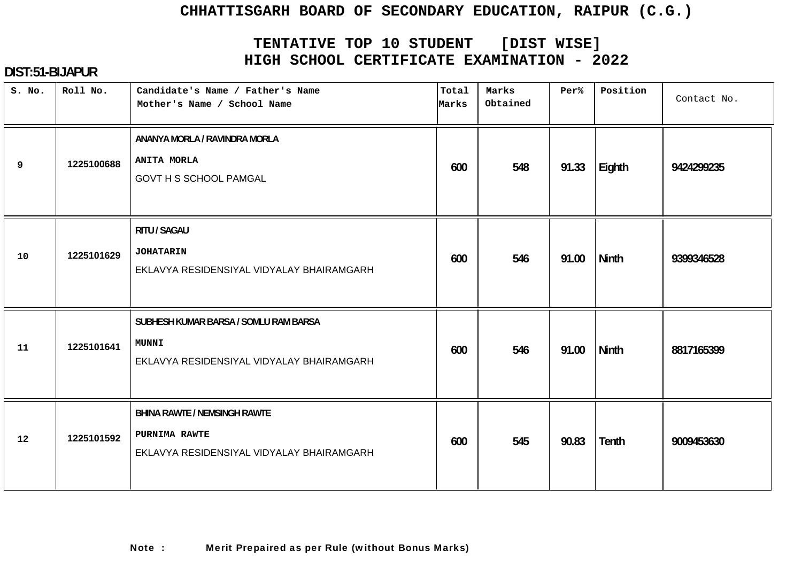# **TENTATIVE TOP 10 STUDENT [DIST WISE] HIGH SCHOOL CERTIFICATE EXAMINATION - 2022**

| S. No. | Roll No.   | Candidate's Name / Father's Name<br>Mother's Name / School Name                                    | Total<br>Marks | Marks<br>Obtained | Per%  | Position     | Contact No. |
|--------|------------|----------------------------------------------------------------------------------------------------|----------------|-------------------|-------|--------------|-------------|
| 9      | 1225100688 | ANANYA MORLA / RAVINDRA MORLA<br><b>ANITA MORLA</b><br><b>GOVT H S SCHOOL PAMGAL</b>               | 600            | 548               | 91.33 | Eighth       | 9424299235  |
| 10     | 1225101629 | RITU / SAGAU<br><b>JOHATARIN</b><br>EKLAVYA RESIDENSIYAL VIDYALAY BHAIRAMGARH                      | 600            | 546               | 91.00 | <b>Ninth</b> | 9399346528  |
| 11     | 1225101641 | SUBHESH KUMAR BARSA / SOMLU RAM BARSA<br><b>MUNNI</b><br>EKLAVYA RESIDENSIYAL VIDYALAY BHAIRAMGARH | 600            | 546               | 91.00 | Ninth        | 8817165399  |
| 12     | 1225101592 | <b>BHINA RAWTE / NEMSINGH RAWTE</b><br>PURNIMA RAWTE<br>EKLAVYA RESIDENSIYAL VIDYALAY BHAIRAMGARH  | 600            | 545               | 90.83 | <b>Tenth</b> | 9009453630  |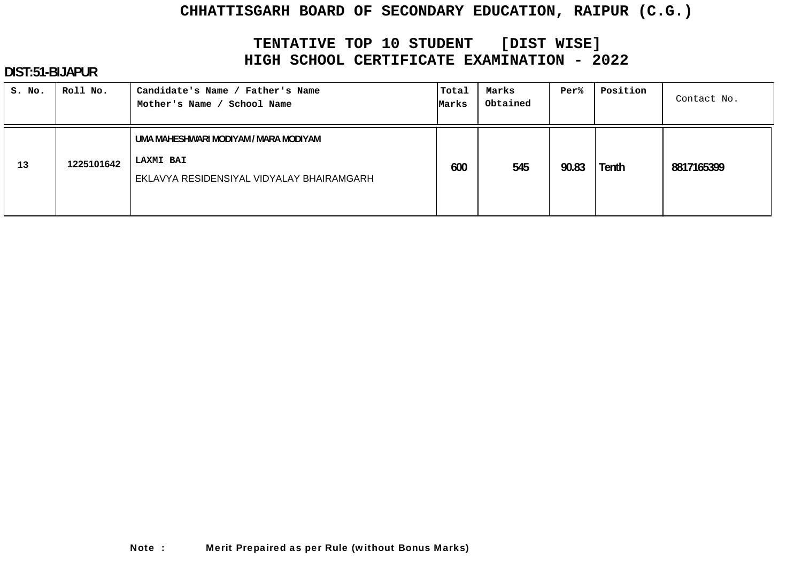# **TENTATIVE TOP 10 STUDENT [DIST WISE] HIGH SCHOOL CERTIFICATE EXAMINATION - 2022**

| S. No. | Roll No.   | Candidate's Name / Father's Name<br>Mother's Name / School Name                                        | Total<br>Marks | Marks<br>Obtained | Per%  | Position | Contact No. |
|--------|------------|--------------------------------------------------------------------------------------------------------|----------------|-------------------|-------|----------|-------------|
| 13     | 1225101642 | UMA MAHESHWARI MODIYAM / MARA MODIYAM<br><b>LAXMI BAI</b><br>EKLAVYA RESIDENSIYAL VIDYALAY BHAIRAMGARH | 600            | 545               | 90.83 | Tenth    | 8817165399  |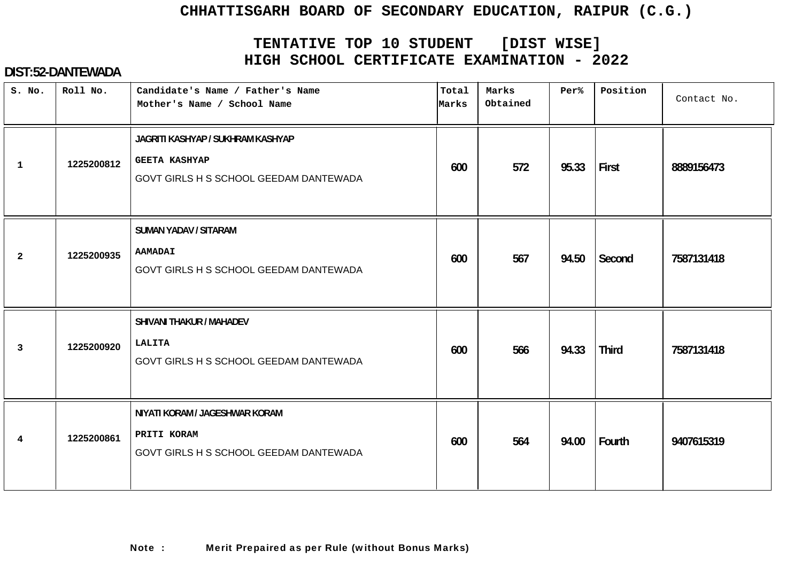# **TENTATIVE TOP 10 STUDENT [DIST WISE] HIGH SCHOOL CERTIFICATE EXAMINATION - 2022**

| S. No.          | Roll No.   | Candidate's Name / Father's Name<br>Mother's Name / School Name                                     | Total<br>Marks | Marks<br>Obtained | Per%  | Position     | Contact No. |
|-----------------|------------|-----------------------------------------------------------------------------------------------------|----------------|-------------------|-------|--------------|-------------|
| $\mathbf{1}$    | 1225200812 | JAGRITI KASHYAP / SUKHRAM KASHYAP<br><b>GEETA KASHYAP</b><br>GOVT GIRLS H S SCHOOL GEEDAM DANTEWADA | 600            | 572               | 95.33 | First        | 8889156473  |
| $\overline{a}$  | 1225200935 | <b>SUMAN YADAV / SITARAM</b><br><b>AAMADAI</b><br>GOVT GIRLS H S SCHOOL GEEDAM DANTEWADA            | 600            | 567               | 94.50 | Second       | 7587131418  |
| 3               | 1225200920 | SHIVANI THAKUR / MAHADEV<br>LALITA<br>GOVT GIRLS H S SCHOOL GEEDAM DANTEWADA                        | 600            | 566               | 94.33 | <b>Third</b> | 7587131418  |
| $4\overline{ }$ | 1225200861 | NIYATI KORAM / JAGESHWAR KORAM<br>PRITI KORAM<br>GOVT GIRLS H S SCHOOL GEEDAM DANTEWADA             | 600            | 564               | 94.00 | Fourth       | 9407615319  |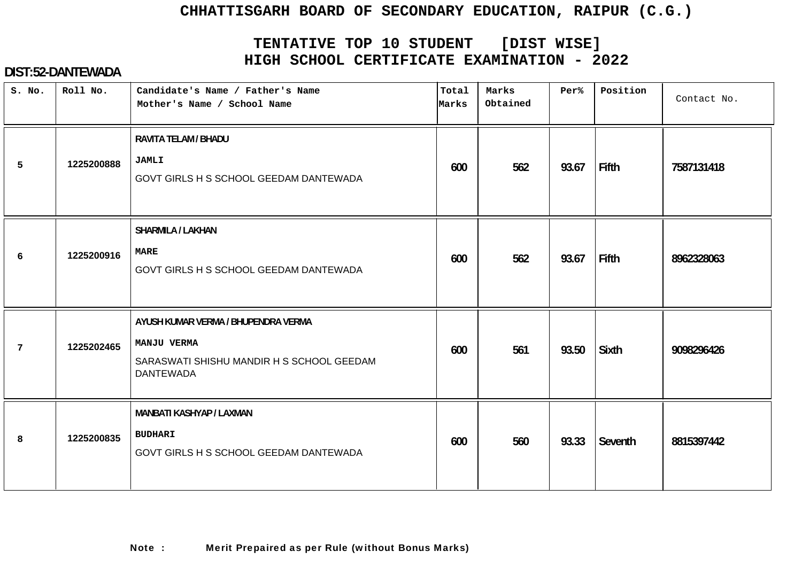# **TENTATIVE TOP 10 STUDENT [DIST WISE] HIGH SCHOOL CERTIFICATE EXAMINATION - 2022**

| S. No.          | Roll No.   | Candidate's Name / Father's Name<br>Mother's Name / School Name                                                     | Total<br>Marks | Marks<br>Obtained | Per%  | Position | Contact No. |
|-----------------|------------|---------------------------------------------------------------------------------------------------------------------|----------------|-------------------|-------|----------|-------------|
| 5               | 1225200888 | RAVITA TELAM / BHADU<br><b>JAMLI</b><br>GOVT GIRLS H S SCHOOL GEEDAM DANTEWADA                                      | 600            | 562               | 93.67 | Fifth    | 7587131418  |
| 6               | 1225200916 | <b>SHARMILA / LAKHAN</b><br><b>MARE</b><br>GOVT GIRLS H S SCHOOL GEEDAM DANTEWADA                                   | 600            | 562               | 93.67 | Fifth    | 8962328063  |
| $7\phantom{.0}$ | 1225202465 | AYUSH KUMAR VERMA / BHUPENDRA VERMA<br>MANJU VERMA<br>SARASWATI SHISHU MANDIR H S SCHOOL GEEDAM<br><b>DANTEWADA</b> | 600            | 561               | 93.50 | Sixth    | 9098296426  |
| 8               | 1225200835 | MANBATI KASHYAP / LAXMAN<br><b>BUDHARI</b><br>GOVT GIRLS H S SCHOOL GEEDAM DANTEWADA                                | 600            | 560               | 93.33 | Seventh  | 8815397442  |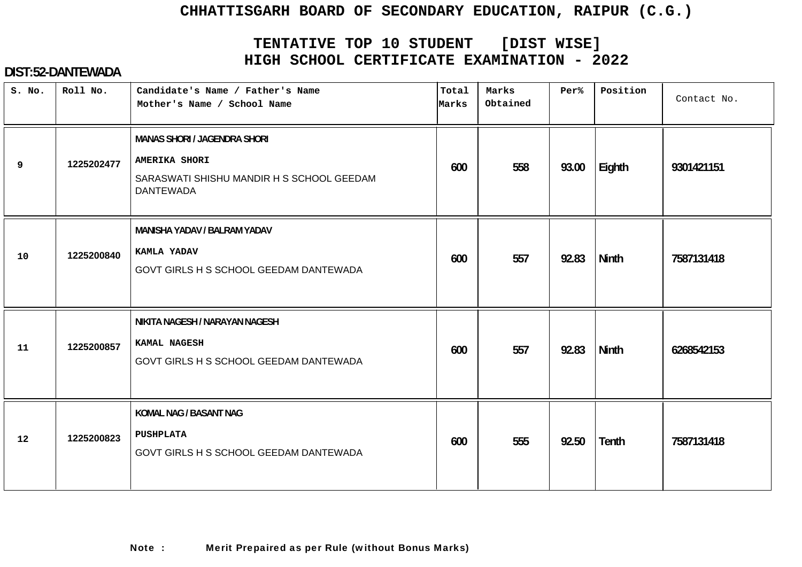# **TENTATIVE TOP 10 STUDENT [DIST WISE] HIGH SCHOOL CERTIFICATE EXAMINATION - 2022**

| S. No. | Roll No.   | Candidate's Name / Father's Name<br>Mother's Name / School Name                                                              | Total<br>Marks | Marks<br>Obtained | Per%  | Position     | Contact No. |
|--------|------------|------------------------------------------------------------------------------------------------------------------------------|----------------|-------------------|-------|--------------|-------------|
| 9      | 1225202477 | <b>MANAS SHORI / JAGENDRA SHORI</b><br><b>AMERIKA SHORI</b><br>SARASWATI SHISHU MANDIR H S SCHOOL GEEDAM<br><b>DANTEWADA</b> | 600            | 558               | 93.00 | Eighth       | 9301421151  |
| 10     | 1225200840 | <b>MANISHA YADAV / BALRAM YADAV</b><br>KAMLA YADAV<br>GOVT GIRLS H S SCHOOL GEEDAM DANTEWADA                                 | 600            | 557               | 92.83 | <b>Ninth</b> | 7587131418  |
| 11     | 1225200857 | NIKITA NAGESH / NARAYAN NAGESH<br>KAMAL NAGESH<br>GOVT GIRLS H S SCHOOL GEEDAM DANTEWADA                                     | 600            | 557               | 92.83 | <b>Ninth</b> | 6268542153  |
| 12     | 1225200823 | KOMAL NAG / BASANT NAG<br><b>PUSHPLATA</b><br>GOVT GIRLS H S SCHOOL GEEDAM DANTEWADA                                         | 600            | 555               | 92.50 | <b>Tenth</b> | 7587131418  |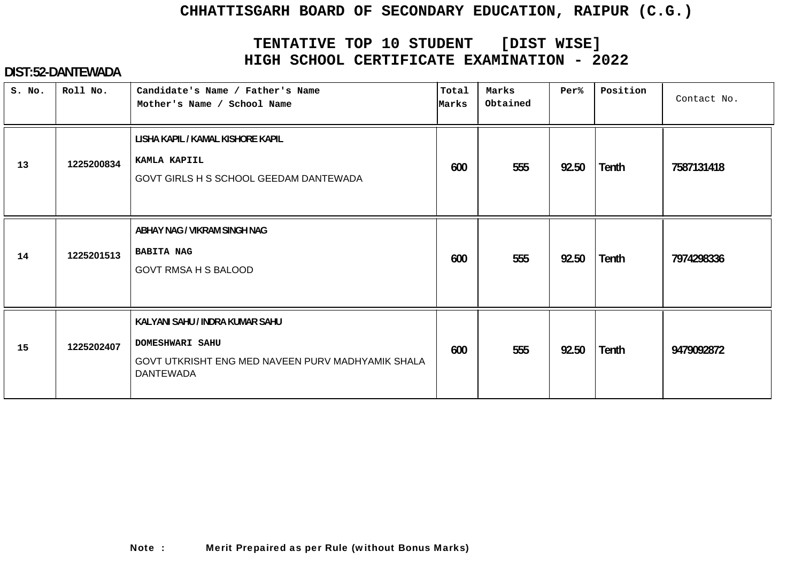# **TENTATIVE TOP 10 STUDENT [DIST WISE] HIGH SCHOOL CERTIFICATE EXAMINATION - 2022**

| S. No. | Roll No.   | Candidate's Name / Father's Name<br>Mother's Name / School Name                                                                    | Total<br>Marks | Marks<br>Obtained | Per%  | Position | Contact No. |
|--------|------------|------------------------------------------------------------------------------------------------------------------------------------|----------------|-------------------|-------|----------|-------------|
| 13     | 1225200834 | LISHA KAPIL / KAMAL KISHORE KAPIL<br>KAMLA KAPIIL<br>GOVT GIRLS H S SCHOOL GEEDAM DANTEWADA                                        | 600            | 555               | 92.50 | Tenth    | 7587131418  |
| 14     | 1225201513 | ABHAY NAG / VIKRAM SINGH NAG<br><b>BABITA NAG</b><br><b>GOVT RMSA H S BALOOD</b>                                                   | 600            | 555               | 92.50 | Tenth    | 7974298336  |
| 15     | 1225202407 | KALYANI SAHU / INDRA KUMAR SAHU<br><b>DOMESHWARI SAHU</b><br>GOVT UTKRISHT ENG MED NAVEEN PURV MADHYAMIK SHALA<br><b>DANTEWADA</b> | 600            | 555               | 92.50 | Tenth    | 9479092872  |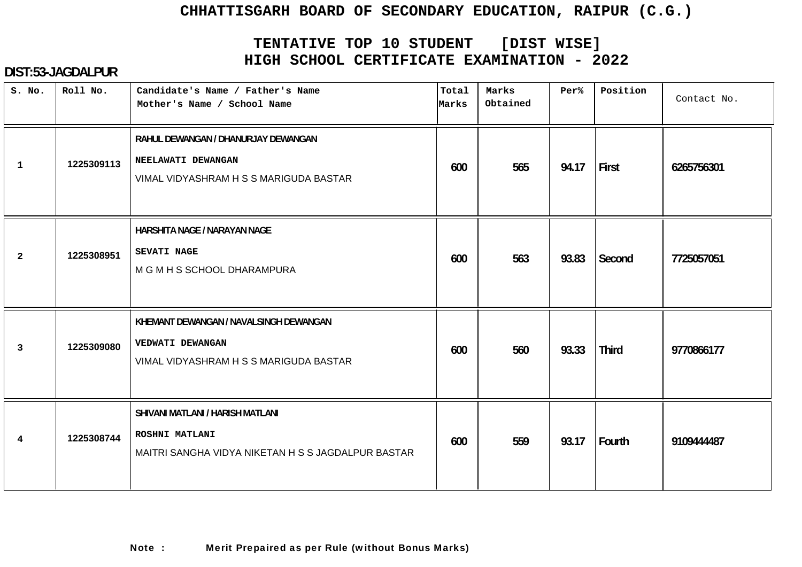# **TENTATIVE TOP 10 STUDENT [DIST WISE] HIGH SCHOOL CERTIFICATE EXAMINATION - 2022**

| S. No.         | Roll No.   | Candidate's Name / Father's Name<br>Mother's Name / School Name                                          | Total<br>Marks | Marks<br>Obtained | Per%  | Position     | Contact No. |
|----------------|------------|----------------------------------------------------------------------------------------------------------|----------------|-------------------|-------|--------------|-------------|
| $\mathbf{1}$   | 1225309113 | RAHUL DEWANGAN / DHANURJAY DEWANGAN<br>NEELAWATI DEWANGAN<br>VIMAL VIDYASHRAM H S S MARIGUDA BASTAR      | 600            | 565               | 94.17 | First        | 6265756301  |
| $\overline{2}$ | 1225308951 | HARSHITA NAGE / NARAYAN NAGE<br><b>SEVATI NAGE</b><br>M G M H S SCHOOL DHARAMPURA                        | 600            | 563               | 93.83 | Second       | 7725057051  |
| $\mathbf{3}$   | 1225309080 | KHEMANT DEWANGAN / NAVALSINGH DEWANGAN<br>VEDWATI DEWANGAN<br>VIMAL VIDYASHRAM H S S MARIGUDA BASTAR     | 600            | 560               | 93.33 | <b>Third</b> | 9770866177  |
| $\overline{4}$ | 1225308744 | SHIVANI MATLANI / HARISH MATLANI<br>ROSHNI MATLANI<br>MAITRI SANGHA VIDYA NIKETAN H S S JAGDALPUR BASTAR | 600            | 559               | 93.17 | Fourth       | 9109444487  |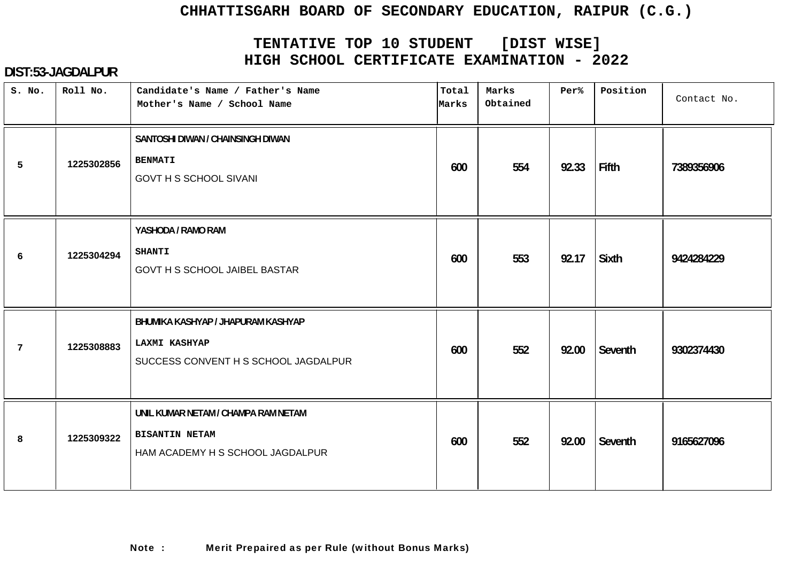# **TENTATIVE TOP 10 STUDENT [DIST WISE] HIGH SCHOOL CERTIFICATE EXAMINATION - 2022**

| S. No.          | Roll No.   | Candidate's Name / Father's Name<br>Mother's Name / School Name                                    | Total<br>Marks | Marks<br>Obtained | Per%  | Position     | Contact No. |
|-----------------|------------|----------------------------------------------------------------------------------------------------|----------------|-------------------|-------|--------------|-------------|
| 5               | 1225302856 | SANTOSHI DIWAN / CHAINSINGH DIWAN<br><b>BENMATI</b><br><b>GOVT H S SCHOOL SIVANI</b>               | 600            | 554               | 92.33 | Fifth        | 7389356906  |
| 6               | 1225304294 | YASHODA / RAMO RAM<br><b>SHANTI</b><br><b>GOVT H S SCHOOL JAIBEL BASTAR</b>                        | 600            | 553               | 92.17 | <b>Sixth</b> | 9424284229  |
| $7\overline{ }$ | 1225308883 | BHUMIKA KASHYAP / JHAPURAM KASHYAP<br><b>LAXMI KASHYAP</b><br>SUCCESS CONVENT H S SCHOOL JAGDALPUR | 600            | 552               | 92.00 | Seventh      | 9302374430  |
| 8               | 1225309322 | UNIL KUMAR NETAM / CHAMPA RAM NETAM<br><b>BISANTIN NETAM</b><br>HAM ACADEMY H S SCHOOL JAGDALPUR   | 600            | 552               | 92.00 | Seventh      | 9165627096  |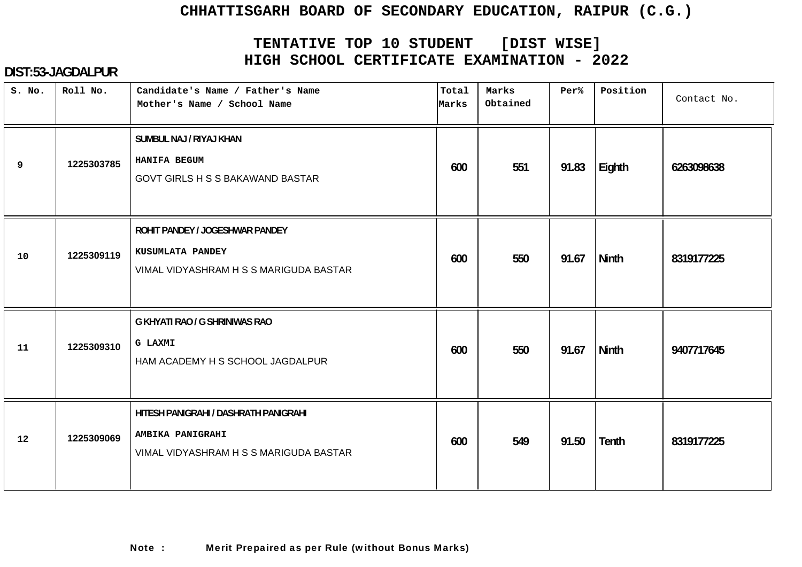# **TENTATIVE TOP 10 STUDENT [DIST WISE] HIGH SCHOOL CERTIFICATE EXAMINATION - 2022**

| S. No. | Roll No.   | Candidate's Name / Father's Name<br>Mother's Name / School Name                                     | Total<br>Marks | Marks<br>Obtained | Per%  | Position     | Contact No. |
|--------|------------|-----------------------------------------------------------------------------------------------------|----------------|-------------------|-------|--------------|-------------|
| 9      | 1225303785 | SUMBUL NAJ / RIYAJ KHAN<br>HANIFA BEGUM<br><b>GOVT GIRLS H S S BAKAWAND BASTAR</b>                  | 600            | 551               | 91.83 | Eighth       | 6263098638  |
| 10     | 1225309119 | ROHIT PANDEY / JOGESHWAR PANDEY<br>KUSUMLATA PANDEY<br>VIMAL VIDYASHRAM H S S MARIGUDA BASTAR       | 600            | 550               | 91.67 | <b>Ninth</b> | 8319177225  |
| 11     | 1225309310 | G KHYATI RAO / G SHRINIWAS RAO<br><b>G LAXMI</b><br>HAM ACADEMY H S SCHOOL JAGDALPUR                | 600            | 550               | 91.67 | <b>Ninth</b> | 9407717645  |
| 12     | 1225309069 | HITESH PANIGRAHI / DASHRATH PANIGRAHI<br>AMBIKA PANIGRAHI<br>VIMAL VIDYASHRAM H S S MARIGUDA BASTAR | 600            | 549               | 91.50 | Tenth        | 8319177225  |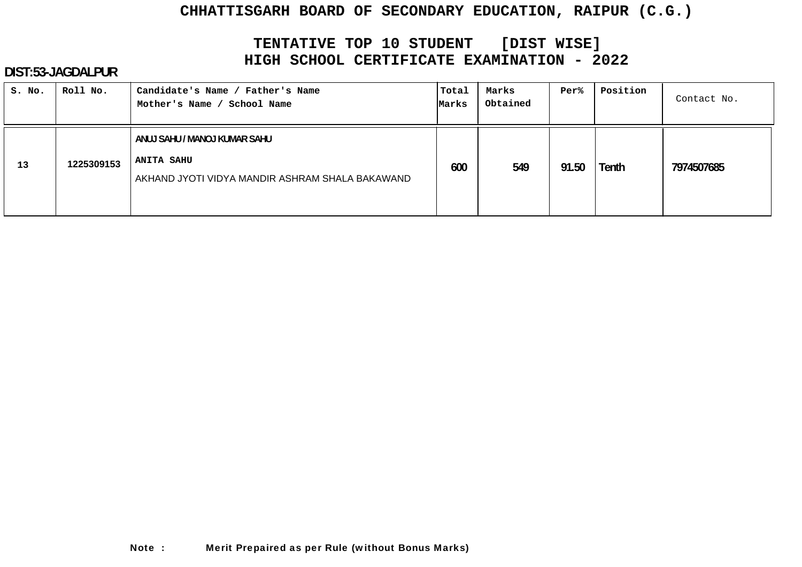# **TENTATIVE TOP 10 STUDENT [DIST WISE] HIGH SCHOOL CERTIFICATE EXAMINATION - 2022**

| S. No. | Roll No.   | Candidate's Name / Father's Name<br>Mother's Name /<br>School Name                                   | Total<br>Marks | Marks<br>Obtained | <b>Per%</b> | Position | Contact No. |
|--------|------------|------------------------------------------------------------------------------------------------------|----------------|-------------------|-------------|----------|-------------|
| 13     | 1225309153 | ANUJ SAHU / MANOJ KUMAR SAHU<br><b>ANITA SAHU</b><br>AKHAND JYOTI VIDYA MANDIR ASHRAM SHALA BAKAWAND | 600            | 549               | 91.50       | Tenth    | 7974507685  |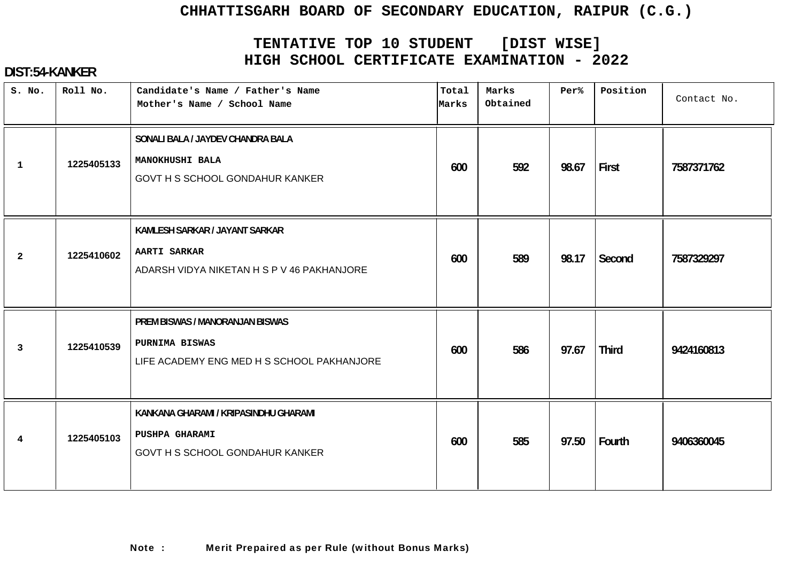# **TENTATIVE TOP 10 STUDENT [DIST WISE] HIGH SCHOOL CERTIFICATE EXAMINATION - 2022**

# **DIST:54-KANKER**

| S. No.         | Roll No.   | Candidate's Name / Father's Name<br>Mother's Name / School Name                                     | Total<br>Marks | Marks<br>Obtained | Per%  | Position     | Contact No. |
|----------------|------------|-----------------------------------------------------------------------------------------------------|----------------|-------------------|-------|--------------|-------------|
| $\mathbf{1}$   | 1225405133 | SONALI BALA / JAYDEV CHANDRA BALA<br>MANOKHUSHI BALA<br>GOVT H S SCHOOL GONDAHUR KANKER             | 600            | 592               | 98.67 | First        | 7587371762  |
| $\overline{2}$ | 1225410602 | KAMLESH SARKAR / JAYANT SARKAR<br><b>AARTI SARKAR</b><br>ADARSH VIDYA NIKETAN H S P V 46 PAKHANJORE | 600            | 589               | 98.17 | Second       | 7587329297  |
| 3              | 1225410539 | PREM BISWAS / MANORANJAN BISWAS<br>PURNIMA BISWAS<br>LIFE ACADEMY ENG MED H S SCHOOL PAKHANJORE     | 600            | 586               | 97.67 | <b>Third</b> | 9424160813  |
| $\overline{4}$ | 1225405103 | KANKANA GHARAMI / KRIPASINDHU GHARAMI<br>PUSHPA GHARAMI<br>GOVT H S SCHOOL GONDAHUR KANKER          | 600            | 585               | 97.50 | Fourth       | 9406360045  |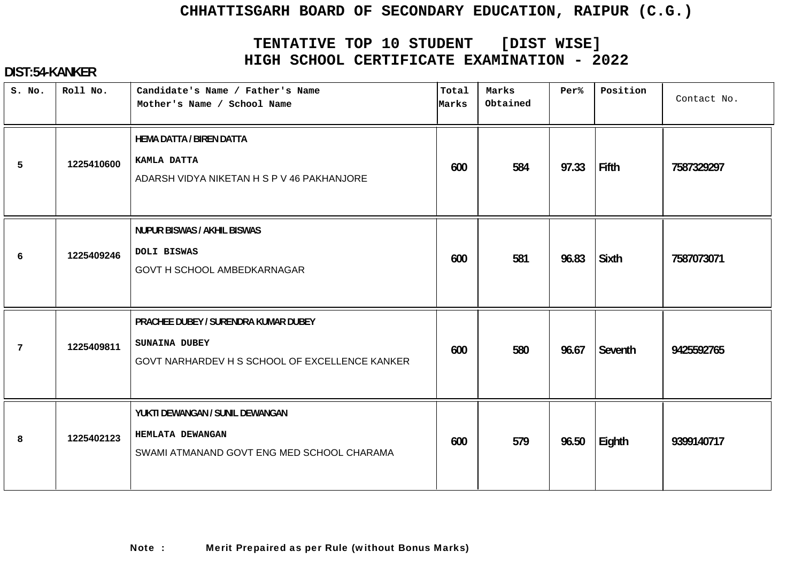# **TENTATIVE TOP 10 STUDENT [DIST WISE] HIGH SCHOOL CERTIFICATE EXAMINATION - 2022**

# **DIST:54-KANKER**

| S. No.          | Roll No.   | Candidate's Name / Father's Name<br>Mother's Name / School Name                                         | Total<br>Marks | Marks<br>Obtained | Per%  | Position     | Contact No. |
|-----------------|------------|---------------------------------------------------------------------------------------------------------|----------------|-------------------|-------|--------------|-------------|
| 5               | 1225410600 | <b>HEMA DATTA / BIREN DATTA</b><br>KAMLA DATTA<br>ADARSH VIDYA NIKETAN H S P V 46 PAKHANJORE            | 600            | 584               | 97.33 | Fifth        | 7587329297  |
| 6               | 1225409246 | <b>NUPUR BISWAS / AKHIL BISWAS</b><br>DOLI BISWAS<br>GOVT H SCHOOL AMBEDKARNAGAR                        | 600            | 581               | 96.83 | <b>Sixth</b> | 7587073071  |
| $7\phantom{.0}$ | 1225409811 | PRACHEE DUBEY / SURENDRA KUMAR DUBEY<br>SUNAINA DUBEY<br>GOVT NARHARDEV H S SCHOOL OF EXCELLENCE KANKER | 600            | 580               | 96.67 | Seventh      | 9425592765  |
| 8               | 1225402123 | YUKTI DEWANGAN / SUNIL DEWANGAN<br>HEMLATA DEWANGAN<br>SWAMI ATMANAND GOVT ENG MED SCHOOL CHARAMA       | 600            | 579               | 96.50 | Eighth       | 9399140717  |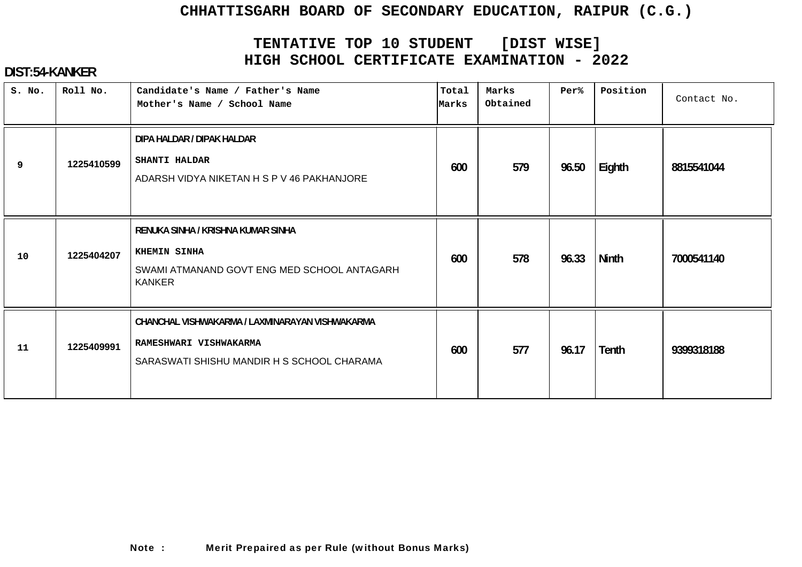# **TENTATIVE TOP 10 STUDENT [DIST WISE] HIGH SCHOOL CERTIFICATE EXAMINATION - 2022**

# **DIST:54-KANKER**

| S. No. | Roll No.   | Candidate's Name / Father's Name<br>Mother's Name / School Name                                                         | Total<br>Marks | Marks<br>Obtained | Per%  | Position     | Contact No. |
|--------|------------|-------------------------------------------------------------------------------------------------------------------------|----------------|-------------------|-------|--------------|-------------|
| 9      | 1225410599 | DIPA HALDAR / DIPAK HALDAR<br>SHANTI HALDAR<br>ADARSH VIDYA NIKETAN H S P V 46 PAKHANJORE                               | 600            | 579               | 96.50 | Eighth       | 8815541044  |
| 10     | 1225404207 | RENUKA SINHA / KRISHNA KUMAR SINHA<br>KHEMIN SINHA<br>SWAMI ATMANAND GOVT ENG MED SCHOOL ANTAGARH<br><b>KANKER</b>      | 600            | 578               | 96.33 | <b>Ninth</b> | 7000541140  |
| 11     | 1225409991 | CHANCHAL VISHWAKARMA / LAXMINARAYAN VISHWAKARMA<br>RAMESHWARI VISHWAKARMA<br>SARASWATI SHISHU MANDIR H S SCHOOL CHARAMA | 600            | 577               | 96.17 | Tenth        | 9399318188  |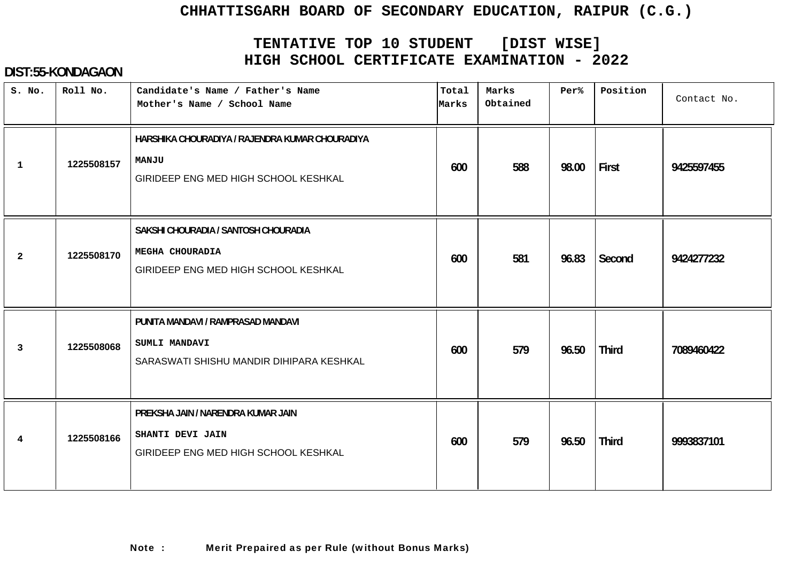# **TENTATIVE TOP 10 STUDENT [DIST WISE] HIGH SCHOOL CERTIFICATE EXAMINATION - 2022**

#### **DIST:55-KONDAGAON**

| S. No.         | Roll No.   | Candidate's Name / Father's Name<br>Mother's Name / School Name                                         | Total<br>Marks | Marks<br>Obtained | Per%  | Position     | Contact No. |
|----------------|------------|---------------------------------------------------------------------------------------------------------|----------------|-------------------|-------|--------------|-------------|
| $\mathbf{1}$   | 1225508157 | HARSHIKA CHOURADIYA / RAJENDRA KUMAR CHOURADIYA<br><b>MANJU</b><br>GIRIDEEP ENG MED HIGH SCHOOL KESHKAL | 600            | 588               | 98.00 | First        | 9425597455  |
| $\overline{2}$ | 1225508170 | SAKSHI CHOURADIA / SANTOSH CHOURADIA<br>MEGHA CHOURADIA<br>GIRIDEEP ENG MED HIGH SCHOOL KESHKAL         | 600            | 581               | 96.83 | Second       | 9424277232  |
| 3              | 1225508068 | PUNITA MANDAVI / RAMPRASAD MANDAVI<br><b>SUMLI MANDAVI</b><br>SARASWATI SHISHU MANDIR DIHIPARA KESHKAL  | 600            | 579               | 96.50 | <b>Third</b> | 7089460422  |
| 4              | 1225508166 | PREKSHA JAIN / NARENDRA KUMAR JAIN<br>SHANTI DEVI JAIN<br>GIRIDEEP ENG MED HIGH SCHOOL KESHKAL          | 600            | 579               | 96.50 | <b>Third</b> | 9993837101  |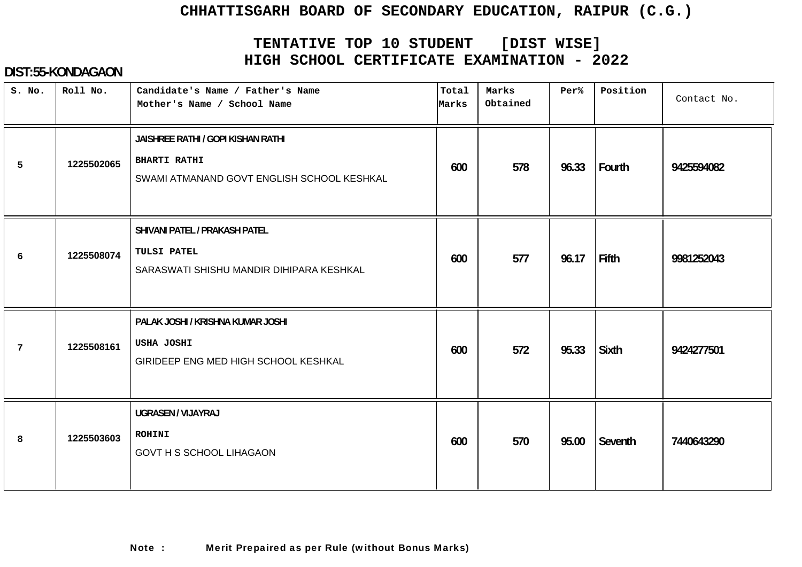# **TENTATIVE TOP 10 STUDENT [DIST WISE] HIGH SCHOOL CERTIFICATE EXAMINATION - 2022**

#### **DIST:55-KONDAGAON**

| S. No.          | Roll No.   | Candidate's Name / Father's Name<br>Mother's Name / School Name                                         | Total<br>Marks | Marks<br>Obtained | Per%  | Position     | Contact No. |
|-----------------|------------|---------------------------------------------------------------------------------------------------------|----------------|-------------------|-------|--------------|-------------|
| 5               | 1225502065 | JAISHREE RATHI / GOPI KISHAN RATHI<br><b>BHARTI RATHI</b><br>SWAMI ATMANAND GOVT ENGLISH SCHOOL KESHKAL | 600            | 578               | 96.33 | Fourth       | 9425594082  |
| 6               | 1225508074 | SHIVANI PATEL / PRAKASH PATEL<br>TULSI PATEL<br>SARASWATI SHISHU MANDIR DIHIPARA KESHKAL                | 600            | 577               | 96.17 | Fifth        | 9981252043  |
| $7\phantom{.0}$ | 1225508161 | PALAK JOSHI / KRISHNA KUMAR JOSHI<br>USHA JOSHI<br>GIRIDEEP ENG MED HIGH SCHOOL KESHKAL                 | 600            | 572               | 95.33 | <b>Sixth</b> | 9424277501  |
| 8               | 1225503603 | UGRASEN / VIJAYRAJ<br><b>ROHINI</b><br><b>GOVT H S SCHOOL LIHAGAON</b>                                  | 600            | 570               | 95.00 | Seventh      | 7440643290  |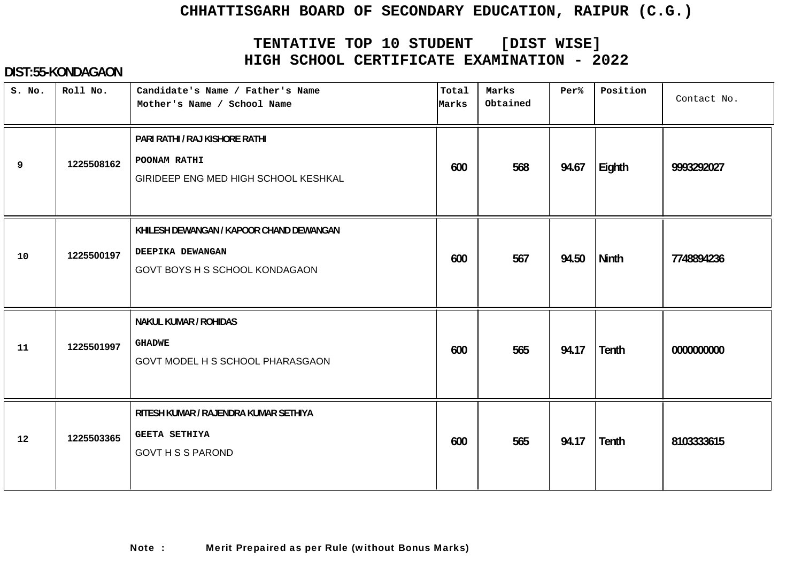# **TENTATIVE TOP 10 STUDENT [DIST WISE] HIGH SCHOOL CERTIFICATE EXAMINATION - 2022**

#### **DIST:55-KONDAGAON**

| S. No. | Roll No.   | Candidate's Name / Father's Name<br>Mother's Name / School Name                                | Total<br>Marks | Marks<br>Obtained | Per%  | Position     | Contact No. |
|--------|------------|------------------------------------------------------------------------------------------------|----------------|-------------------|-------|--------------|-------------|
| 9      | 1225508162 | PARI RATHI / RAJ KISHORE RATHI<br>POONAM RATHI<br>GIRIDEEP ENG MED HIGH SCHOOL KESHKAL         | 600            | 568               | 94.67 | Eighth       | 9993292027  |
| 10     | 1225500197 | KHILESH DEWANGAN / KAPOOR CHAND DEWANGAN<br>DEEPIKA DEWANGAN<br>GOVT BOYS H S SCHOOL KONDAGAON | 600            | 567               | 94.50 | <b>Ninth</b> | 7748894236  |
| 11     | 1225501997 | <b>NAKUL KUMAR / ROHIDAS</b><br><b>GHADWE</b><br>GOVT MODEL H S SCHOOL PHARASGAON              | 600            | 565               | 94.17 | <b>Tenth</b> | 0000000000  |
| 12     | 1225503365 | RITESH KUMAR / RAJENDRA KUMAR SETHIYA<br><b>GEETA SETHIYA</b><br><b>GOVT H S S PAROND</b>      | 600            | 565               | 94.17 | Tenth        | 8103333615  |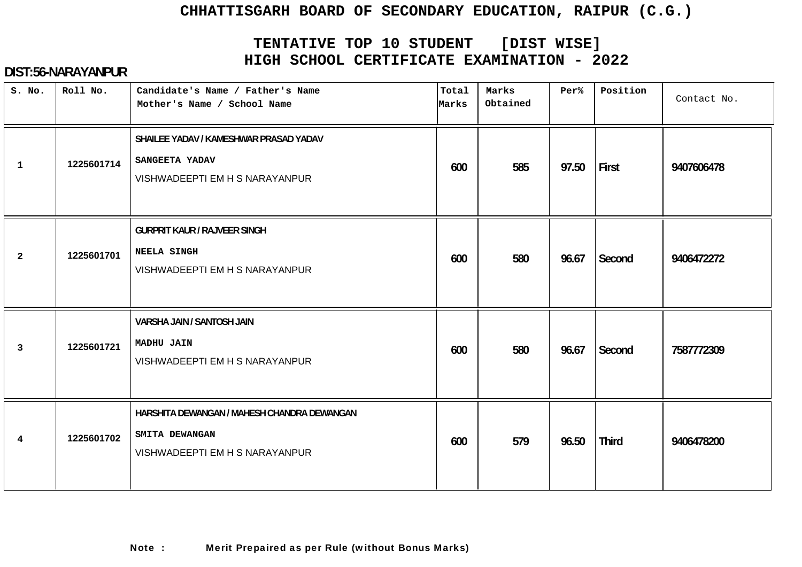# **TENTATIVE TOP 10 STUDENT [DIST WISE] HIGH SCHOOL CERTIFICATE EXAMINATION - 2022**

| S. No.         | Roll No.   | Candidate's Name / Father's Name<br>Mother's Name / School Name                                 | Total<br>Marks | Marks<br>Obtained | Per%  | Position     | Contact No. |
|----------------|------------|-------------------------------------------------------------------------------------------------|----------------|-------------------|-------|--------------|-------------|
| $\mathbf 1$    | 1225601714 | SHAILEE YADAV / KAMESHWAR PRASAD YADAV<br>SANGEETA YADAV<br>VISHWADEEPTI EM H S NARAYANPUR      | 600            | 585               | 97.50 | First        | 9407606478  |
| $\overline{2}$ | 1225601701 | <b>GURPRIT KAUR / RAJVEER SINGH</b><br><b>NEELA SINGH</b><br>VISHWADEEPTI EM H S NARAYANPUR     | 600            | 580               | 96.67 | Second       | 9406472272  |
| 3              | 1225601721 | VARSHA JAIN / SANTOSH JAIN<br><b>MADHU JAIN</b><br>VISHWADEEPTI EM H S NARAYANPUR               | 600            | 580               | 96.67 | Second       | 7587772309  |
| 4              | 1225601702 | HARSHITA DEWANGAN / MAHESH CHANDRA DEWANGAN<br>SMITA DEWANGAN<br>VISHWADEEPTI EM H S NARAYANPUR | 600            | 579               | 96.50 | <b>Third</b> | 9406478200  |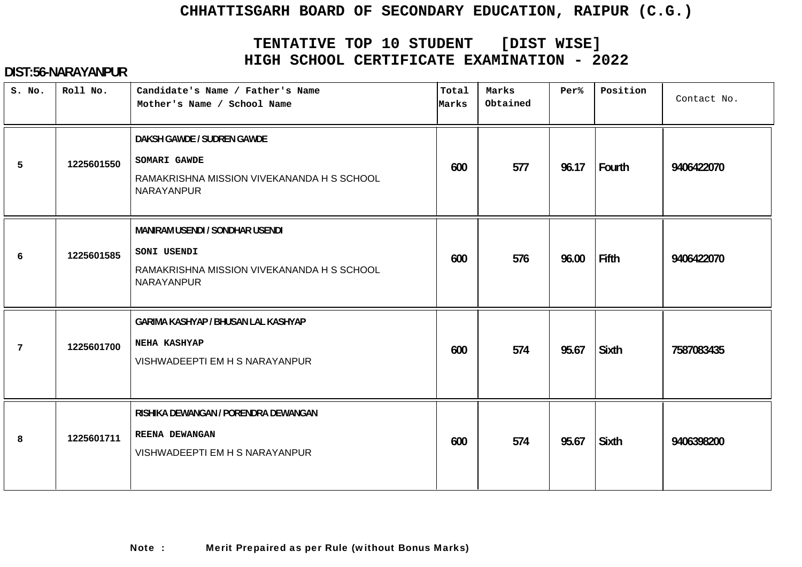# **TENTATIVE TOP 10 STUDENT [DIST WISE] HIGH SCHOOL CERTIFICATE EXAMINATION - 2022**

| S. No. | Roll No.   | Candidate's Name / Father's Name<br>Mother's Name / School Name                                                   | Total<br>Marks | Marks<br>Obtained | Per%  | Position     | Contact No. |
|--------|------------|-------------------------------------------------------------------------------------------------------------------|----------------|-------------------|-------|--------------|-------------|
| 5      | 1225601550 | DAKSH GAWDE / SUDREN GAWDE<br>SOMARI GAWDE<br>RAMAKRISHNA MISSION VIVEKANANDA H S SCHOOL<br>NARAYANPUR            | 600            | 577               | 96.17 | Fourth       | 9406422070  |
| 6      | 1225601585 | <b>MANIRAM USENDI / SONDHAR USENDI</b><br>SONI USENDI<br>RAMAKRISHNA MISSION VIVEKANANDA H S SCHOOL<br>NARAYANPUR | 600            | 576               | 96.00 | <b>Fifth</b> | 9406422070  |
| 7      | 1225601700 | GARIMA KASHYAP / BHUSAN LAL KASHYAP<br><b>NEHA KASHYAP</b><br>VISHWADEEPTI EM H S NARAYANPUR                      | 600            | 574               | 95.67 | <b>Sixth</b> | 7587083435  |
| 8      | 1225601711 | RISHIKA DEWANGAN / PORENDRA DEWANGAN<br>REENA DEWANGAN<br>VISHWADEEPTI EM H S NARAYANPUR                          | 600            | 574               | 95.67 | <b>Sixth</b> | 9406398200  |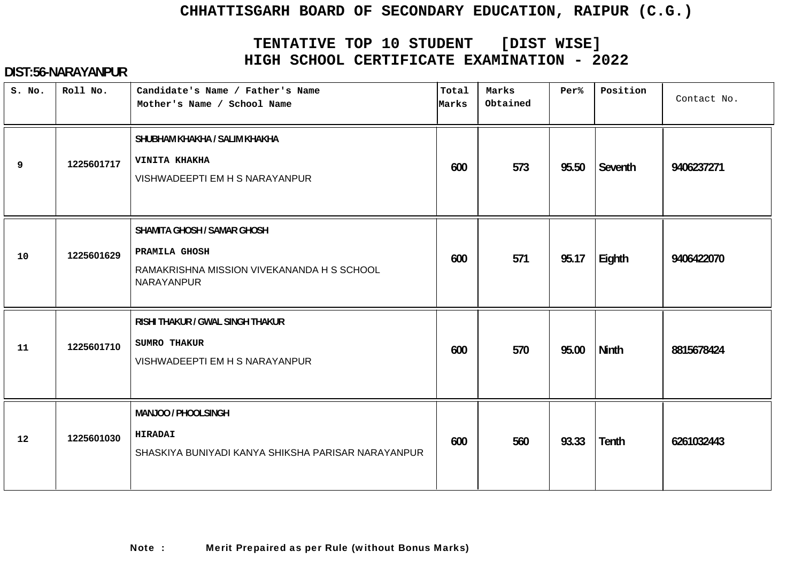# **TENTATIVE TOP 10 STUDENT [DIST WISE] HIGH SCHOOL CERTIFICATE EXAMINATION - 2022**

| S. No. | Roll No.   | Candidate's Name / Father's Name<br>Mother's Name / School Name                                                 | Total<br>Marks | Marks<br>Obtained | Per%  | Position     | Contact No. |
|--------|------------|-----------------------------------------------------------------------------------------------------------------|----------------|-------------------|-------|--------------|-------------|
| 9      | 1225601717 | SHUBHAM KHAKHA / SALIM KHAKHA<br>VINITA KHAKHA<br>VISHWADEEPTI EM H S NARAYANPUR                                | 600            | 573               | 95.50 | Seventh      | 9406237271  |
| 10     | 1225601629 | <b>SHAMITA GHOSH / SAMAR GHOSH</b><br>PRAMILA GHOSH<br>RAMAKRISHNA MISSION VIVEKANANDA H S SCHOOL<br>NARAYANPUR | 600            | 571               | 95.17 | Eighth       | 9406422070  |
| 11     | 1225601710 | RISHI THAKUR / GWAL SINGH THAKUR<br>SUMRO THAKUR<br>VISHWADEEPTI EM H S NARAYANPUR                              | 600            | 570               | 95.00 | <b>Ninth</b> | 8815678424  |
| 12     | 1225601030 | MANJOO / PHOOLSINGH<br><b>HIRADAI</b><br>SHASKIYA BUNIYADI KANYA SHIKSHA PARISAR NARAYANPUR                     | 600            | 560               | 93.33 | <b>Tenth</b> | 6261032443  |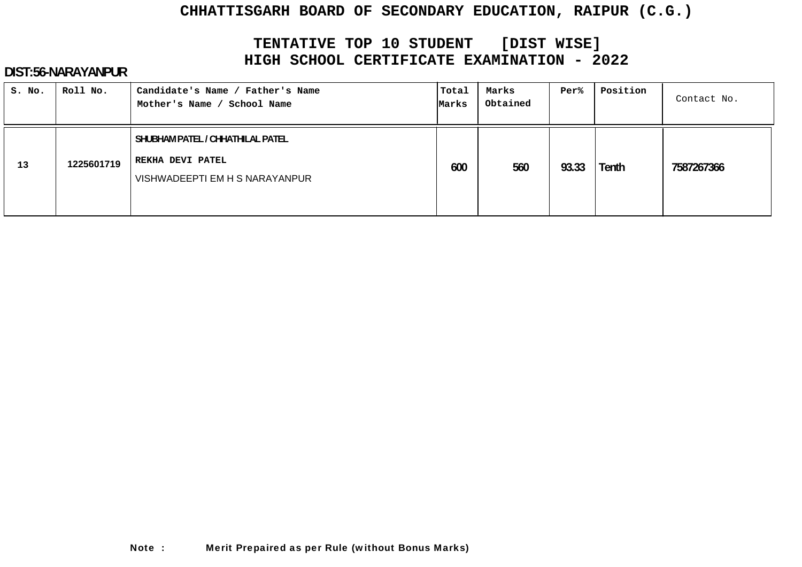# **TENTATIVE TOP 10 STUDENT [DIST WISE] HIGH SCHOOL CERTIFICATE EXAMINATION - 2022**

| S. No. | Roll No.   | Candidate's Name / Father's Name<br>School Name<br>Mother's Name /                     | Total<br>Marks | Marks<br>Obtained | Per%  | Position | Contact No. |
|--------|------------|----------------------------------------------------------------------------------------|----------------|-------------------|-------|----------|-------------|
| 13     | 1225601719 | SHUBHAM PATEL / CHHATHILAL PATEL<br>REKHA DEVI PATEL<br>VISHWADEEPTI EM H S NARAYANPUR | 600            | 560               | 93.33 | Tenth    | 7587267366  |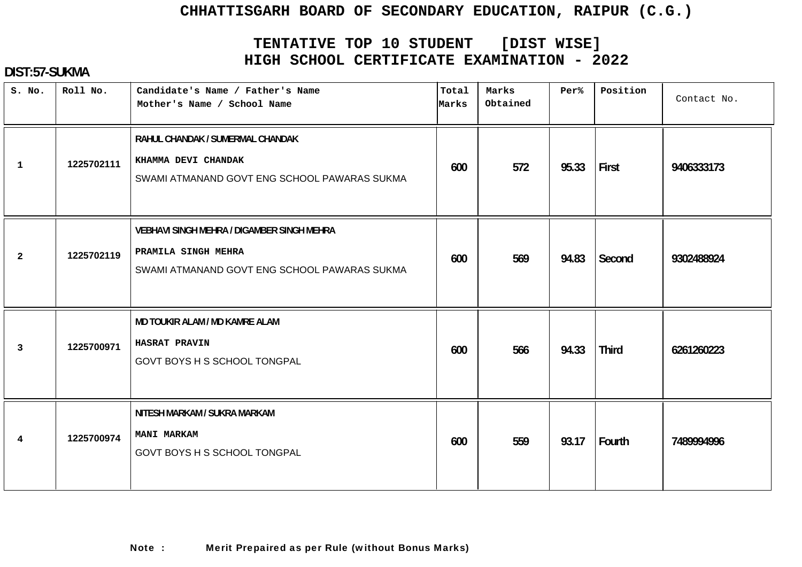# **TENTATIVE TOP 10 STUDENT [DIST WISE] HIGH SCHOOL CERTIFICATE EXAMINATION - 2022**

### **DIST:57-SUKMA**

| S. No.         | Roll No.   | Candidate's Name / Father's Name<br>Mother's Name / School Name                                                          | Total<br>Marks | Marks<br>Obtained | Per%  | Position     | Contact No. |
|----------------|------------|--------------------------------------------------------------------------------------------------------------------------|----------------|-------------------|-------|--------------|-------------|
| $\mathbf{1}$   | 1225702111 | RAHUL CHANDAK / SUMERMAL CHANDAK<br>KHAMMA DEVI CHANDAK<br>SWAMI ATMANAND GOVT ENG SCHOOL PAWARAS SUKMA                  | 600            | 572               | 95.33 | First        | 9406333173  |
| $\overline{2}$ | 1225702119 | <b>VEBHAVI SINGH MEHRA / DIGAMBER SINGH MEHRA</b><br>PRAMILA SINGH MEHRA<br>SWAMI ATMANAND GOVT ENG SCHOOL PAWARAS SUKMA | 600            | 569               | 94.83 | Second       | 9302488924  |
| $\mathbf{3}$   | 1225700971 | MD TOUKIR ALAM / MD KAMRE ALAM<br><b>HASRAT PRAVIN</b><br>GOVT BOYS H S SCHOOL TONGPAL                                   | 600            | 566               | 94.33 | <b>Third</b> | 6261260223  |
| 4              | 1225700974 | NITESH MARKAM / SUKRA MARKAM<br><b>MANI MARKAM</b><br>GOVT BOYS H S SCHOOL TONGPAL                                       | 600            | 559               | 93.17 | Fourth       | 7489994996  |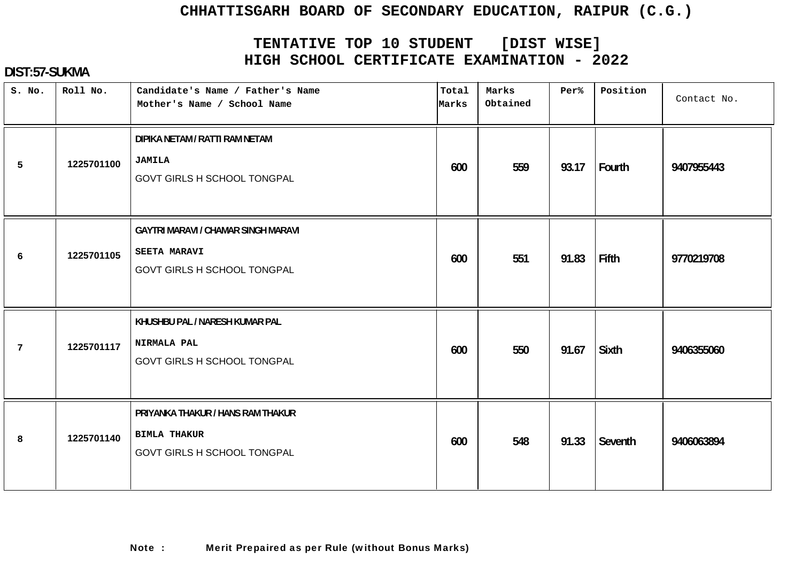# **TENTATIVE TOP 10 STUDENT [DIST WISE] HIGH SCHOOL CERTIFICATE EXAMINATION - 2022**

### **DIST:57-SUKMA**

| S. No. | Roll No.   | Candidate's Name / Father's Name<br>Mother's Name / School Name                                  | Total<br>Marks | Marks<br>Obtained | Per%  | Position | Contact No. |
|--------|------------|--------------------------------------------------------------------------------------------------|----------------|-------------------|-------|----------|-------------|
| 5      | 1225701100 | DIPIKA NETAM / RATTI RAM NETAM<br><b>JAMILA</b><br>GOVT GIRLS H SCHOOL TONGPAL                   | 600            | 559               | 93.17 | Fourth   | 9407955443  |
| 6      | 1225701105 | <b>GAYTRI MARAVI / CHAMAR SINGH MARAVI</b><br><b>SEETA MARAVI</b><br>GOVT GIRLS H SCHOOL TONGPAL | 600            | 551               | 91.83 | Fifth    | 9770219708  |
| 7      | 1225701117 | KHUSHBU PAL / NARESH KUMAR PAL<br>NIRMALA PAL<br><b>GOVT GIRLS H SCHOOL TONGPAL</b>              | 600            | 550               | 91.67 | Sixth    | 9406355060  |
| 8      | 1225701140 | PRIYANKA THAKUR / HANS RAM THAKUR<br><b>BIMLA THAKUR</b><br>GOVT GIRLS H SCHOOL TONGPAL          | 600            | 548               | 91.33 | Seventh  | 9406063894  |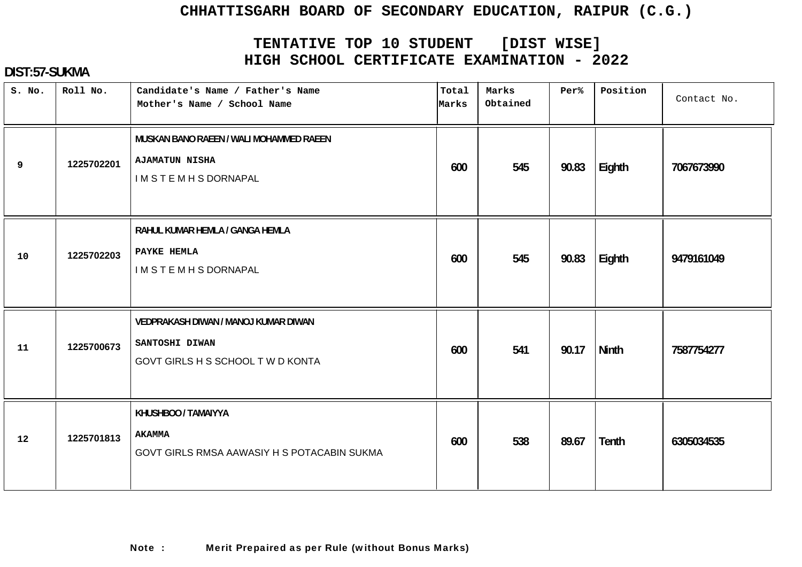# **TENTATIVE TOP 10 STUDENT [DIST WISE] HIGH SCHOOL CERTIFICATE EXAMINATION - 2022**

### **DIST:57-SUKMA**

| S. No. | Roll No.   | Candidate's Name / Father's Name<br>Mother's Name / School Name                             | Total<br>Marks | Marks<br>Obtained | Per%  | Position | Contact No. |
|--------|------------|---------------------------------------------------------------------------------------------|----------------|-------------------|-------|----------|-------------|
| 9      | 1225702201 | MUSKAN BANO RAEEN / WALI MOHAMMED RAEEN<br><b>AJAMATUN NISHA</b><br><b>IMSTEMHSDORNAPAL</b> | 600            | 545               | 90.83 | Eighth   | 7067673990  |
| 10     | 1225702203 | RAHUL KUMAR HEMLA / GANGA HEMLA<br>PAYKE HEMLA<br><b>IMSTEMHSDORNAPAL</b>                   | 600            | 545               | 90.83 | Eighth   | 9479161049  |
| 11     | 1225700673 | VEDPRAKASH DIWAN / MANOJ KUMAR DIWAN<br>SANTOSHI DIWAN<br>GOVT GIRLS H S SCHOOL T W D KONTA | 600            | 541               | 90.17 | Ninth    | 7587754277  |
| 12     | 1225701813 | KHUSHBOO / TAMAIYYA<br><b>AKAMMA</b><br>GOVT GIRLS RMSA AAWASIY H S POTACABIN SUKMA         | 600            | 538               | 89.67 | Tenth    | 6305034535  |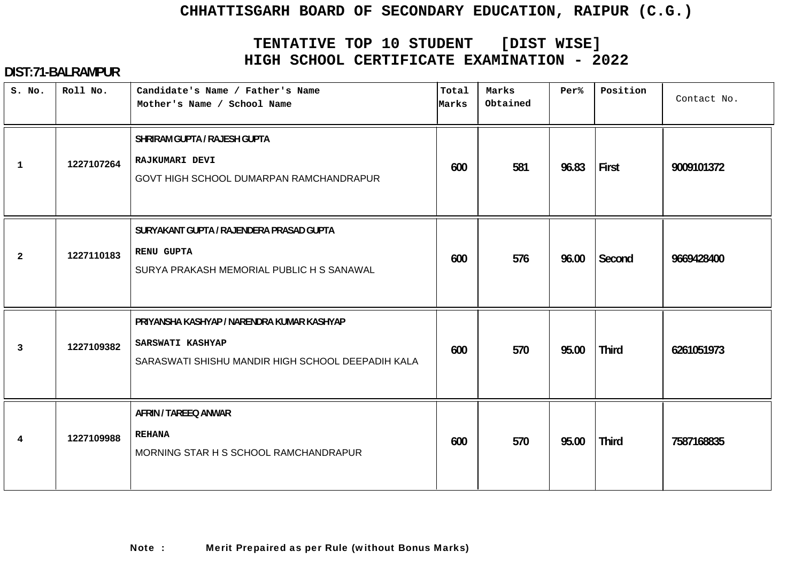# **TENTATIVE TOP 10 STUDENT [DIST WISE] HIGH SCHOOL CERTIFICATE EXAMINATION - 2022**

| S. No.         | Roll No.   | Candidate's Name / Father's Name<br>Mother's Name / School Name                                                     | Total<br>Marks | Marks<br>Obtained | Per%  | Position     | Contact No. |
|----------------|------------|---------------------------------------------------------------------------------------------------------------------|----------------|-------------------|-------|--------------|-------------|
| $\mathbf{1}$   | 1227107264 | SHRIRAM GUPTA / RAJESH GUPTA<br><b>RAJKUMARI DEVI</b><br>GOVT HIGH SCHOOL DUMARPAN RAMCHANDRAPUR                    | 600            | 581               | 96.83 | First        | 9009101372  |
| $\mathbf{2}$   | 1227110183 | SURYAKANT GUPTA / RAJENDERA PRASAD GUPTA<br><b>RENU GUPTA</b><br>SURYA PRAKASH MEMORIAL PUBLIC H S SANAWAL          | 600            | 576               | 96.00 | Second       | 9669428400  |
| $\overline{3}$ | 1227109382 | PRIYANSHA KASHYAP / NARENDRA KUMAR KASHYAP<br>SARSWATI KASHYAP<br>SARASWATI SHISHU MANDIR HIGH SCHOOL DEEPADIH KALA | 600            | 570               | 95.00 | <b>Third</b> | 6261051973  |
| 4              | 1227109988 | <b>AFRIN / TAREEQ ANWAR</b><br><b>REHANA</b><br>MORNING STAR H S SCHOOL RAMCHANDRAPUR                               | 600            | 570               | 95.00 | <b>Third</b> | 7587168835  |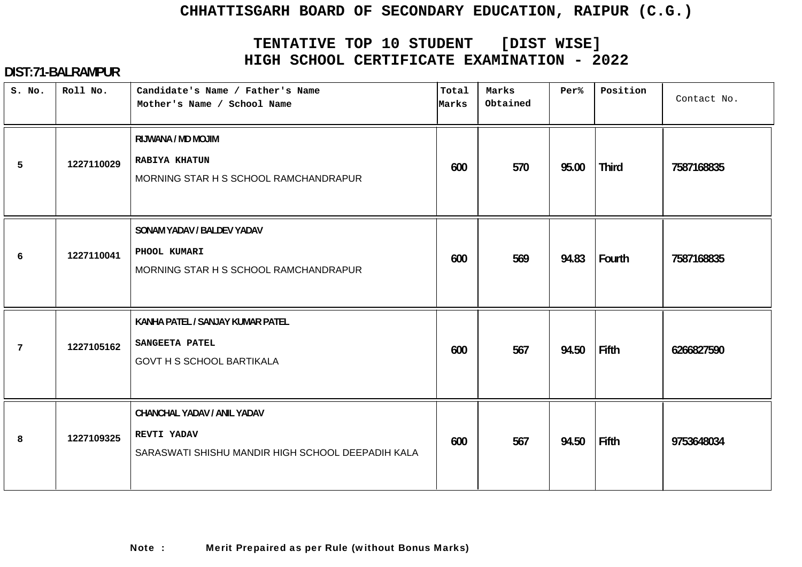# **TENTATIVE TOP 10 STUDENT [DIST WISE] HIGH SCHOOL CERTIFICATE EXAMINATION - 2022**

| S. No.         | Roll No.   | Candidate's Name / Father's Name<br>Mother's Name / School Name                                 | Total<br>Marks | Marks<br>Obtained | Per%  | Position     | Contact No. |
|----------------|------------|-------------------------------------------------------------------------------------------------|----------------|-------------------|-------|--------------|-------------|
| 5              | 1227110029 | RIJWANA / MD MOJIM<br><b>RABIYA KHATUN</b><br>MORNING STAR H S SCHOOL RAMCHANDRAPUR             | 600            | 570               | 95.00 | <b>Third</b> | 7587168835  |
| 6              | 1227110041 | SONAM YADAV / BALDEV YADAV<br>PHOOL KUMARI<br>MORNING STAR H S SCHOOL RAMCHANDRAPUR             | 600            | 569               | 94.83 | Fourth       | 7587168835  |
| $\overline{7}$ | 1227105162 | KANHA PATEL / SANJAY KUMAR PATEL<br><b>SANGEETA PATEL</b><br><b>GOVT H S SCHOOL BARTIKALA</b>   | 600            | 567               | 94.50 | Fifth        | 6266827590  |
| 8              | 1227109325 | CHANCHAL YADAV / ANIL YADAV<br>REVTI YADAV<br>SARASWATI SHISHU MANDIR HIGH SCHOOL DEEPADIH KALA | 600            | 567               | 94.50 | Fifth        | 9753648034  |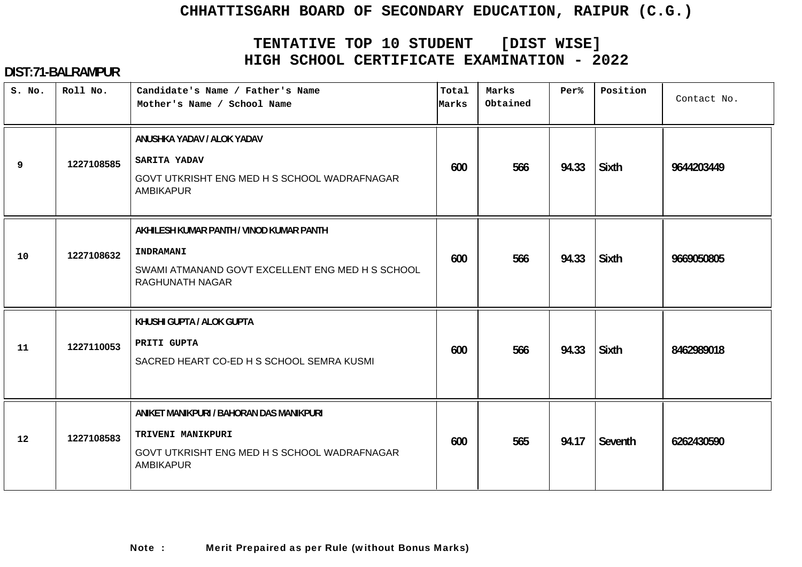# **TENTATIVE TOP 10 STUDENT [DIST WISE] HIGH SCHOOL CERTIFICATE EXAMINATION - 2022**

| S. No. | Roll No.   | Candidate's Name / Father's Name<br>Mother's Name / School Name                                                                   | Total<br>Marks | Marks<br>Obtained | $Per$ % | Position     | Contact No. |
|--------|------------|-----------------------------------------------------------------------------------------------------------------------------------|----------------|-------------------|---------|--------------|-------------|
| 9      | 1227108585 | ANUSHKA YADAV / ALOK YADAV<br>SARITA YADAV<br>GOVT UTKRISHT ENG MED H S SCHOOL WADRAFNAGAR<br><b>AMBIKAPUR</b>                    | 600            | 566               | 94.33   | <b>Sixth</b> | 9644203449  |
| 10     | 1227108632 | AKHILESH KUMAR PANTH / VINOD KUMAR PANTH<br>INDRAMANI<br>SWAMI ATMANAND GOVT EXCELLENT ENG MED H S SCHOOL<br>RAGHUNATH NAGAR      | 600            | 566               | 94.33   | <b>Sixth</b> | 9669050805  |
| 11     | 1227110053 | KHUSHI GUPTA / ALOK GUPTA<br>PRITI GUPTA<br>SACRED HEART CO-ED H S SCHOOL SEMRA KUSMI                                             | 600            | 566               | 94.33   | <b>Sixth</b> | 8462989018  |
| 12     | 1227108583 | ANIKET MANIKPURI / BAHORAN DAS MANIKPURI<br>TRIVENI MANIKPURI<br>GOVT UTKRISHT ENG MED H S SCHOOL WADRAFNAGAR<br><b>AMBIKAPUR</b> | 600            | 565               | 94.17   | Seventh      | 6262430590  |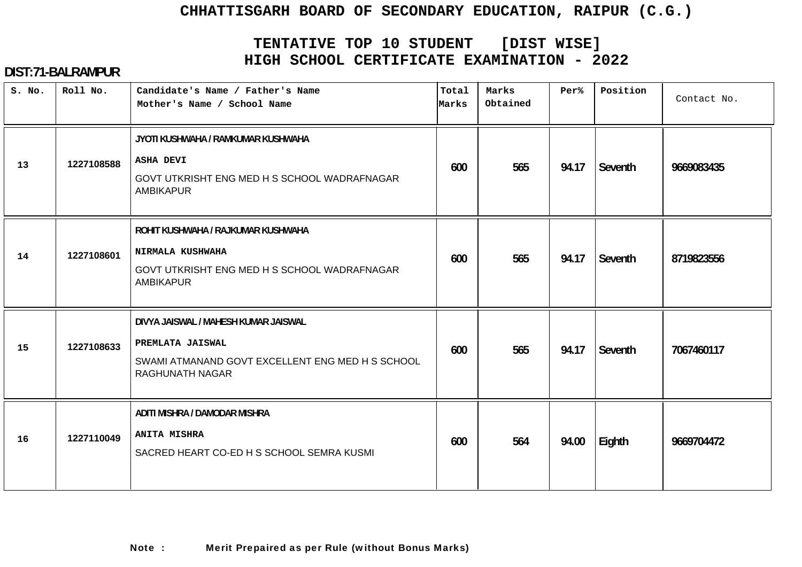# **TENTATIVE TOP 10 STUDENT [DIST WISE] HIGH SCHOOL CERTIFICATE EXAMINATION - 2022**

| S. No. | Roll No.   | Candidate's Name / Father's Name<br>Mother's Name / School Name                                                                   | Total<br>Marks | Marks<br>Obtained | $Per$ % | Position | Contact No. |
|--------|------------|-----------------------------------------------------------------------------------------------------------------------------------|----------------|-------------------|---------|----------|-------------|
| 13     | 1227108588 | JYOTI KUSHWAHA / RAMKUMAR KUSHWAHA<br><b>ASHA DEVI</b><br>GOVT UTKRISHT ENG MED H S SCHOOL WADRAFNAGAR<br><b>AMBIKAPUR</b>        | 600            | 565               | 94.17   | Seventh  | 9669083435  |
| 14     | 1227108601 | ROHIT KUSHWAHA / RAJKUMAR KUSHWAHA<br><b>NIRMALA KUSHWAHA</b><br>GOVT UTKRISHT ENG MED H S SCHOOL WADRAFNAGAR<br><b>AMBIKAPUR</b> | 600            | 565               | 94.17   | Seventh  | 8719823556  |
| 15     | 1227108633 | DIVYA JAISWAL / MAHESH KUMAR JAISWAL<br>PREMLATA JAISWAL<br>SWAMI ATMANAND GOVT EXCELLENT ENG MED H S SCHOOL<br>RAGHUNATH NAGAR   | 600            | 565               | 94.17   | Seventh  | 7067460117  |
| 16     | 1227110049 | ADITI MISHRA / DAMODAR MISHRA<br><b>ANITA MISHRA</b><br>SACRED HEART CO-ED H S SCHOOL SEMRA KUSMI                                 | 600            | 564               | 94.00   | Eighth   | 9669704472  |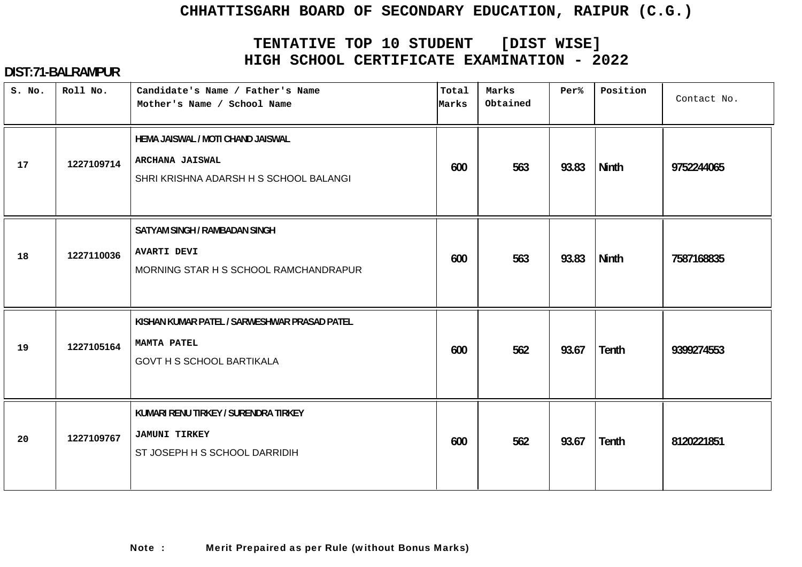# **TENTATIVE TOP 10 STUDENT [DIST WISE] HIGH SCHOOL CERTIFICATE EXAMINATION - 2022**

| S. No. | Roll No.   | Candidate's Name / Father's Name<br>Mother's Name / School Name                                       | Total<br>Marks | Marks<br>Obtained | Per%  | Position     | Contact No. |
|--------|------------|-------------------------------------------------------------------------------------------------------|----------------|-------------------|-------|--------------|-------------|
| 17     | 1227109714 | HEMA JAISWAL / MOTI CHAND JAISWAL<br><b>ARCHANA JAISWAL</b><br>SHRI KRISHNA ADARSH H S SCHOOL BALANGI | 600            | 563               | 93.83 | <b>Ninth</b> | 9752244065  |
| 18     | 1227110036 | SATYAM SINGH / RAMBADAN SINGH<br><b>AVARTI DEVI</b><br>MORNING STAR H S SCHOOL RAMCHANDRAPUR          | 600            | 563               | 93.83 | <b>Ninth</b> | 7587168835  |
| 19     | 1227105164 | KISHAN KUMAR PATEL / SARWESHWAR PRASAD PATEL<br>MAMTA PATEL<br><b>GOVT H S SCHOOL BARTIKALA</b>       | 600            | 562               | 93.67 | <b>Tenth</b> | 9399274553  |
| 20     | 1227109767 | KUMARI RENU TIRKEY / SURENDRA TIRKEY<br><b>JAMUNI TIRKEY</b><br>ST JOSEPH H S SCHOOL DARRIDIH         | 600            | 562               | 93.67 | <b>Tenth</b> | 8120221851  |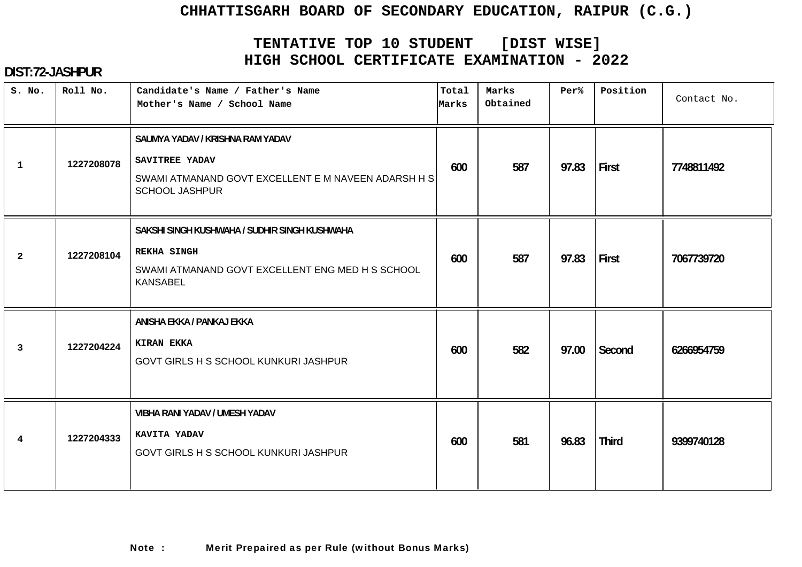# **TENTATIVE TOP 10 STUDENT [DIST WISE] HIGH SCHOOL CERTIFICATE EXAMINATION - 2022**

| S. No.         | Roll No.   | Candidate's Name / Father's Name<br>Mother's Name / School Name                                                                            | Total<br>Marks | Marks<br>Obtained | Per%  | Position     | Contact No. |
|----------------|------------|--------------------------------------------------------------------------------------------------------------------------------------------|----------------|-------------------|-------|--------------|-------------|
| $\mathbf{1}$   | 1227208078 | SAUMYA YADAV / KRISHNA RAM YADAV<br>SAVITREE YADAV<br>SWAMI ATMANAND GOVT EXCELLENT E M NAVEEN ADARSH H S<br><b>SCHOOL JASHPUR</b>         | 600            | 587               | 97.83 | First        | 7748811492  |
| $\overline{2}$ | 1227208104 | SAKSHI SINGH KUSHWAHA / SUDHIR SINGH KUSHWAHA<br><b>REKHA SINGH</b><br>SWAMI ATMANAND GOVT EXCELLENT ENG MED H S SCHOOL<br><b>KANSABEL</b> | 600            | 587               | 97.83 | First        | 7067739720  |
| 3              | 1227204224 | ANISHA EKKA / PANKAJ EKKA<br><b>KIRAN EKKA</b><br>GOVT GIRLS H S SCHOOL KUNKURI JASHPUR                                                    | 600            | 582               | 97.00 | Second       | 6266954759  |
| 4              | 1227204333 | VIBHA RANI YADAV / UMESH YADAV<br>KAVITA YADAV<br>GOVT GIRLS H S SCHOOL KUNKURI JASHPUR                                                    | 600            | 581               | 96.83 | <b>Third</b> | 9399740128  |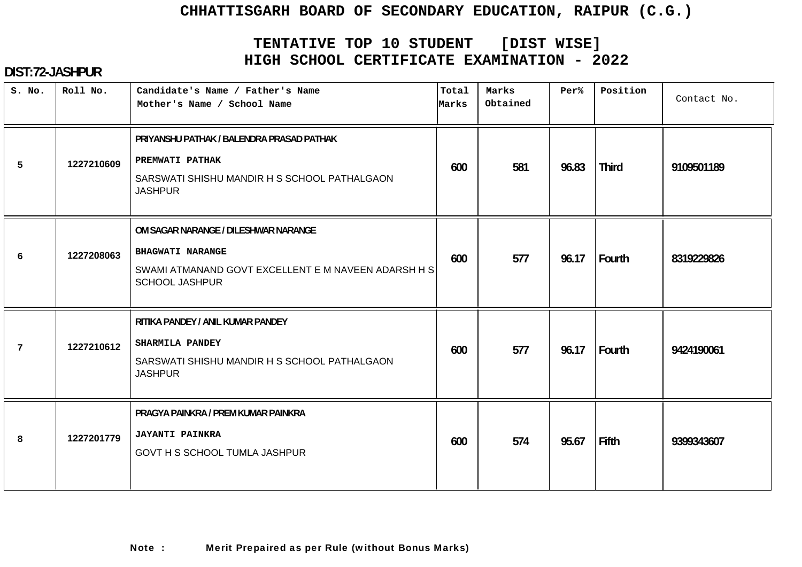# **TENTATIVE TOP 10 STUDENT [DIST WISE] HIGH SCHOOL CERTIFICATE EXAMINATION - 2022**

| S. No. | Roll No.   | Candidate's Name / Father's Name<br>Mother's Name / School Name                                                                                 | Total<br>Marks | Marks<br>Obtained | Per%  | Position     | Contact No. |
|--------|------------|-------------------------------------------------------------------------------------------------------------------------------------------------|----------------|-------------------|-------|--------------|-------------|
| 5      | 1227210609 | PRIYANSHU PATHAK / BALENDRA PRASAD PATHAK<br>PREMWATI PATHAK<br>SARSWATI SHISHU MANDIR H S SCHOOL PATHALGAON<br><b>JASHPUR</b>                  | 600            | 581               | 96.83 | <b>Third</b> | 9109501189  |
| 6      | 1227208063 | OM SAGAR NARANGE / DILESHWAR NARANGE<br><b>BHAGWATI NARANGE</b><br>SWAMI ATMANAND GOVT EXCELLENT E M NAVEEN ADARSH H S<br><b>SCHOOL JASHPUR</b> | 600            | 577               | 96.17 | Fourth       | 8319229826  |
| 7      | 1227210612 | RITIKA PANDEY / ANIL KUMAR PANDEY<br>SHARMILA PANDEY<br>SARSWATI SHISHU MANDIR H S SCHOOL PATHALGAON<br><b>JASHPUR</b>                          | 600            | 577               | 96.17 | Fourth       | 9424190061  |
| 8      | 1227201779 | PRAGYA PAINKRA / PREM KUMAR PAINKRA<br><b>JAYANTI PAINKRA</b><br>GOVT H S SCHOOL TUMLA JASHPUR                                                  | 600            | 574               | 95.67 | <b>Fifth</b> | 9399343607  |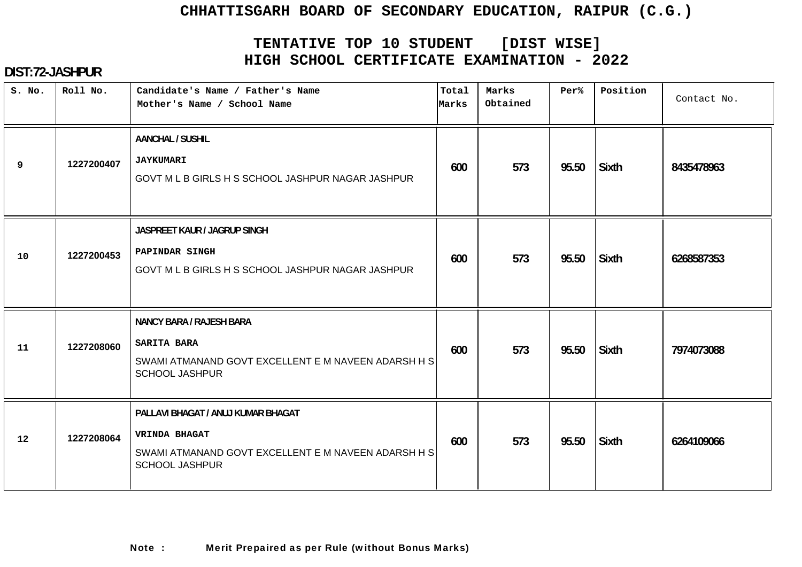# **TENTATIVE TOP 10 STUDENT [DIST WISE] HIGH SCHOOL CERTIFICATE EXAMINATION - 2022**

| S. No. | Roll No.   | Candidate's Name / Father's Name<br>Mother's Name / School Name                                                                            | Total<br>Marks | Marks<br>Obtained | Per%  | Position     | Contact No. |
|--------|------------|--------------------------------------------------------------------------------------------------------------------------------------------|----------------|-------------------|-------|--------------|-------------|
| 9      | 1227200407 | <b>AANCHAL / SUSHIL</b><br><b>JAYKUMARI</b><br>GOVT M L B GIRLS H S SCHOOL JASHPUR NAGAR JASHPUR                                           | 600            | 573               | 95.50 | <b>Sixth</b> | 8435478963  |
| 10     | 1227200453 | JASPREET KAUR / JAGRUP SINGH<br>PAPINDAR SINGH<br>GOVT M L B GIRLS H S SCHOOL JASHPUR NAGAR JASHPUR                                        | 600            | 573               | 95.50 | <b>Sixth</b> | 6268587353  |
| 11     | 1227208060 | <b>NANCY BARA / RAJESH BARA</b><br><b>SARITA BARA</b><br>SWAMI ATMANAND GOVT EXCELLENT E M NAVEEN ADARSH H S<br><b>SCHOOL JASHPUR</b>      | 600            | 573               | 95.50 | <b>Sixth</b> | 7974073088  |
| 12     | 1227208064 | PALLAVI BHAGAT / ANUJ KUMAR BHAGAT<br><b>VRINDA BHAGAT</b><br>SWAMI ATMANAND GOVT EXCELLENT E M NAVEEN ADARSH H S<br><b>SCHOOL JASHPUR</b> | 600            | 573               | 95.50 | Sixth        | 6264109066  |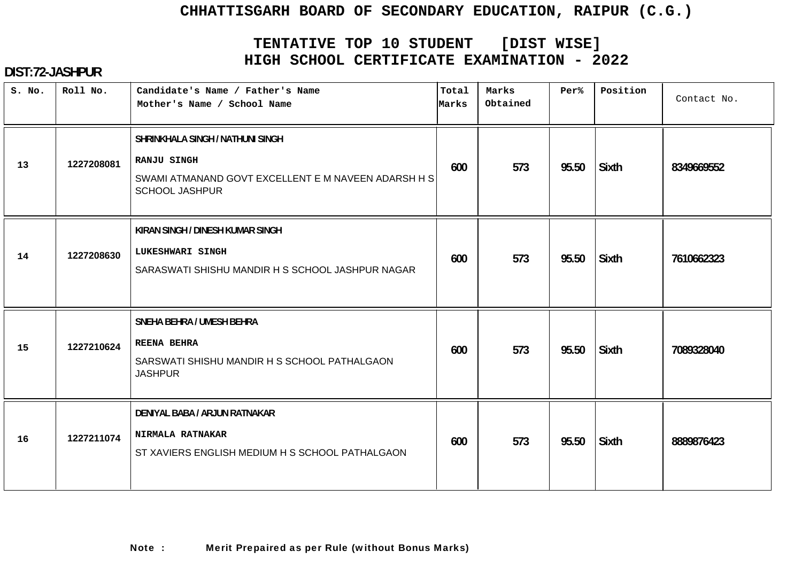# **TENTATIVE TOP 10 STUDENT [DIST WISE] HIGH SCHOOL CERTIFICATE EXAMINATION - 2022**

| S. No. | Roll No.   | Candidate's Name / Father's Name<br>Mother's Name / School Name                                                                        | Total<br>Marks | Marks<br>Obtained | Per%  | Position     | Contact No. |
|--------|------------|----------------------------------------------------------------------------------------------------------------------------------------|----------------|-------------------|-------|--------------|-------------|
| 13     | 1227208081 | SHRINKHALA SINGH / NATHUNI SINGH<br><b>RANJU SINGH</b><br>SWAMI ATMANAND GOVT EXCELLENT E M NAVEEN ADARSH H S<br><b>SCHOOL JASHPUR</b> | 600            | 573               | 95.50 | <b>Sixth</b> | 8349669552  |
| 14     | 1227208630 | KIRAN SINGH / DINESH KUMAR SINGH<br>LUKESHWARI SINGH<br>SARASWATI SHISHU MANDIR H S SCHOOL JASHPUR NAGAR                               | 600            | 573               | 95.50 | <b>Sixth</b> | 7610662323  |
| 15     | 1227210624 | SNEHA BEHRA / UMESH BEHRA<br><b>REENA BEHRA</b><br>SARSWATI SHISHU MANDIR H S SCHOOL PATHALGAON<br><b>JASHPUR</b>                      | 600            | 573               | 95.50 | <b>Sixth</b> | 7089328040  |
| 16     | 1227211074 | DENIYAL BABA / ARJUN RATNAKAR<br>NIRMALA RATNAKAR<br>ST XAVIERS ENGLISH MEDIUM H S SCHOOL PATHALGAON                                   | 600            | 573               | 95.50 | <b>Sixth</b> | 8889876423  |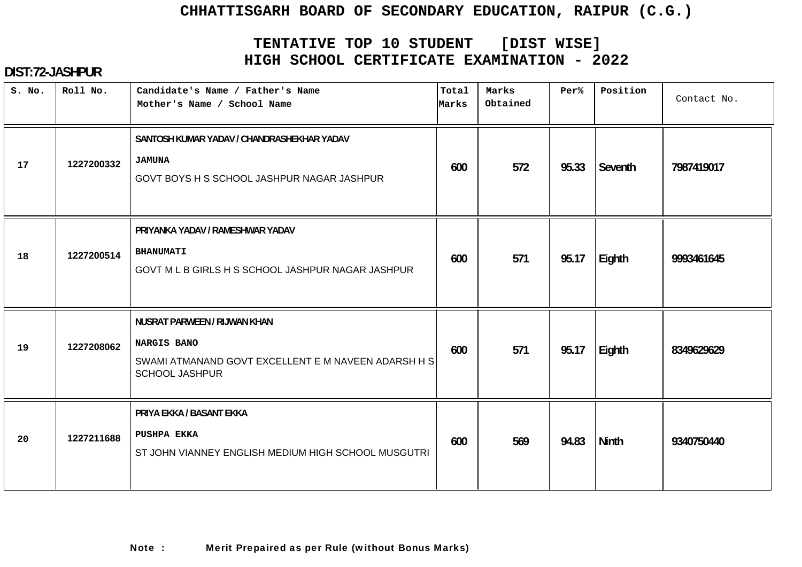# **TENTATIVE TOP 10 STUDENT [DIST WISE] HIGH SCHOOL CERTIFICATE EXAMINATION - 2022**

| S. No. | Roll No.   | Candidate's Name / Father's Name<br>Mother's Name / School Name                                                                    | Total<br>Marks | Marks<br>Obtained | Per%  | Position     | Contact No. |
|--------|------------|------------------------------------------------------------------------------------------------------------------------------------|----------------|-------------------|-------|--------------|-------------|
| 17     | 1227200332 | SANTOSH KUMAR YADAV / CHANDRASHEKHAR YADAV<br><b>JAMUNA</b><br>GOVT BOYS H S SCHOOL JASHPUR NAGAR JASHPUR                          | 600            | 572               | 95.33 | Seventh      | 7987419017  |
| 18     | 1227200514 | PRIYANKA YADAV / RAMESHWAR YADAV<br><b>BHANUMATI</b><br>GOVT M L B GIRLS H S SCHOOL JASHPUR NAGAR JASHPUR                          | 600            | 571               | 95.17 | Eighth       | 9993461645  |
| 19     | 1227208062 | NUSRAT PARWEEN / RIJWAN KHAN<br><b>NARGIS BANO</b><br>SWAMI ATMANAND GOVT EXCELLENT E M NAVEEN ADARSH H S<br><b>SCHOOL JASHPUR</b> | 600            | 571               | 95.17 | Eighth       | 8349629629  |
| 20     | 1227211688 | PRIYA EKKA / BASANT EKKA<br>PUSHPA EKKA<br>ST JOHN VIANNEY ENGLISH MEDIUM HIGH SCHOOL MUSGUTRI                                     | 600            | 569               | 94.83 | <b>Ninth</b> | 9340750440  |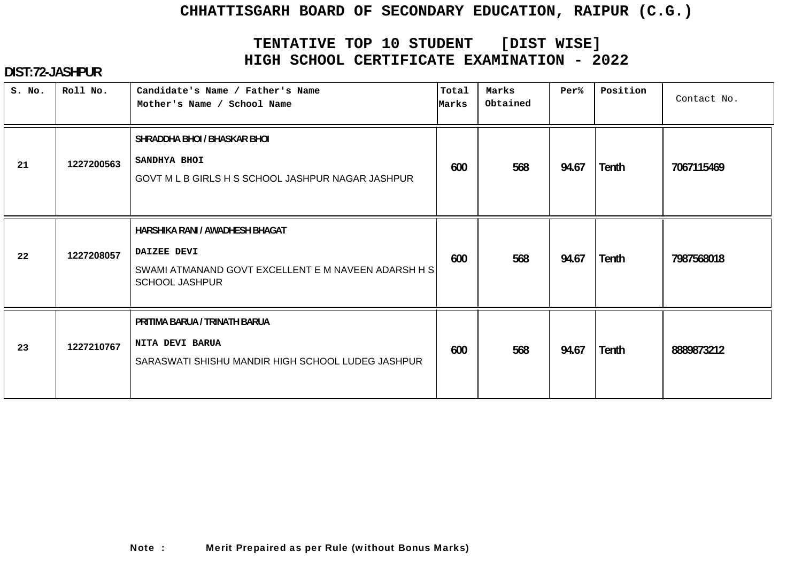# **TENTATIVE TOP 10 STUDENT [DIST WISE] HIGH SCHOOL CERTIFICATE EXAMINATION - 2022**

| S. No. | Roll No.   | Candidate's Name / Father's Name<br>Mother's Name / School Name                                                                | Total<br>Marks | Marks<br>Obtained | Per%  | Position     | Contact No. |
|--------|------------|--------------------------------------------------------------------------------------------------------------------------------|----------------|-------------------|-------|--------------|-------------|
| 21     | 1227200563 | SHRADDHA BHOI / BHASKAR BHOI<br>SANDHYA BHOI<br>GOVT M L B GIRLS H S SCHOOL JASHPUR NAGAR JASHPUR                              | 600            | 568               | 94.67 | <b>Tenth</b> | 7067115469  |
| 22     | 1227208057 | HARSHIKA RANI / AWADHESH BHAGAT<br>DAIZEE DEVI<br>SWAMI ATMANAND GOVT EXCELLENT E M NAVEEN ADARSH H S<br><b>SCHOOL JASHPUR</b> | 600            | 568               | 94.67 | <b>Tenth</b> | 7987568018  |
| 23     | 1227210767 | PRITIMA BARUA / TRINATH BARUA<br>NITA DEVI BARUA<br>SARASWATI SHISHU MANDIR HIGH SCHOOL LUDEG JASHPUR                          | 600            | 568               | 94.67 | Tenth        | 8889873212  |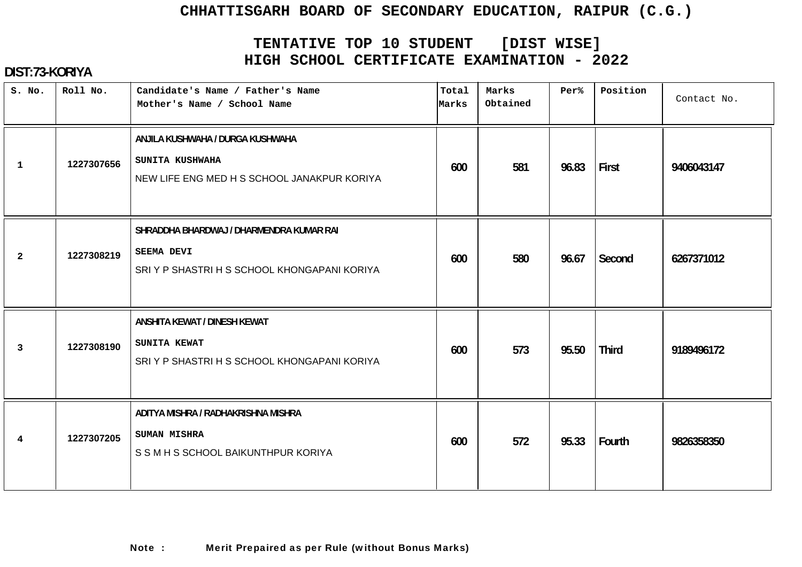# **TENTATIVE TOP 10 STUDENT [DIST WISE] HIGH SCHOOL CERTIFICATE EXAMINATION - 2022**

| S. No.         | Roll No.   | Candidate's Name / Father's Name<br>Mother's Name / School Name                                               | Total<br>Marks | Marks<br>Obtained | Per%  | Position     | Contact No. |
|----------------|------------|---------------------------------------------------------------------------------------------------------------|----------------|-------------------|-------|--------------|-------------|
| $\mathbf{1}$   | 1227307656 | ANJILA KUSHWAHA / DURGA KUSHWAHA<br>SUNITA KUSHWAHA<br>NEW LIFE ENG MED H S SCHOOL JANAKPUR KORIYA            | 600            | 581               | 96.83 | First        | 9406043147  |
| $\overline{2}$ | 1227308219 | SHRADDHA BHARDWAJ / DHARMENDRA KUMAR RAI<br><b>SEEMA DEVI</b><br>SRI Y P SHASTRI H S SCHOOL KHONGAPANI KORIYA | 600            | 580               | 96.67 | Second       | 6267371012  |
| 3              | 1227308190 | ANSHITA KEWAT / DINESH KEWAT<br>SUNITA KEWAT<br>SRIY P SHASTRI H S SCHOOL KHONGAPANI KORIYA                   | 600            | 573               | 95.50 | <b>Third</b> | 9189496172  |
| 4              | 1227307205 | ADITYA MISHRA / RADHAKRISHNA MISHRA<br><b>SUMAN MISHRA</b><br>S S M H S SCHOOL BAIKUNTHPUR KORIYA             | 600            | 572               | 95.33 | Fourth       | 9826358350  |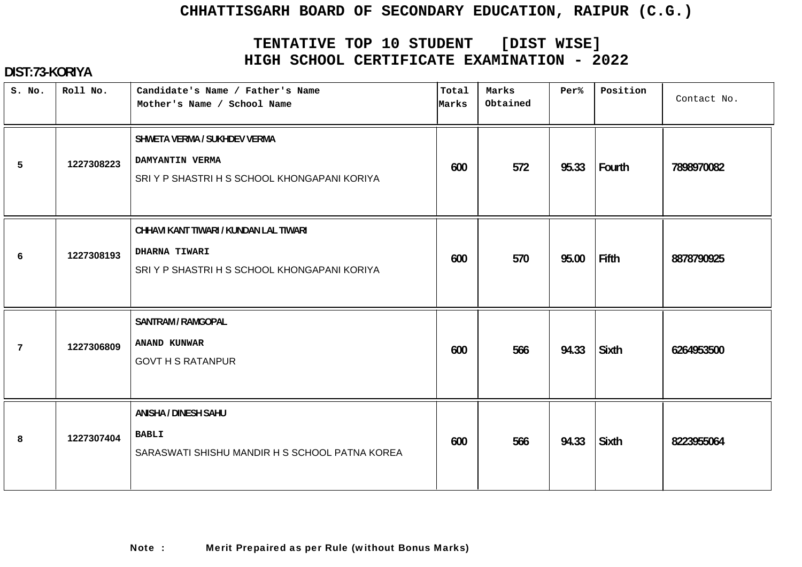# **TENTATIVE TOP 10 STUDENT [DIST WISE] HIGH SCHOOL CERTIFICATE EXAMINATION - 2022**

| S. No. | Roll No.   | Candidate's Name / Father's Name<br>Mother's Name / School Name                                        | Total<br>Marks | Marks<br>Obtained | Per%  | Position     | Contact No. |
|--------|------------|--------------------------------------------------------------------------------------------------------|----------------|-------------------|-------|--------------|-------------|
| 5      | 1227308223 | SHWETA VERMA / SUKHDEV VERMA<br>DAMYANTIN VERMA<br>SRIY P SHASTRI H S SCHOOL KHONGAPANI KORIYA         | 600            | 572               | 95.33 | Fourth       | 7898970082  |
| 6      | 1227308193 | CHHAVI KANT TIWARI / KUNDAN LAL TIWARI<br>DHARNA TIWARI<br>SRIY P SHASTRI H S SCHOOL KHONGAPANI KORIYA | 600            | 570               | 95.00 | Fifth        | 8878790925  |
| 7      | 1227306809 | <b>SANTRAM / RAMGOPAL</b><br>ANAND KUNWAR<br><b>GOVT H S RATANPUR</b>                                  | 600            | 566               | 94.33 | <b>Sixth</b> | 6264953500  |
| 8      | 1227307404 | <b>ANISHA / DINESH SAHU</b><br><b>BABLI</b><br>SARASWATI SHISHU MANDIR H S SCHOOL PATNA KOREA          | 600            | 566               | 94.33 | <b>Sixth</b> | 8223955064  |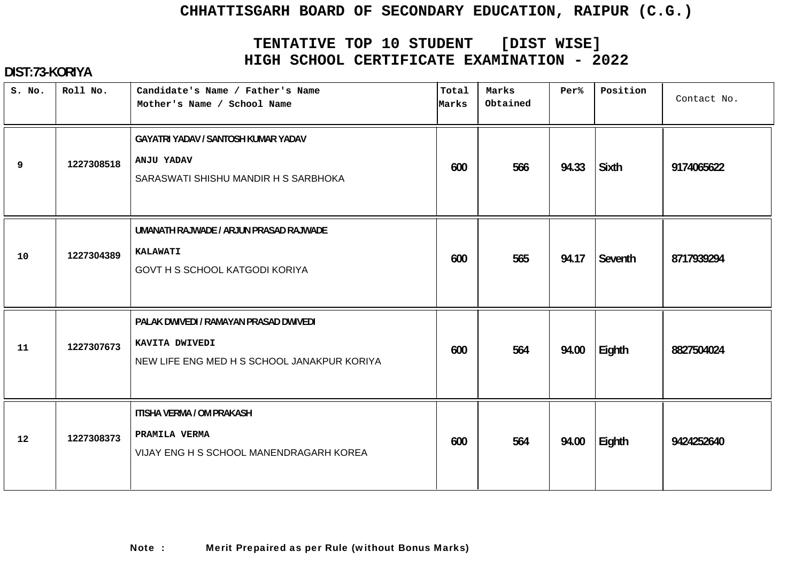# **TENTATIVE TOP 10 STUDENT [DIST WISE] HIGH SCHOOL CERTIFICATE EXAMINATION - 2022**

| S. No. | Roll No.   | Candidate's Name / Father's Name<br>Mother's Name / School Name                                         | Total<br>Marks | Marks<br>Obtained | Per%  | Position     | Contact No. |
|--------|------------|---------------------------------------------------------------------------------------------------------|----------------|-------------------|-------|--------------|-------------|
| 9      | 1227308518 | GAYATRI YADAV / SANTOSH KUMAR YADAV<br>ANJU YADAV<br>SARASWATI SHISHU MANDIR H S SARBHOKA               | 600            | 566               | 94.33 | <b>Sixth</b> | 9174065622  |
| 10     | 1227304389 | UMANATH RAJWADE / ARJUN PRASAD RAJWADE<br><b>KALAWATI</b><br><b>GOVT H S SCHOOL KATGODI KORIYA</b>      | 600            | 565               | 94.17 | Seventh      | 8717939294  |
| 11     | 1227307673 | PALAK DWIVEDI / RAMAYAN PRASAD DWIVEDI<br>KAVITA DWIVEDI<br>NEW LIFE ENG MED H S SCHOOL JANAKPUR KORIYA | 600            | 564               | 94.00 | Eighth       | 8827504024  |
| 12     | 1227308373 | <b>ITISHA VERMA / OM PRAKASH</b><br>PRAMILA VERMA<br>VIJAY ENG H S SCHOOL MANENDRAGARH KOREA            | 600            | 564               | 94.00 | Eighth       | 9424252640  |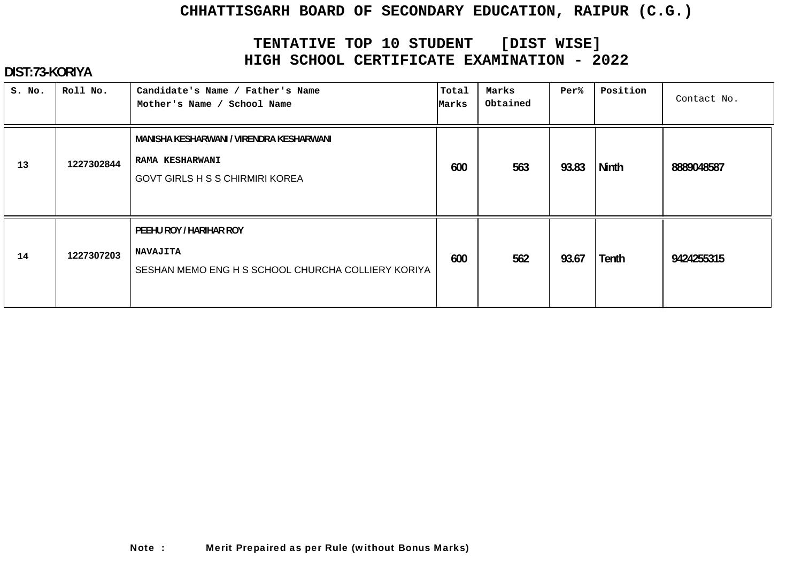# **TENTATIVE TOP 10 STUDENT [DIST WISE] HIGH SCHOOL CERTIFICATE EXAMINATION - 2022**

| S. No. | Roll No.   | Candidate's Name / Father's Name<br>Mother's Name / School Name                                              | Total<br>Marks | Marks<br>Obtained | Per%  | Position     | Contact No. |
|--------|------------|--------------------------------------------------------------------------------------------------------------|----------------|-------------------|-------|--------------|-------------|
| 13     | 1227302844 | MANISHA KESHARWANI / VIRENDRA KESHARWANI<br><b>RAMA KESHARWANI</b><br><b>GOVT GIRLS H S S CHIRMIRI KOREA</b> | 600            | 563               | 93.83 | <b>Ninth</b> | 8889048587  |
| 14     | 1227307203 | PEEHU ROY / HARIHAR ROY<br><b>NAVAJITA</b><br>SESHAN MEMO ENG H S SCHOOL CHURCHA COLLIERY KORIYA             | 600            | 562               | 93.67 | <b>Tenth</b> | 9424255315  |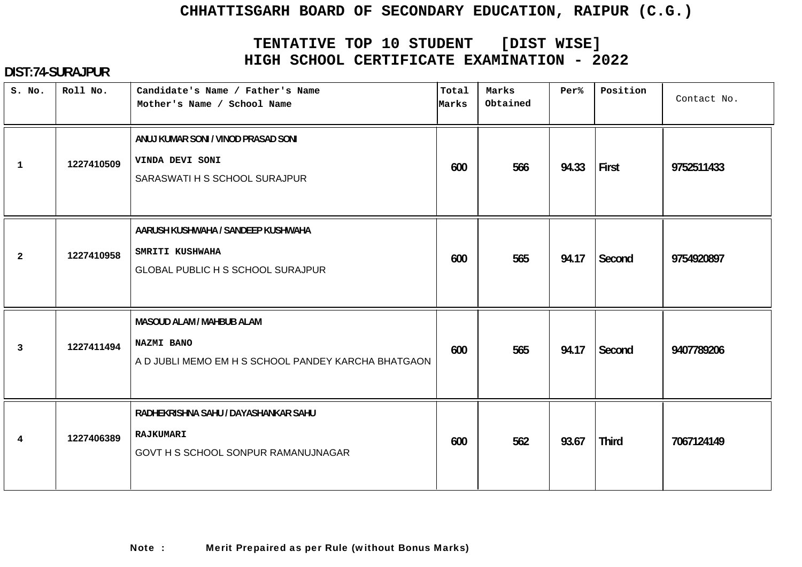# **TENTATIVE TOP 10 STUDENT [DIST WISE] HIGH SCHOOL CERTIFICATE EXAMINATION - 2022**

| S. No.          | Roll No.   | Candidate's Name / Father's Name<br>Mother's Name / School Name                                   | Total<br>Marks | Marks<br>Obtained | Per%  | Position     | Contact No. |
|-----------------|------------|---------------------------------------------------------------------------------------------------|----------------|-------------------|-------|--------------|-------------|
| $\mathbf{1}$    | 1227410509 | ANUJ KUMAR SONI / VINOD PRASAD SONI<br>VINDA DEVI SONI<br>SARASWATI H S SCHOOL SURAJPUR           | 600            | 566               | 94.33 | First        | 9752511433  |
| $\overline{a}$  | 1227410958 | AARUSH KUSHWAHA / SANDEEP KUSHWAHA<br>SMRITI KUSHWAHA<br><b>GLOBAL PUBLIC H S SCHOOL SURAJPUR</b> | 600            | 565               | 94.17 | Second       | 9754920897  |
| $\mathbf{3}$    | 1227411494 | MASOUD ALAM / MAHBUB ALAM<br>NAZMI BANO<br>A D JUBLI MEMO EM H S SCHOOL PANDEY KARCHA BHATGAON    | 600            | 565               | 94.17 | Second       | 9407789206  |
| $4\overline{ }$ | 1227406389 | RADHEKRISHNA SAHU / DAYASHANKAR SAHU<br><b>RAJKUMARI</b><br>GOVT H S SCHOOL SONPUR RAMANUJNAGAR   | 600            | 562               | 93.67 | <b>Third</b> | 7067124149  |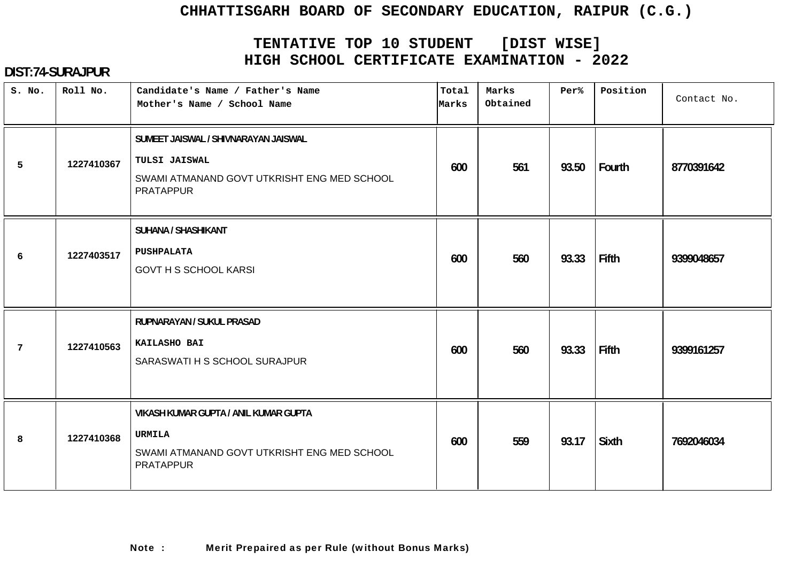# **TENTATIVE TOP 10 STUDENT [DIST WISE] HIGH SCHOOL CERTIFICATE EXAMINATION - 2022**

| S. No. | Roll No.   | Candidate's Name / Father's Name<br>Mother's Name / School Name                                                           | Total<br>Marks | Marks<br>Obtained | Per%  | Position     | Contact No. |
|--------|------------|---------------------------------------------------------------------------------------------------------------------------|----------------|-------------------|-------|--------------|-------------|
| 5      | 1227410367 | SUMEET JAISWAL / SHIVNARAYAN JAISWAL<br>TULSI JAISWAL<br>SWAMI ATMANAND GOVT UTKRISHT ENG MED SCHOOL<br><b>PRATAPPUR</b>  | 600            | 561               | 93.50 | Fourth       | 8770391642  |
| 6      | 1227403517 | <b>SUHANA / SHASHIKANT</b><br><b>PUSHPALATA</b><br><b>GOVT H S SCHOOL KARSI</b>                                           | 600            | 560               | 93.33 | <b>Fifth</b> | 9399048657  |
| 7      | 1227410563 | RUPNARAYAN / SUKUL PRASAD<br>KAILASHO BAI<br>SARASWATI H S SCHOOL SURAJPUR                                                | 600            | 560               | 93.33 | Fifth        | 9399161257  |
| 8      | 1227410368 | VIKASH KUMAR GUPTA / ANIL KUMAR GUPTA<br><b>URMILA</b><br>SWAMI ATMANAND GOVT UTKRISHT ENG MED SCHOOL<br><b>PRATAPPUR</b> | 600            | 559               | 93.17 | Sixth        | 7692046034  |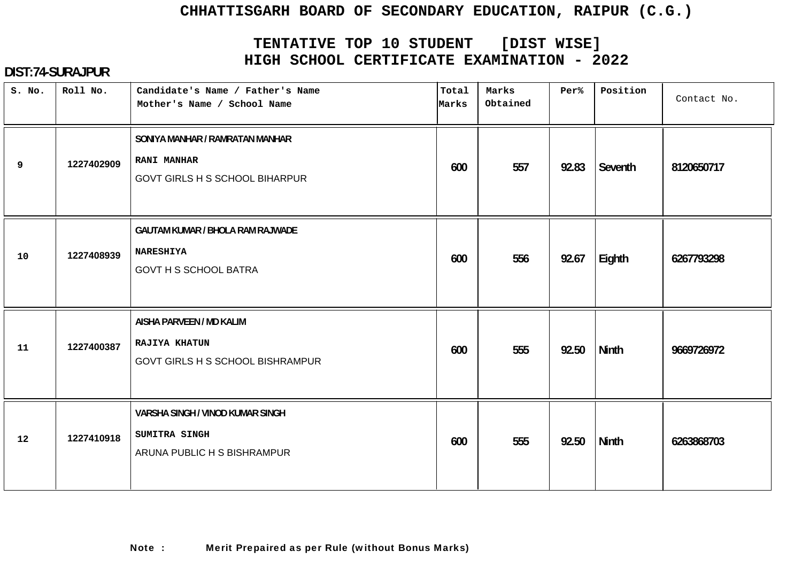# **TENTATIVE TOP 10 STUDENT [DIST WISE] HIGH SCHOOL CERTIFICATE EXAMINATION - 2022**

| S. No. | Roll No.   | Candidate's Name / Father's Name<br>Mother's Name / School Name                                | Total<br>Marks | Marks<br>Obtained | Per%  | Position     | Contact No. |
|--------|------------|------------------------------------------------------------------------------------------------|----------------|-------------------|-------|--------------|-------------|
| 9      | 1227402909 | SONIYA MANHAR / RAMRATAN MANHAR<br><b>RANI MANHAR</b><br><b>GOVT GIRLS H S SCHOOL BIHARPUR</b> | 600            | 557               | 92.83 | Seventh      | 8120650717  |
| 10     | 1227408939 | <b>GAUTAM KUMAR / BHOLA RAM RAJWADE</b><br><b>NARESHIYA</b><br><b>GOVT H S SCHOOL BATRA</b>    | 600            | 556               | 92.67 | Eighth       | 6267793298  |
| 11     | 1227400387 | AISHA PARVEEN / MD KALIM<br><b>RAJIYA KHATUN</b><br><b>GOVT GIRLS H S SCHOOL BISHRAMPUR</b>    | 600            | 555               | 92.50 | <b>Ninth</b> | 9669726972  |
| 12     | 1227410918 | VARSHA SINGH / VINOD KUMAR SINGH<br>SUMITRA SINGH<br>ARUNA PUBLIC H S BISHRAMPUR               | 600            | 555               | 92.50 | <b>Ninth</b> | 6263868703  |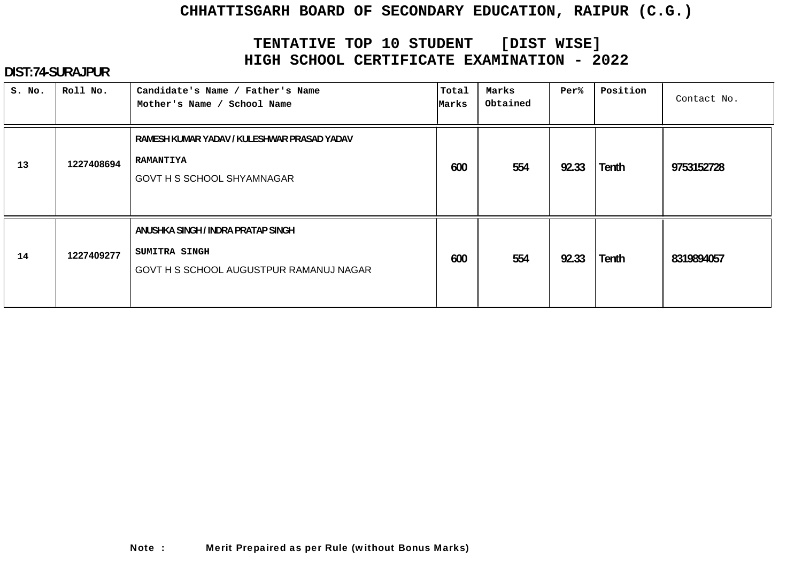# **TENTATIVE TOP 10 STUDENT [DIST WISE] HIGH SCHOOL CERTIFICATE EXAMINATION - 2022**

| S. No. | Roll No.   | Candidate's Name / Father's Name<br>Mother's Name / School Name                                      | Total<br>Marks | Marks<br>Obtained | Per%  | Position     | Contact No. |
|--------|------------|------------------------------------------------------------------------------------------------------|----------------|-------------------|-------|--------------|-------------|
| 13     | 1227408694 | RAMESH KUMAR YADAV / KULESHWAR PRASAD YADAV<br><b>RAMANTIYA</b><br><b>GOVT H S SCHOOL SHYAMNAGAR</b> | 600            | 554               | 92.33 | <b>Tenth</b> | 9753152728  |
| 14     | 1227409277 | ANUSHKA SINGH / INDRA PRATAP SINGH<br>SUMITRA SINGH<br>GOVT H S SCHOOL AUGUSTPUR RAMANUJ NAGAR       | 600            | 554               | 92.33 | <b>Tenth</b> | 8319894057  |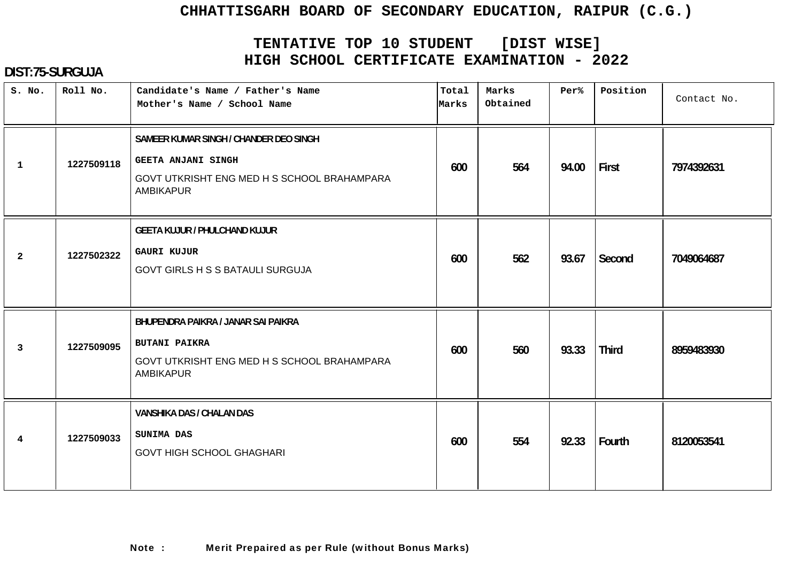# **TENTATIVE TOP 10 STUDENT [DIST WISE] HIGH SCHOOL CERTIFICATE EXAMINATION - 2022**

| S. No.         | Roll No.   | Candidate's Name / Father's Name<br>Mother's Name / School Name                                                                        | Total<br>Marks | Marks<br>Obtained | Per%  | Position     | Contact No. |
|----------------|------------|----------------------------------------------------------------------------------------------------------------------------------------|----------------|-------------------|-------|--------------|-------------|
| $\mathbf{1}$   | 1227509118 | SAMEER KUMAR SINGH / CHANDER DEO SINGH<br><b>GEETA ANJANI SINGH</b><br>GOVT UTKRISHT ENG MED H S SCHOOL BRAHAMPARA<br><b>AMBIKAPUR</b> | 600            | 564               | 94.00 | First        | 7974392631  |
| $\overline{2}$ | 1227502322 | <b>GEETA KUJUR / PHULCHAND KUJUR</b><br><b>GAURI KUJUR</b><br><b>GOVT GIRLS H S S BATAULI SURGUJA</b>                                  | 600            | 562               | 93.67 | Second       | 7049064687  |
| 3              | 1227509095 | BHUPENDRA PAIKRA / JANAR SAI PAIKRA<br><b>BUTANI PAIKRA</b><br>GOVT UTKRISHT ENG MED H S SCHOOL BRAHAMPARA<br><b>AMBIKAPUR</b>         | 600            | 560               | 93.33 | <b>Third</b> | 8959483930  |
| $\overline{4}$ | 1227509033 | VANSHIKA DAS / CHALAN DAS<br>SUNIMA DAS<br><b>GOVT HIGH SCHOOL GHAGHARI</b>                                                            | 600            | 554               | 92.33 | Fourth       | 8120053541  |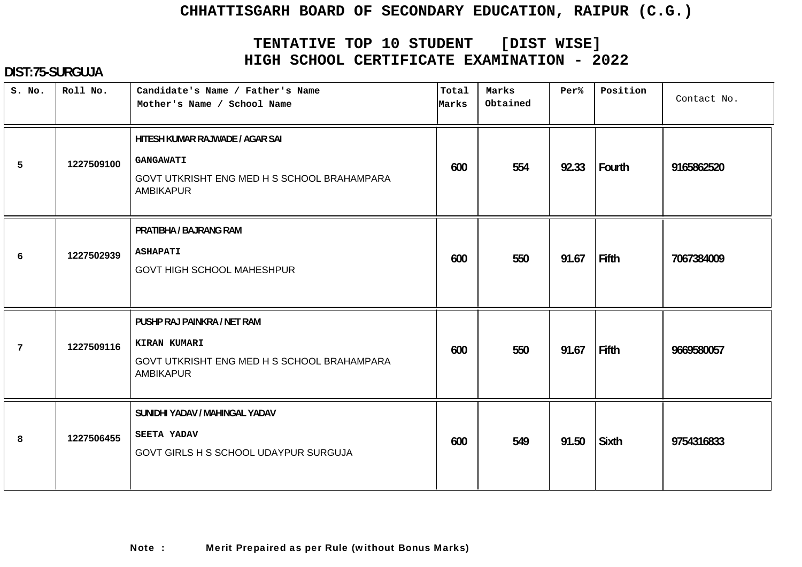# **TENTATIVE TOP 10 STUDENT [DIST WISE] HIGH SCHOOL CERTIFICATE EXAMINATION - 2022**

| S. No. | Roll No.   | Candidate's Name / Father's Name<br>Mother's Name / School Name                                                        | Total<br>Marks | Marks<br>Obtained | Per%  | Position     | Contact No. |
|--------|------------|------------------------------------------------------------------------------------------------------------------------|----------------|-------------------|-------|--------------|-------------|
| 5      | 1227509100 | HITESH KUMAR RAJWADE / AGAR SAI<br><b>GANGAWATI</b><br>GOVT UTKRISHT ENG MED H S SCHOOL BRAHAMPARA<br><b>AMBIKAPUR</b> | 600            | 554               | 92.33 | Fourth       | 9165862520  |
| 6      | 1227502939 | PRATIBHA / BAJRANG RAM<br><b>ASHAPATI</b><br><b>GOVT HIGH SCHOOL MAHESHPUR</b>                                         | 600            | 550               | 91.67 | <b>Fifth</b> | 7067384009  |
| 7      | 1227509116 | PUSHP RAJ PAINKRA / NET RAM<br>KIRAN KUMARI<br>GOVT UTKRISHT ENG MED H S SCHOOL BRAHAMPARA<br>AMBIKAPUR                | 600            | 550               | 91.67 | Fifth        | 9669580057  |
| 8      | 1227506455 | SUNIDHI YADAV / MAHINGAL YADAV<br><b>SEETA YADAV</b><br>GOVT GIRLS H S SCHOOL UDAYPUR SURGUJA                          | 600            | 549               | 91.50 | <b>Sixth</b> | 9754316833  |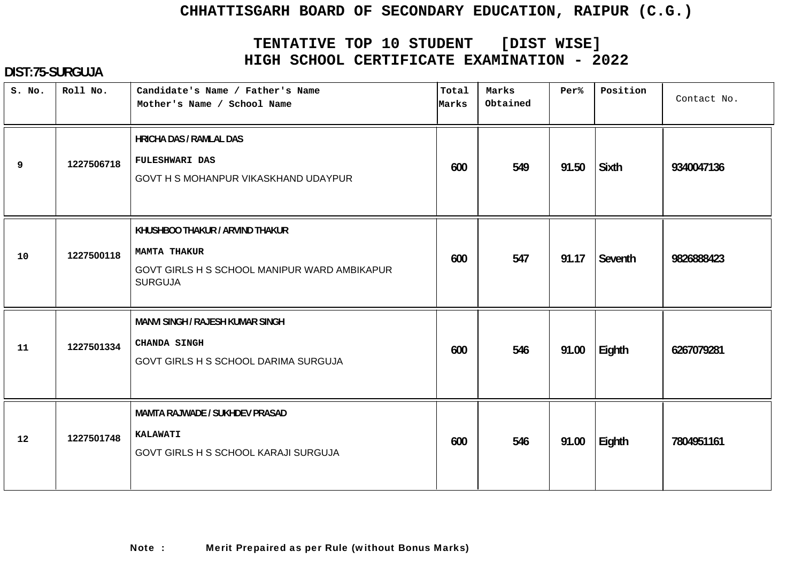# **TENTATIVE TOP 10 STUDENT [DIST WISE] HIGH SCHOOL CERTIFICATE EXAMINATION - 2022**

| S. No. | Roll No.   | Candidate's Name / Father's Name<br>Mother's Name / School Name                                                          | Total<br>Marks | Marks<br>Obtained | Per%  | Position     | Contact No. |
|--------|------------|--------------------------------------------------------------------------------------------------------------------------|----------------|-------------------|-------|--------------|-------------|
| 9      | 1227506718 | <b>HRICHA DAS / RAMLAL DAS</b><br><b>FULESHWARI DAS</b><br>GOVT H S MOHANPUR VIKASKHAND UDAYPUR                          | 600            | 549               | 91.50 | <b>Sixth</b> | 9340047136  |
| 10     | 1227500118 | KHUSHBOO THAKUR / ARVIND THAKUR<br><b>MAMTA THAKUR</b><br>GOVT GIRLS H S SCHOOL MANIPUR WARD AMBIKAPUR<br><b>SURGUJA</b> | 600            | 547               | 91.17 | Seventh      | 9826888423  |
| 11     | 1227501334 | <b>MANVI SINGH / RAJESH KUMAR SINGH</b><br><b>CHANDA SINGH</b><br>GOVT GIRLS H S SCHOOL DARIMA SURGUJA                   | 600            | 546               | 91.00 | Eighth       | 6267079281  |
| 12     | 1227501748 | <b>MAMTA RAJWADE / SUKHDEV PRASAD</b><br><b>KALAWATI</b><br>GOVT GIRLS H S SCHOOL KARAJI SURGUJA                         | 600            | 546               | 91.00 | Eighth       | 7804951161  |